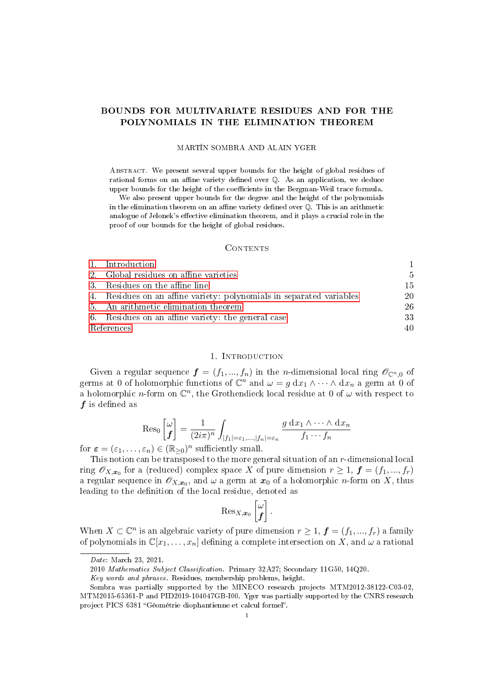# BOUNDS FOR MULTIVARIATE RESIDUES AND FOR THE POLYNOMIALS IN THE ELIMINATION THEOREM

#### MARTÍN SOMBRA AND ALAIN YGER

Abstract. We present several upper bounds for the height of global residues of rational forms on an affine variety defined over  $\mathbb Q$ . As an application, we deduce upper bounds for the height of the coefficients in the Bergman-Weil trace formula.

We also present upper bounds for the degree and the height of the polynomials in the elimination theorem on an affine variety defined over  $\mathbb Q$ . This is an arithmetic analogue of Jelonek's effective elimination theorem, and it plays a crucial role in the proof of our bounds for the height of global residues.

### CONTENTS

|            | - Introduction                                                       |               |
|------------|----------------------------------------------------------------------|---------------|
|            | 2. Global residues on affine varieties                               | $\frac{5}{2}$ |
|            | 3. Residues on the affine line                                       | 15            |
|            | 4. Residues on an affine variety: polynomials in separated variables | 20            |
|            | 5. An arithmetic elimination theorem                                 | 26            |
|            | 6. Residues on an affine variety: the general case                   | 33            |
| References |                                                                      | 40            |

## 1. INTRODUCTION

<span id="page-0-0"></span>Given a regular sequence  $\boldsymbol{f} = (f_1, ..., f_n)$  in the *n*-dimensional local ring  $\mathscr{O}_{\mathbb{C}^n,0}$  of germs at 0 of holomorphic functions of  $\mathbb{C}^n$  and  $\omega = g dx_1 \wedge \cdots \wedge dx_n$  a germ at 0 of a holomorphic *n*-form on  $\mathbb{C}^n$ , the Grothendieck local residue at 0 of  $\omega$  with respect to  $f$  is defined as

$$
\operatorname{Res}_{0}\left[\begin{matrix} \omega \\ f \end{matrix}\right] = \frac{1}{(2i\pi)^n} \int_{|f_1| = \varepsilon_1, \dots, |f_n| = \varepsilon_n} \frac{g \, dx_1 \wedge \dots \wedge dx_n}{f_1 \cdots f_n}
$$

for  $\boldsymbol{\varepsilon} = (\varepsilon_1, \dots, \varepsilon_n) \in (\mathbb{R}_{\geq 0})^n$  sufficiently small.

This notion can be transposed to the more general situation of an r-dimensional local ring  $\mathscr{O}_{X,\bm{x}_0}$  for a (reduced) complex space X of pure dimension  $r \geq 1$ ,  $\bm{f} = (f_1, ..., f_r)$ a regular sequence in  $\mathscr{O}_{X,\bm{x}_0},$  and  $\omega$  a germ at  $\bm{x}_0$  of a holomorphic  $n$ -form on  $X,$  thus leading to the definition of the local residue, denoted as

$$
\operatorname{Res}_{X,\boldsymbol{x}_0}\left[\begin{matrix} \omega \\ \boldsymbol{f} \end{matrix}\right].
$$

When  $X \subset \mathbb{C}^n$  is an algebraic variety of pure dimension  $r \geq 1$ ,  $\boldsymbol{f} = (f_1, ..., f_r)$  a family of polynomials in  $\mathbb{C}[x_1,\ldots,x_n]$  defining a complete intersection on X, and  $\omega$  a rational

Date: March 23, 2021.

<sup>2010</sup> Mathematics Subject Classification. Primary 32A27; Secondary 11G50, 14Q20.

Key words and phrases. Residues, membership problems, height.

Sombra was partially supported by the MINECO research projects MTM2012-38122-C03-02, MTM2015-65361-P and PID2019-104047GB-I00. Yger was partially supported by the CNRS research project PICS 6381 "Géométrie diophantienne et calcul formel".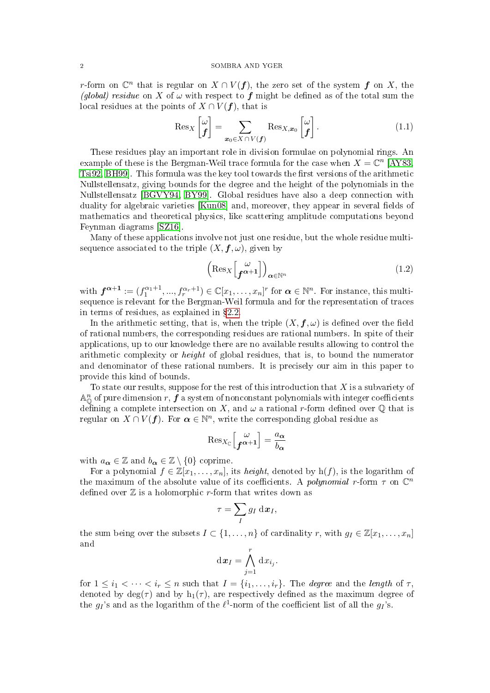r-form on  $\mathbb{C}^n$  that is regular on  $X \cap V(f)$ , the zero set of the system  $f$  on  $X$ , the (global) residue on X of  $\omega$  with respect to f might be defined as of the total sum the local residues at the points of  $X \cap V(f)$ , that is

<span id="page-1-0"></span>
$$
\operatorname{Res}_{X}\left[\begin{matrix} \omega \\ f \end{matrix}\right] = \sum_{\boldsymbol{x}_{0} \in X \cap V(f)} \operatorname{Res}_{X,\boldsymbol{x}_{0}}\left[\begin{matrix} \omega \\ f \end{matrix}\right]. \tag{1.1}
$$

These residues play an important role in division formulae on polynomial rings. An example of these is the Bergman-Weil trace formula for the case when  $X = \mathbb{C}^n$  [\[AY83,](#page-39-1) [Tsi92,](#page-40-0) [BH99\]](#page-39-2). This formula was the key tool towards the first versions of the arithmetic Nullstellensatz, giving bounds for the degree and the height of the polynomials in the Nullstellensatz [\[BGVY94,](#page-39-3) [BY99\]](#page-39-4). Global residues have also a deep connection with duality for algebraic varieties  $[Kun08]$  and, moreover, they appear in several fields of mathematics and theoretical physics, like scattering amplitude computations beyond Feynman diagrams [\[SZ16\]](#page-40-2).

Many of these applications involve not just one residue, but the whole residue multisequence associated to the triple  $(X, f, \omega)$ , given by

$$
\left(\operatorname{Res}_{X}\left[\begin{matrix} \omega \\ \mathbf{f}^{\alpha+1} \end{matrix}\right]\right)_{\alpha \in \mathbb{N}^{n}}\tag{1.2}
$$

with  $\boldsymbol{f}^{\boldsymbol{\alpha}+1} := (f_1^{\alpha_1+1}, ..., f_r^{\alpha_r+1}) \in \mathbb{C}[x_1, ..., x_n]^r$  for  $\boldsymbol{\alpha} \in \mathbb{N}^n$ . For instance, this multisequence is relevant for the Bergman-Weil formula and for the representation of traces in terms of residues, as explained in  $\S 2.2$ .

In the arithmetic setting, that is, when the triple  $(X, \boldsymbol{f}, \omega)$  is defined over the field of rational numbers, the corresponding residues are rational numbers. In spite of their applications, up to our knowledge there are no available results allowing to control the arithmetic complexity or height of global residues, that is, to bound the numerator and denominator of these rational numbers. It is precisely our aim in this paper to provide this kind of bounds.

To state our results, suppose for the rest of this introduction that  $X$  is a subvariety of  $\mathbb{A}^n_\mathbb{O}$  of pure dimension  $r, \boldsymbol{f}$  a system of nonconstant polynomials with integer coefficients defining a complete intersection on X, and  $\omega$  a rational r-form defined over  $\mathbb Q$  that is regular on  $X \cap V(f)$ . For  $\boldsymbol{\alpha} \in \mathbb{N}^n$ , write the corresponding global residue as

$$
\operatorname{Res}_{X_{\mathbb{C}}}\left[\begin{matrix} \omega \\ \mathbf{f}^{\boldsymbol{\alpha}+1} \end{matrix}\right] = \frac{a_{\boldsymbol{\alpha}}}{b_{\boldsymbol{\alpha}}}
$$

with  $a_{\alpha} \in \mathbb{Z}$  and  $b_{\alpha} \in \mathbb{Z} \setminus \{0\}$  coprime.

For a polynomial  $f \in \mathbb{Z}[x_1,\ldots,x_n]$ , its *height*, denoted by  $h(f)$ , is the logarithm of the maximum of the absolute value of its coefficients. A *polynomial* r-form  $\tau$  on  $\mathbb{C}^n$ defined over  $\mathbb Z$  is a holomorphic r-form that writes down as

$$
\tau = \sum_{I} g_I \, \mathrm{d} \boldsymbol{x}_I,
$$

the sum being over the subsets  $I \subset \{1, \ldots, n\}$  of cardinality r, with  $g_I \in \mathbb{Z}[x_1, \ldots, x_n]$ and

$$
\mathrm{d}\boldsymbol{x}_I = \bigwedge_{j=1}^r \mathrm{d} x_{i_j}.
$$

for  $1 \leq i_1 < \cdots < i_r \leq n$  such that  $I = \{i_1, \ldots, i_r\}$ . The *degree* and the *length* of  $\tau$ , denoted by deg( $\tau$ ) and by h<sub>1</sub>( $\tau$ ), are respectively defined as the maximum degree of the  $g_I$ 's and as the logarithm of the  $\ell^1$ -norm of the coefficient list of all the  $g_I$ 's.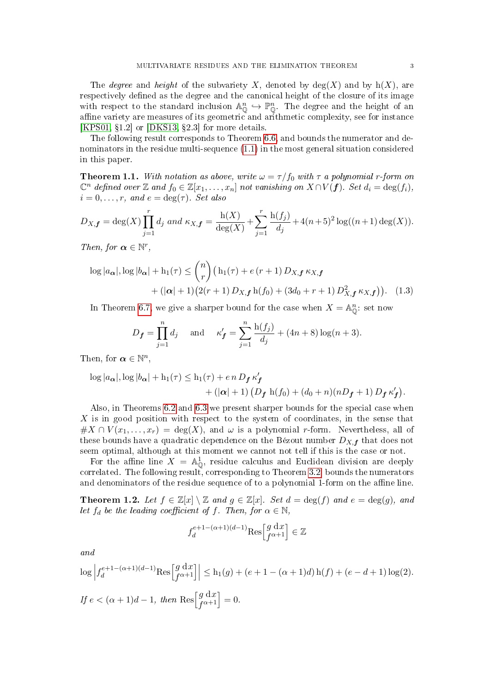The *degree* and *height* of the subvariety X, denoted by  $deg(X)$  and by  $h(X)$ , are respectively defined as the degree and the canonical height of the closure of its image with respect to the standard inclusion  $\mathbb{A}_{\mathbb{O}}^n \hookrightarrow \mathbb{P}_{\mathbb{O}}^n$ . The degree and the height of an affine variety are measures of its geometric and arithmetic complexity, see for instance [\[KPS01,](#page-39-5)  $\S1.2$ ] or [\[DKS13,](#page-39-6)  $\S2.3$ ] for more details.

The following result corresponds to Theorem [6.6,](#page-36-0) and bounds the numerator and denominators in the residue multi-sequence [\(1.1\)](#page-1-0) in the most general situation considered in this paper.

<span id="page-2-0"></span>**Theorem 1.1.** With notation as above, write  $\omega = \tau/f_0$  with  $\tau$  a polynomial r-form on  $\mathbb{C}^n$  defined over Z and  $f_0 \in \mathbb{Z}[x_1,\ldots,x_n]$  not vanishing on  $X \cap V(f)$ . Set  $d_i = \deg(f_i)$ ,  $i = 0, \ldots, r$ , and  $e = \deg(\tau)$ . Set also

$$
D_{X,\mathbf{f}} = \deg(X) \prod_{j=1}^r d_j \text{ and } \kappa_{X,\mathbf{f}} = \frac{\mathrm{h}(X)}{\deg(X)} + \sum_{j=1}^r \frac{\mathrm{h}(f_j)}{d_j} + 4(n+5)^2 \log((n+1)\deg(X)).
$$

Then, for  $\boldsymbol{\alpha} \in \mathbb{N}^r$ ,

$$
\log |a_{\alpha}|, \log |b_{\alpha}| + \mathbf{h}_1(\tau) \leq {n \choose r} \left(\mathbf{h}_1(\tau) + e(r+1) D_{X,\mathbf{f}} \kappa_{X,\mathbf{f}} + (|\alpha|+1) (2(r+1) D_{X,\mathbf{f}} \mathbf{h}(f_0) + (3d_0 + r + 1) D_{X,\mathbf{f}}^2 \kappa_{X,\mathbf{f}}\right). \tag{1.3}
$$

In Theorem [6.7,](#page-36-1) we give a sharper bound for the case when  $X = \mathbb{A}^n_{\mathbb{O}}$ : set now

$$
D_f = \prod_{j=1}^n d_j
$$
 and  $\kappa'_f = \sum_{j=1}^n \frac{h(f_j)}{d_j} + (4n+8) \log(n+3).$ 

Then, for  $\boldsymbol{\alpha} \in \mathbb{N}^n$ ,

$$
\log |a_{\alpha}|, \log |b_{\alpha}| + h_1(\tau) \le h_1(\tau) + e n D_f \kappa'_f
$$
  
+ 
$$
+ (|\alpha| + 1) (D_f h(f_0) + (d_0 + n)(n D_f + 1) D_f \kappa'_f).
$$

Also, in Theorems [6.2](#page-33-0) and [6.3](#page-33-1) we present sharper bounds for the special case when X is in good position with respect to the system of coordinates, in the sense that  $\#X \cap V(x_1,\ldots,x_r) = \deg(X)$ , and  $\omega$  is a polynomial r-form. Nevertheless, all of these bounds have a quadratic dependence on the Bézout number  $D_{X,f}$  that does not seem optimal, although at this moment we cannot not tell if this is the case or not.

For the affine line  $X = \mathbb{A}^1_{\mathbb{Q}}$ , residue calculus and Euclidean division are deeply correlated. The following result, corresponding to Theorem [3.2,](#page-14-1) bounds the numerators and denominators of the residue sequence of to a polynomial 1-form on the affine line.

<span id="page-2-1"></span>**Theorem 1.2.** Let  $f \in \mathbb{Z}[x] \setminus \mathbb{Z}$  and  $g \in \mathbb{Z}[x]$ . Set  $d = \deg(f)$  and  $e = \deg(g)$ , and let  $f_d$  be the leading coefficient of f. Then, for  $\alpha \in \mathbb{N}$ ,

$$
f_d^{e+1-(\alpha+1)(d-1)}\mathrm{Res}\Bigl[g\frac{\mathrm{d}\,x}{f^{\alpha+1}}\Bigr]\in\mathbb{Z}
$$

and

$$
\begin{aligned} &\log \left|f_d^{e+1-(\alpha+1)(d-1)} \text{Res}\Big[f_{\alpha+1}^{o(d-1)}\Big] \right| \leq \mathbf{h}_1(g) + (e+1-(\alpha+1)d) \, \mathbf{h}(f) + (e-d+1) \log(2).\\ &\text{If } e < (\alpha+1)d-1, \text{ then } \text{Res}\Big[f_{\alpha+1}^{o(d-1)}\Big] = 0. \end{aligned}
$$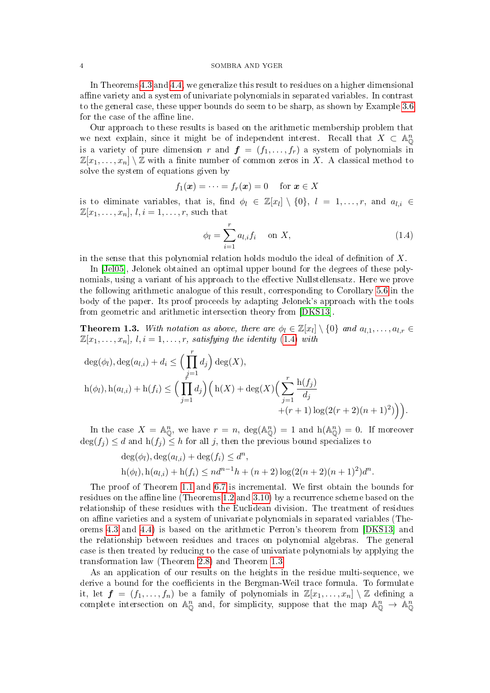In Theorems [4.3](#page-20-0) and [4.4,](#page-21-0) we generalize this result to residues on a higher dimensional affine variety and a system of univariate polynomials in separated variables. In contrast to the general case, these upper bounds do seem to be sharp, as shown by Example [3.6](#page-16-0) for the case of the affine line.

Our approach to these results is based on the arithmetic membership problem that we next explain, since it might be of independent interest. Recall that  $X \subset \mathbb{A}^n_{\mathbb{Q}}$ is a variety of pure dimension r and  $f = (f_1, \ldots, f_r)$  a system of polynomials in  $\mathbb{Z}[x_1,\ldots,x_n]\setminus\mathbb{Z}$  with a finite number of common zeros in X. A classical method to solve the system of equations given by

$$
f_1(\boldsymbol{x}) = \cdots = f_r(\boldsymbol{x}) = 0 \quad \text{ for } \boldsymbol{x} \in X
$$

is to eliminate variables, that is, find  $\phi_l \in \mathbb{Z}[x_l] \setminus \{0\}$ ,  $l = 1, \ldots, r$ , and  $a_{l,i} \in$  $\mathbb{Z}[x_1,\ldots,x_n],$   $l, i = 1,\ldots,r$ , such that

<span id="page-3-0"></span>
$$
\phi_l = \sum_{i=1}^r a_{l,i} f_i \quad \text{on } X,\tag{1.4}
$$

in the sense that this polynomial relation holds modulo the ideal of definition of  $X$ .

In [\[Jel05\]](#page-39-7), Jelonek obtained an optimal upper bound for the degrees of these polynomials, using a variant of his approach to the effective Nullstellensatz. Here we prove the following arithmetic analogue of this result, corresponding to Corollary [5.6](#page-31-0) in the body of the paper. Its proof proceeds by adapting Jelonek's approach with the tools from geometric and arithmetic intersection theory from [\[DKS13\]](#page-39-6).

<span id="page-3-1"></span>**Theorem 1.3.** With notation as above, there are  $\phi_l \in \mathbb{Z}[x_l] \setminus \{0\}$  and  $a_{l,1}, \ldots, a_{l,r} \in$  $\mathbb{Z}[x_1,\ldots,x_n], l, i = 1,\ldots,r, satisfying the identity (1.4) with$  $\mathbb{Z}[x_1,\ldots,x_n], l, i = 1,\ldots,r, satisfying the identity (1.4) with$  $\mathbb{Z}[x_1,\ldots,x_n], l, i = 1,\ldots,r, satisfying the identity (1.4) with$ 

$$
\deg(\phi_l), \deg(a_{l,i}) + d_i \le \Big(\prod_{j=1}^r d_j\Big) \deg(X),
$$
  
 
$$
h(\phi_l), h(a_{l,i}) + h(f_i) \le \Big(\prod_{j=1}^r d_j\Big) \Big(h(X) + \deg(X) \Big(\sum_{j=1}^r \frac{h(f_j)}{d_j} + (r+1) \log(2(r+2)(n+1)^2)\Big)\Big).
$$

In the case  $X = \mathbb{A}^n_{\mathbb{O}}$ , we have  $r = n$ ,  $\deg(\mathbb{A}^n_{\mathbb{O}}) = 1$  and  $h(\mathbb{A}^n_{\mathbb{O}}) = 0$ . If moreover  $\deg(f_i) \leq d$  and  $h(f_i) \leq h$  for all j, then the previous bound specializes to

$$
deg(\phi_l), deg(a_{l,i}) + deg(f_i) \leq d^n,
$$
  
 
$$
h(\phi_l), h(a_{l,i}) + h(f_i) \leq nd^{n-1}h + (n+2)\log(2(n+2)(n+1)^2)d^n.
$$

The proof of Theorem [1.1](#page-2-0) and [6.7](#page-36-1) is incremental. We first obtain the bounds for residues on the affine line (Theorems  $1.2$  and  $3.10$ ) by a recurrence scheme based on the relationship of these residues with the Euclidean division. The treatment of residues on affine varieties and a system of univariate polynomials in separated variables (Theorems [4.3](#page-20-0) and [4.4\)](#page-21-0) is based on the arithmetic Perron's theorem from [\[DKS13\]](#page-39-6) and the relationship between residues and traces on polynomial algebras. The general case is then treated by reducing to the case of univariate polynomials by applying the transformation law (Theorem [2.8\)](#page-9-0) and Theorem [1.3.](#page-3-1)

As an application of our results on the heights in the residue multi-sequence, we derive a bound for the coefficients in the Bergman-Weil trace formula. To formulate it, let  $\boldsymbol{f} = (f_1, \ldots, f_n)$  be a family of polynomials in  $\mathbb{Z}[x_1, \ldots, x_n] \setminus \mathbb{Z}$  defining a complete intersection on  $\mathbb{A}_{\mathbb{Q}}^n$  and, for simplicity, suppose that the map  $\mathbb{A}_{\mathbb{Q}}^n \to \mathbb{A}_{\mathbb{Q}}^n$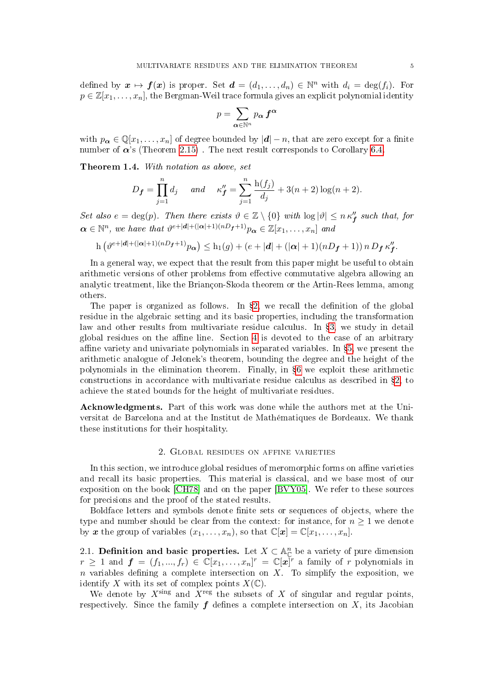defined by  $\mathbf{x} \mapsto \mathbf{f}(\mathbf{x})$  is proper. Set  $\mathbf{d} = (d_1, \ldots, d_n) \in \mathbb{N}^n$  with  $d_i = \deg(f_i)$ . For  $p \in \mathbb{Z}[x_1,\ldots,x_n]$ , the Bergman-Weil trace formula gives an explicit polynomial identity

$$
p=\sum_{\boldsymbol\alpha\in\mathbb N^n}p_{\boldsymbol\alpha}\,\boldsymbol f^{\boldsymbol\alpha}
$$

with  $p_{\alpha} \in \mathbb{Q}[x_1,\ldots,x_n]$  of degree bounded by  $|\boldsymbol{d}| - n$ , that are zero except for a finite number of  $\alpha$ 's (Theorem [2.15\)](#page-13-0). The next result corresponds to Corollary [6.4.](#page-35-0)

Theorem 1.4. With notation as above, set

$$
D_f = \prod_{j=1}^n d_j
$$
 and  $\kappa''_f = \sum_{j=1}^n \frac{h(f_j)}{d_j} + 3(n+2) \log(n+2).$ 

Set also  $e = \deg(p)$ . Then there exists  $\vartheta \in \mathbb{Z} \setminus \{0\}$  with  $\log |\vartheta| \leq n \kappa''$  such that, for  $\boldsymbol{\alpha} \in \mathbb{N}^n$ , we have that  $\vartheta^{e+|\boldsymbol{d}| + (|\boldsymbol{\alpha}|+1)(nD_{\boldsymbol{f}}+1)} p_{\boldsymbol{\alpha}} \in \mathbb{Z}[x_1,\ldots,x_n]$  and

$$
\mathrm{h}\left(\vartheta^{e+|{\bm d}|+(|{\bm \alpha}|+1)(nD_{\bm f}+1)}p_{\bm \alpha}\right)\leq \mathrm{h}_1(g)+(e+|{\bm d}|+(|{\bm \alpha}|+1)(nD_{\bm f}+1))\,n\,D_{\bm f}\,\kappa''_{\bm f}.
$$

In a general way, we expect that the result from this paper might be useful to obtain arithmetic versions of other problems from effective commutative algebra allowing an analytic treatment, like the Briançon-Skoda theorem or the Artin-Rees lemma, among others.

The paper is organized as follows. In  $\S2$ , we recall the definition of the global residue in the algebraic setting and its basic properties, including the transformation law and other results from multivariate residue calculus. In  $\S$ [3,](#page-14-0) we study in detail global residues on the affine line. Section  $4$  is devoted to the case of an arbitrary affine variety and univariate polynomials in separated variables. In  $\S5$ , we present the arithmetic analogue of Jelonek's theorem, bounding the degree and the height of the polynomials in the elimination theorem. Finally, in §[6](#page-32-0) we exploit these arithmetic constructions in accordance with multivariate residue calculus as described in  $\S 2$ , to achieve the stated bounds for the height of multivariate residues.

Acknowledgments. Part of this work was done while the authors met at the Universitat de Barcelona and at the Institut de Mathématiques de Bordeaux. We thank these institutions for their hospitality.

### 2. Global residues on affine varieties

<span id="page-4-0"></span>In this section, we introduce global residues of meromorphic forms on affine varieties and recall its basic properties. This material is classical, and we base most of our exposition on the book [\[CH78\]](#page-39-8) and on the paper [\[BVY05\]](#page-39-9). We refer to these sources for precisions and the proof of the stated results.

Boldface letters and symbols denote nite sets or sequences of objects, where the type and number should be clear from the context: for instance, for  $n \geq 1$  we denote by x the group of variables  $(x_1, \ldots, x_n)$ , so that  $\mathbb{C}[x] = \mathbb{C}[x_1, \ldots, x_n]$ .

2.1. Definition and basic properties. Let  $X \subset \mathbb{A}_{\mathbb{C}}^n$  be a variety of pure dimension  $r \geq 1$  and  $\boldsymbol{f} = (f_1, ..., f_r) \in \mathbb{C}[x_1, ..., x_n]^r = \mathbb{C}[\boldsymbol{x}]^r$  a family of r polynomials in n variables defining a complete intersection on  $X$ . To simplify the exposition, we identify X with its set of complex points  $X(\mathbb{C})$ .

We denote by  $X^{\text{sing}}$  and  $X^{\text{reg}}$  the subsets of X of singular and regular points, respectively. Since the family  $f$  defines a complete intersection on  $X$ , its Jacobian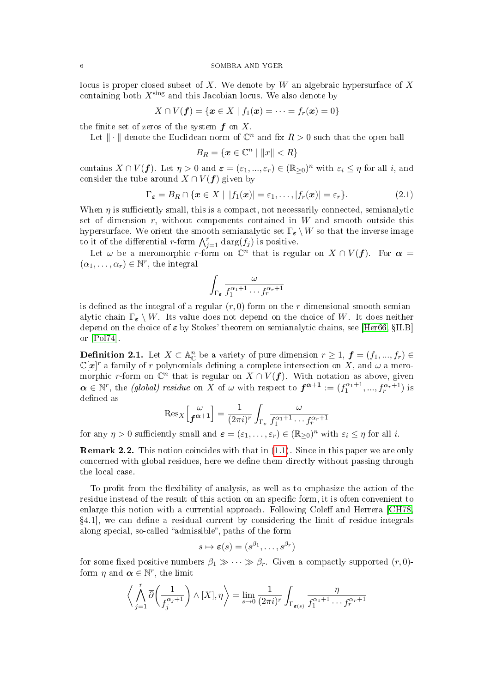locus is proper closed subset of X. We denote by W an algebraic hypersurface of X containing both  $X^{\text{sing}}$  and this Jacobian locus. We also denote by

$$
X\cap V(\boldsymbol f)=\{\boldsymbol x\in X\mid f_1(\boldsymbol x)=\cdots=f_r(\boldsymbol x)=0\}
$$

the finite set of zeros of the system  $f$  on X.

Let  $\|\cdot\|$  denote the Euclidean norm of  $\mathbb{C}^n$  and fix  $R > 0$  such that the open ball

$$
B_R = \{ \boldsymbol{x} \in \mathbb{C}^n \mid ||x|| < R \}
$$

contains  $X \cap V(f)$ . Let  $\eta > 0$  and  $\varepsilon = (\varepsilon_1, ..., \varepsilon_r) \in (\mathbb{R}_{\geq 0})^n$  with  $\varepsilon_i \leq \eta$  for all i, and consider the tube around  $X \cap V(f)$  given by

<span id="page-5-1"></span>
$$
\Gamma_{\varepsilon} = B_R \cap \{ \boldsymbol{x} \in X \mid |f_1(\boldsymbol{x})| = \varepsilon_1, \dots, |f_r(\boldsymbol{x})| = \varepsilon_r \}.
$$
\n(2.1)

When  $\eta$  is sufficiently small, this is a compact, not necessarily connected, semianalytic set of dimension  $r$ , without components contained in  $W$  and smooth outside this hypersurface. We orient the smooth semianalytic set  $\Gamma_{\varepsilon} \setminus W$  so that the inverse image to it of the differential r-form  $\bigwedge_{j=1}^r \text{darg}(f_j)$  is positive.

Let  $\omega$  be a meromorphic r-form on  $\mathbb{C}^n$  that is regular on  $X \cap V(f)$ . For  $\alpha =$  $(\alpha_1, \ldots, \alpha_r) \in \mathbb{N}^r$ , the integral

$$
\int_{\Gamma_{\boldsymbol{\varepsilon}}} \frac{\omega}{f_1^{\alpha_1+1} \cdots f_r^{\alpha_r+1}}
$$

is defined as the integral of a regular  $(r, 0)$ -form on the r-dimensional smooth semianalytic chain  $\Gamma_{\varepsilon} \setminus W$ . Its value does not depend on the choice of W. It does neither depend on the choice of  $\varepsilon$  by Stokes' theorem on semianalytic chains, see [\[Her66,](#page-39-10)  $\S II.B$ ] or [\[Pol74\]](#page-40-3).

<span id="page-5-0"></span>**Definition 2.1.** Let  $X \subset \mathbb{A}_{\mathbb{C}}^n$  be a variety of pure dimension  $r \geq 1$ ,  $\boldsymbol{f} = (f_1, ..., f_r) \in$  $\mathbb{C}[x]^r$  a family of r polynomials defining a complete intersection on X, and  $\omega$  a meromorphic r-form on  $\mathbb{C}^n$  that is regular on  $X \cap V(f)$ . With notation as above, given  $\boldsymbol{\alpha} \in \mathbb{N}^r$ , the *(global) residue* on X of  $\omega$  with respect to  $\boldsymbol{f}^{\boldsymbol{\alpha}+1} := (f_1^{\alpha_1+1},...,f_r^{\alpha_r+1})$  is defined as

$$
\operatorname{Res}_{X} \left[ \begin{matrix} \omega \\ \mathbf{f}^{\alpha+1} \end{matrix} \right] = \frac{1}{(2\pi i)^r} \int_{\Gamma_{\varepsilon}} \frac{\omega}{f_1^{\alpha_1+1} \cdots f_r^{\alpha_r+1}}
$$

for any  $\eta > 0$  sufficiently small and  $\boldsymbol{\varepsilon} = (\varepsilon_1, \dots, \varepsilon_r) \in (\mathbb{R}_{\geq 0})^n$  with  $\varepsilon_i \leq \eta$  for all *i*.

Remark 2.2. This notion coincides with that in [\(1.1\)](#page-1-0). Since in this paper we are only concerned with global residues, here we define them directly without passing through the local case.

To profit from the flexibility of analysis, as well as to emphasize the action of the residue instead of the result of this action on an specific form, it is often convenient to enlarge this notion with a currential approach. Following Coleff and Herrera [\[CH78,](#page-39-8)  $\S4.1$ , we can define a residual current by considering the limit of residue integrals along special, so-called "admissible", paths of the form

$$
s \mapsto \varepsilon(s) = (s^{\beta_1}, \dots, s^{\beta_r})
$$

for some fixed positive numbers  $\beta_1 \gg \cdots \gg \beta_r$ . Given a compactly supported  $(r, 0)$ form  $\eta$  and  $\boldsymbol{\alpha} \in \mathbb{N}^r$ , the limit

$$
\left\langle \bigwedge_{j=1}^{r} \overline{\partial} \left( \frac{1}{f_{j}^{\alpha_{j}+1}} \right) \wedge [X], \eta \right\rangle = \lim_{s \to 0} \frac{1}{(2\pi i)^{r}} \int_{\Gamma_{\varepsilon(s)}} \frac{\eta}{f_{1}^{\alpha_{1}+1} \cdots f_{r}^{\alpha_{r}+1}}
$$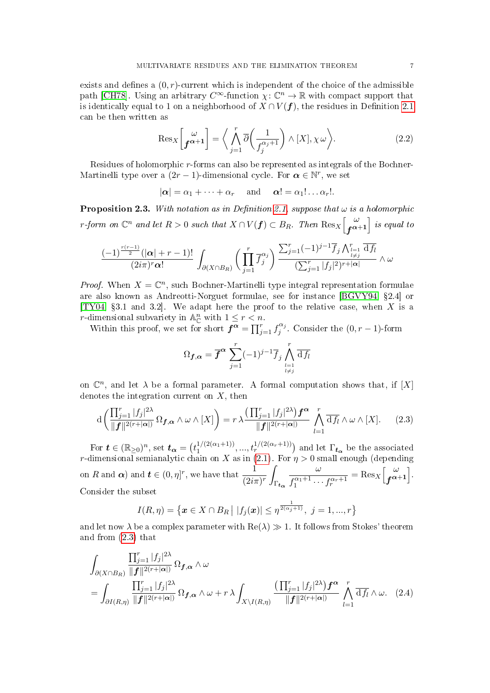exists and defines a  $(0, r)$ -current which is independent of the choice of the admissible path [\[CH78\]](#page-39-8). Using an arbitrary  $C^{\infty}$ -function  $\chi: \mathbb{C}^n \to \mathbb{R}$  with compact support that is identically equal to 1 on a neighborhood of  $X \cap V(f)$ , the residues in Definition [2.1](#page-5-0) can be then written as

<span id="page-6-3"></span>
$$
\text{Res}_{X}\left[\begin{matrix} \omega \\ \mathbf{f}^{\alpha+1} \end{matrix}\right] = \left\langle \bigwedge_{j=1}^{r} \overline{\partial} \left(\frac{1}{f_j^{\alpha_j+1}}\right) \wedge [X], \chi \omega \right\rangle. \tag{2.2}
$$

Residues of holomorphic r-forms can also be represented as integrals of the Bochner-Martinelli type over a  $(2r-1)$ -dimensional cycle. For  $\boldsymbol{\alpha} \in \mathbb{N}^r$ , we set

$$
|\alpha| = \alpha_1 + \cdots + \alpha_r
$$
 and  $\alpha! = \alpha_1! \ldots \alpha_r!$ .

<span id="page-6-2"></span>**Proposition 2.3.** With notation as in Definition [2.1,](#page-5-0) suppose that  $\omega$  is a holomorphic r-form on  $\mathbb{C}^n$  and let  $R > 0$  such that  $X \cap V(f) \subset B_R$ . Then  $\text{Res}_X \left[ \begin{smallmatrix} \omega \ \omega \ \tau \end{smallmatrix} \right]$  $\left[ \begin{smallmatrix} \omega \ \mathbf{f}^{\boldsymbol{\alpha}+1} \end{smallmatrix} \right]$  is equal to

$$
\frac{(-1)^{\frac{r(r-1)}{2}}(|\alpha|+r-1)!}{(2i\pi)^r\alpha!}\int_{\partial(X\cap B_R)}\bigg(\prod_{j=1}^r\overline{f}_j^{\alpha_j}\bigg)\frac{\sum_{j=1}^r(-1)^{j-1}\overline{f}_j\bigwedge_{\substack{l=1\\l\neq j}}^r\overline{\mathrm{d}f}_l}{(\sum_{j=1}^r|f_j|^2)^{r+|\alpha|}}\wedge\omega
$$

*Proof.* When  $X = \mathbb{C}^n$ , such Bochner-Martinelli type integral representation formulae are also known as Andreotti-Norguet formulae, see for instance [\[BGVY94,](#page-39-3) §2.4] or [\[TY04,](#page-40-4) §3.1 and 3.2]. We adapt here the proof to the relative case, when X is a r-dimensional subvariety in  $\mathbb{A}_{\mathbb{C}}^n$  with  $1 \leq r < n$ .

Within this proof, we set for short  $f^{\alpha} = \prod_{j=1}^{r} f_j^{\alpha_j}$  $j^{(\alpha_j)}$ . Consider the  $(0, r-1)$ -form

$$
\Omega_{\boldsymbol{f},\boldsymbol{\alpha}} = \overline{\boldsymbol{f}}^{\boldsymbol{\alpha}} \sum_{j=1}^r (-1)^{j-1} \overline{f}_j \bigwedge_{\substack{l=1\\l \neq j}}^r \overline{\mathrm{d}f_l}
$$

on  $\mathbb{C}^n$ , and let  $\lambda$  be a formal parameter. A formal computation shows that, if  $[X]$ denotes the integration current on  $X$ , then

<span id="page-6-0"></span>
$$
d\left(\frac{\prod_{j=1}^r |f_j|^{2\lambda}}{\|f\|^{2(r+|\alpha|)}} \Omega_{f,\alpha} \wedge \omega \wedge [X]\right) = r \lambda \frac{\left(\prod_{j=1}^r |f_j|^{2\lambda}\right) f^{\alpha}}{\|f\|^{2(r+|\alpha|)}} \bigwedge_{l=1}^r \overline{df_l} \wedge \omega \wedge [X]. \tag{2.3}
$$

For  $\boldsymbol{t} \in (\mathbb{R}_{\geq 0})^n$ , set  $\boldsymbol{t_{\alpha}} = \big(t_1^{1/(2(\alpha_1+1))}$  $\binom{1}{2(\alpha_1+1)}, \ldots, \binom{1}{r} \binom{2(\alpha_r+1)}{r}$  and let  $\Gamma_{t_\alpha}$  be the associated r-dimensional semianalytic chain on X as in [\(2.1\)](#page-5-1). For  $\eta > 0$  small enough (depending on  $R$  and  $\boldsymbol{\alpha}$ ) and  $\boldsymbol{t} \in (0,\eta]^r,$  we have that  $\frac{1}{(2i\pi)^r}$  $\Gamma_{\bm{t_{\alpha}}}$ ω  $f_1^{\alpha_1+1} \cdots f_r^{\alpha_r+1}$  $=$  Res<sub>X</sub> $\left[\begin{array}{c} \omega \\ \mathbf{r} \alpha \end{array}\right]$  $\begin{bmatrix} \omega \ \boldsymbol{f}^{\boldsymbol{\alpha}+1} \end{bmatrix}$ . Consider the subset

<span id="page-6-1"></span>
$$
I(R,\eta) = \{ \boldsymbol{x} \in X \cap B_R \mid |f_j(\boldsymbol{x})| \leq \eta^{\frac{1}{2(\alpha_j+1)}}, \ j = 1,...,r \}
$$

and let now  $\lambda$  be a complex parameter with  $\text{Re}(\lambda) \gg 1$ . It follows from Stokes' theorem and from [\(2.3\)](#page-6-0) that

$$
\int_{\partial(X\cap B_R)} \frac{\prod_{j=1}^r |f_j|^{2\lambda}}{\|f\|^{2(r+|\alpha|)}} \Omega_{f,\alpha} \wedge \omega
$$
\n
$$
= \int_{\partial I(R,\eta)} \frac{\prod_{j=1}^r |f_j|^{2\lambda}}{\|f\|^{2(r+|\alpha|)}} \Omega_{f,\alpha} \wedge \omega + r \lambda \int_{X \setminus I(R,\eta)} \frac{\left(\prod_{j=1}^r |f_j|^{2\lambda}\right) f^{\alpha}}{\|f\|^{2(r+|\alpha|)}} \bigwedge_{l=1}^r \overline{\mathrm{d}f_l} \wedge \omega. \quad (2.4)
$$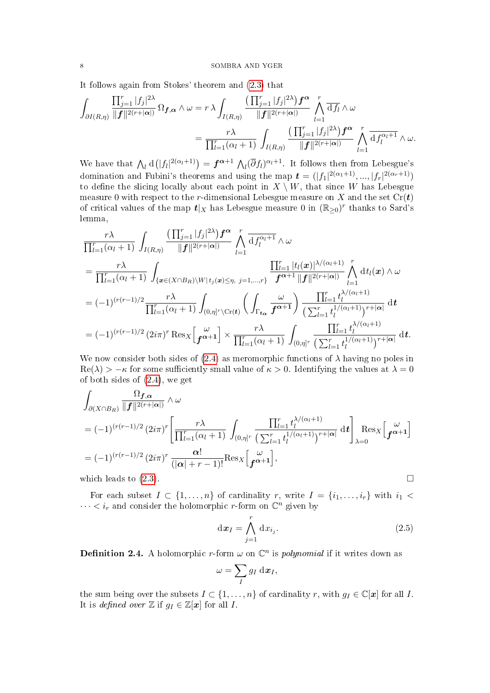It follows again from Stokes' theorem and [\(2.3\)](#page-6-0) that

$$
\int_{\partial I(R,\eta)} \frac{\prod_{j=1}^r |f_j|^{2\lambda}}{\|f\|^{2(r+|\alpha|)}} \Omega_{\boldsymbol{f},\boldsymbol{\alpha}} \wedge \omega = r \lambda \int_{I(R,\eta)} \frac{\left(\prod_{j=1}^r |f_j|^{2\lambda}\right) \boldsymbol{f}^{\boldsymbol{\alpha}}}{\|f\|^{2(r+|\alpha|)}} \bigwedge_{l=1}^r \overline{\mathrm{d}f_l} \wedge \omega
$$
\n
$$
= \frac{r \lambda}{\prod_{l=1}^r (\alpha_l+1)} \int_{I(R,\eta)} \frac{\left(\prod_{j=1}^r |f_j|^{2\lambda}\right) \boldsymbol{f}^{\boldsymbol{\alpha}}}{\|f\|^{2(r+|\alpha|)}} \bigwedge_{l=1}^r \overline{\mathrm{d}f_l^{\alpha_l+1}} \wedge \omega.
$$

We have that  $\bigwedge_l \mathrm{d}(|f_l|^{2(\alpha_l+1)}) = \boldsymbol{f}^{\boldsymbol{\alpha}+1} \bigwedge_l (\overline{\partial} f_l)^{\alpha_l+1}$ . It follows then from Lebesgue's domination and Fubini's theorems and using the map  $\boldsymbol{t} = (|f_1|^{2(\alpha_1+1)}, ..., |f_r|^{2(\alpha_r+1)})$ to define the slicing locally about each point in  $X \setminus W$ , that since W has Lebesgue measure 0 with respect to the r-dimensional Lebesgue measure on X and the set  $Cr(t)$ of critical values of the map  $t|_X$  has Lebesgue measure 0 in  $(\mathbb{R}_{\geq 0})^r$  thanks to Sard's lemma,

$$
\frac{r\lambda}{\prod_{l=1}^{r}(\alpha_{l}+1)} \int_{I(R,\eta)} \frac{\left(\prod_{j=1}^{r}|f_{j}|^{2\lambda}\right) f^{\alpha}}{\|f\|^{2(r+|\alpha|)}} \bigwedge_{l=1}^{r} \frac{1}{d} f_{l}^{\alpha_{l}+1} \wedge \omega
$$
\n
$$
= \frac{r\lambda}{\prod_{l=1}^{r}(\alpha_{l}+1)} \int_{\{\boldsymbol{x}\in(X\cap B_{R})\backslash W|\, t_{j}(\boldsymbol{x})\leq\eta,\, j=1,\ldots,r\}} \frac{\prod_{l=1}^{r}|t_{l}(\boldsymbol{x})|^{\lambda/(\alpha_{l}+1)}}{f^{\alpha+1}||f||^{2(r+|\alpha|)}} \bigwedge_{l=1}^{r} dt_{l}(\boldsymbol{x}) \wedge \omega
$$
\n
$$
= (-1)^{(r(r-1)/2} \frac{r\lambda}{\prod_{l=1}^{r}(\alpha_{l}+1)} \int_{(0,\eta]^{r}\backslash \mathrm{Cr}(\boldsymbol{t})} \left(\int_{\Gamma_{t_{\alpha}}} \frac{\omega}{f^{\alpha+1}}\right) \frac{\prod_{l=1}^{r} t_{l}^{\lambda/(\alpha_{l}+1)}}{(\sum_{l=1}^{r} t_{l}^{1/(\alpha_{l}+1)})^{r+|\alpha|}} dt
$$
\n
$$
= (-1)^{(r(r-1)/2} (2i\pi)^{r} \operatorname{Res}_{X} \left[\frac{\omega}{f^{\alpha+1}}\right] \times \frac{r\lambda}{\prod_{l=1}^{r}(\alpha_{l}+1)} \int_{(0,\eta]^{r}} \frac{\prod_{l=1}^{r} t_{l}^{\lambda/(\alpha_{l}+1)}}{(\sum_{l=1}^{r} t_{l}^{1/(\alpha_{l}+1)})^{r+|\alpha|}} dt.
$$

We now consider both sides of  $(2.4)$  as meromorphic functions of  $\lambda$  having no poles in  $\text{Re}(\lambda) > -\kappa$  for some sufficiently small value of  $\kappa > 0$ . Identifying the values at  $\lambda = 0$ of both sides of [\(2.4\)](#page-6-1), we get

$$
\int_{\partial(X\cap B_R)} \frac{\Omega_{f,\alpha}}{\|f\|^{2(r+|\alpha|)}} \wedge \omega
$$
\n
$$
= (-1)^{(r(r-1)/2)} (2i\pi)^r \left[ \frac{r\lambda}{\prod_{l=1}^r (\alpha_l+1)} \int_{(0,\eta]^r} \frac{\prod_{l=1}^r t_l^{\lambda/(\alpha_l+1)}}{\left(\sum_{l=1}^r t_l^{1/(\alpha_l+1)}\right)^{r+|\alpha|}} dt \right]_{\lambda=0} \text{Res}_X \left[ f^{\alpha+1} \right]
$$
\n
$$
= (-1)^{(r(r-1)/2)} (2i\pi)^r \frac{\alpha!}{(|\alpha|+r-1)!} \text{Res}_X \left[ f^{\alpha+1} \right],
$$
\nwhich leads to (2.3).

For each subset  $I \subset \{1, \ldots, n\}$  of cardinality r, write  $I = \{i_1, \ldots, i_r\}$  with  $i_1 <$  $\cdots < i_r$  and consider the holomorphic *r*-form on  $\mathbb{C}^n$  given by

$$
\mathrm{d}\boldsymbol{x}_I = \bigwedge_{j=1}^r \mathrm{d}x_{i_j}.\tag{2.5}
$$

<span id="page-7-0"></span>**Definition 2.4.** A holomorphic *r*-form  $\omega$  on  $\mathbb{C}^n$  is *polynomial* if it writes down as

$$
\omega = \sum_{I} g_I \, \mathrm{d} \boldsymbol{x}_I,
$$

the sum being over the subsets  $I \subset \{1, \ldots, n\}$  of cardinality r, with  $g_I \in \mathbb{C}[x]$  for all I. It is *defined over*  $\mathbb{Z}$  if  $g_I \in \mathbb{Z}[\mathbf{x}]$  for all  $I$ .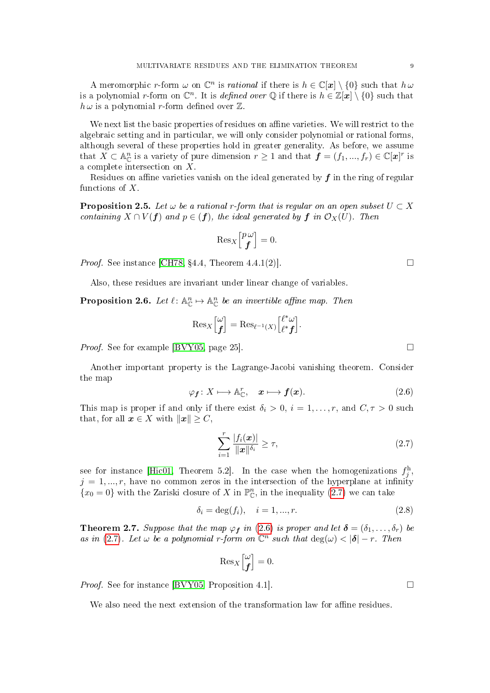A meromorphic r-form  $\omega$  on  $\mathbb{C}^n$  is rational if there is  $h \in \mathbb{C}[x] \setminus \{0\}$  such that  $h \omega$ is a polynomial r-form on  $\mathbb{C}^n$ . It is *defined over*  $\mathbb Q$  if there is  $h \in \mathbb Z[\bm x] \setminus \{0\}$  such that  $h \omega$  is a polynomial r-form defined over  $\mathbb{Z}$ .

We next list the basic properties of residues on affine varieties. We will restrict to the algebraic setting and in particular, we will only consider polynomial or rational forms, although several of these properties hold in greater generality. As before, we assume that  $X \subset \mathbb{A}_{\mathbb{C}}^n$  is a variety of pure dimension  $r \geq 1$  and that  $\mathbf{f} = (f_1, ..., f_r) \in \mathbb{C}[\mathbf{x}]^r$  is a complete intersection on X.

Residues on affine varieties vanish on the ideal generated by  $f$  in the ring of regular functions of  $X$ .

<span id="page-8-5"></span>**Proposition 2.5.** Let  $\omega$  be a rational r-form that is regular on an open subset  $U \subset X$ containing  $X \cap V(f)$  and  $p \in (f)$ , the ideal generated by f in  $\mathcal{O}_X(U)$ . Then

$$
\operatorname{Res}_{X}\begin{bmatrix} p\,\omega\\ \boldsymbol{f} \end{bmatrix} = 0.
$$

*Proof.* See instance [\[CH78,](#page-39-8) §4.4, Theorem 4.4.1(2)].

Also, these residues are invariant under linear change of variables.

<span id="page-8-4"></span>**Proposition 2.6.** Let  $\ell : \mathbb{A}_{\mathbb{C}}^n \mapsto \mathbb{A}_{\mathbb{C}}^n$  be an invertible affine map. Then

$$
\operatorname{Res}_{X}\begin{bmatrix} \omega \\ \mathbf{f} \end{bmatrix} = \operatorname{Res}_{\ell^{-1}(X)} \begin{bmatrix} \ell^* \omega \\ \ell^* \mathbf{f} \end{bmatrix}.
$$

*Proof.* See for example [\[BVY05,](#page-39-9) page 25].

Another important property is the Lagrange-Jacobi vanishing theorem. Consider the map

<span id="page-8-1"></span>
$$
\varphi_f \colon X \longmapsto \mathbb{A}_{\mathbb{C}}^r, \quad x \longmapsto f(x). \tag{2.6}
$$

This map is proper if and only if there exist  $\delta_i > 0, i = 1, \ldots, r$ , and  $C, \tau > 0$  such that, for all  $x \in X$  with  $||x|| \geq C$ ,

<span id="page-8-0"></span>
$$
\sum_{i=1}^{r} \frac{|f_i(\boldsymbol{x})|}{\|\boldsymbol{x}\|^{\delta_i}} \geq \tau,
$$
\n(2.7)

see for instance [\[Hic01,](#page-39-11) Theorem 5.2]. In the case when the homogenizations  $f_j^{\text{h}}$ ,  $j = 1, ..., r$ , have no common zeros in the intersection of the hyperplane at infinity  ${x_0 = 0}$  with the Zariski closure of X in  $\mathbb{P}^n_{\mathbb{C}}$ , in the inequality [\(2.7\)](#page-8-0) we can take

<span id="page-8-2"></span>
$$
\delta_i = \deg(f_i), \quad i = 1, ..., r.
$$
\n(2.8)

<span id="page-8-3"></span>**Theorem 2.7.** Suppose that the map  $\varphi_f$  in [\(2.6\)](#page-8-1) is proper and let  $\boldsymbol{\delta} = (\delta_1, \ldots, \delta_r)$  be as in [\(2.7\)](#page-8-0). Let  $\omega$  be a polynomial r-form on  $\mathbb{C}^n$  such that  $\deg(\omega) < |\delta| - r$ . Then

$$
\mathrm{Res}_X \Big[\begin{matrix} \omega \\ \mathbf{f} \end{matrix} \Big] = 0.
$$

*Proof.* See for instance [\[BVY05,](#page-39-9) Proposition 4.1].

We also need the next extension of the transformation law for affine residues.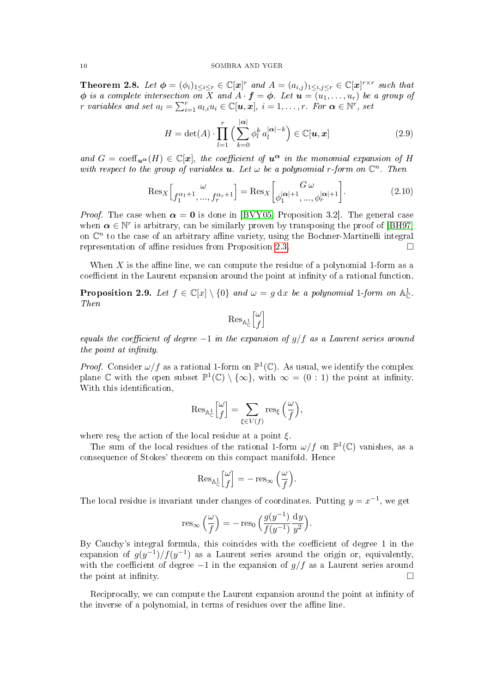<span id="page-9-0"></span>**Theorem 2.8.** Let  $\phi = (\phi_i)_{1 \leq i \leq r} \in \mathbb{C}[\mathbf{x}]^r$  and  $A = (a_{i,j})_{1 \leq i,j \leq r} \in \mathbb{C}[\mathbf{x}]^{r \times r}$  such that  $\phi$  is a complete intersection on X and  $A \cdot \bm{f} = \phi$ . Let  $\bm{u} = (u_1, \ldots, u_r)$  be a group of r variables and set  $a_l = \sum_{i=1}^r a_{l,i} u_i \in \mathbb{C}[u, x]$ ,  $i = 1, \ldots, r$ . For  $\boldsymbol{\alpha} \in \mathbb{N}^r$ , set

<span id="page-9-2"></span>
$$
H = \det(A) \cdot \prod_{l=1}^{r} \left( \sum_{k=0}^{|\alpha|} \phi_l^k a_l^{|\alpha|-k} \right) \in \mathbb{C}[u, x]
$$
 (2.9)

and  $G = \text{coeff}_{\mathbf{u}^{\alpha}}(H) \in \mathbb{C}[\mathbf{x}]$ , the coefficient of  $\mathbf{u}^{\alpha}$  in the monomial expansion of H with respect to the group of variables  $u$ . Let  $\omega$  be a polynomial r-form on  $\mathbb{C}^n$ . Then

<span id="page-9-3"></span>
$$
\text{Res}_{X}\Big[\begin{matrix} \omega \\ f_1^{\alpha_1+1}, \dots, f_r^{\alpha_r+1} \end{matrix}\Big] = \text{Res}_{X}\Big[\begin{matrix} G \omega \\ \phi_1^{|\alpha|+1}, \dots, \phi_r^{|\alpha|+1} \end{matrix}\Big].
$$
 (2.10)

*Proof.* The case when  $\alpha = 0$  is done in [\[BVY05,](#page-39-9) Proposition 3.2]. The general case when  $\alpha \in \mathbb{N}^r$  is arbitrary, can be similarly proven by transposing the proof of [\[BH97\]](#page-39-12) on  $\mathbb{C}^n$  to the case of an arbitrary affine variety, using the Bochner-Martinelli integral representation of affine residues from Proposition [2.3.](#page-6-2)

When  $X$  is the affine line, we can compute the residue of a polynomial 1-form as a coefficient in the Laurent expansion around the point at infinity of a rational function.

<span id="page-9-1"></span>**Proposition 2.9.** Let  $f \in \mathbb{C}[x] \setminus \{0\}$  and  $\omega = g \, dx$  be a polynomial 1-form on  $\mathbb{A}_{\mathbb{C}}^1$ . Then

$$
\operatorname{Res}_{\mathbb{A}^1_{\mathbb{C}}} \left[ \begin{matrix} \omega \\ f \end{matrix} \right]
$$

equals the coefficient of degree  $-1$  in the expansion of  $g/f$  as a Laurent series around the point at infinity.

*Proof.* Consider  $\omega/f$  as a rational 1-form on  $\mathbb{P}^1(\mathbb{C})$ . As usual, we identify the complex plane C with the open subset  $\mathbb{P}^1(\mathbb{C}) \setminus \{\infty\}$ , with  $\infty = (0 : 1)$  the point at infinity. With this identification,

$$
\mathrm{Res}_{\mathbb{A}^1_{\mathbb{C}}} {\omega \brack f} = \sum_{\xi \in V(f)} \mathrm{res}_\xi \Big( \frac{\omega}{f} \Big),
$$

where res<sub>ξ</sub> the action of the local residue at a point  $\xi$ .

The sum of the local residues of the rational 1-form  $\omega/f$  on  $\mathbb{P}^1(\mathbb{C})$  vanishes, as a consequence of Stokes' theorem on this compact manifold. Hence

$$
\operatorname{Res}_{\mathbb{A}_{\mathbb{C}}^1}\begin{bmatrix} \omega \\ f \end{bmatrix} = -\operatorname{res}_{\infty}\left(\frac{\omega}{f}\right).
$$

The local residue is invariant under changes of coordinates. Putting  $y = x^{-1}$ , we get

$$
\operatorname{res}_{\infty}\left(\frac{\omega}{f}\right) = -\operatorname{res}_{0}\left(\frac{g(y^{-1})}{f(y^{-1})}\frac{\mathrm{d}y}{y^{2}}\right).
$$

By Cauchy's integral formula, this coincides with the coefficient of degree 1 in the expansion of  $g(y^{-1})/f(y^{-1})$  as a Laurent series around the origin or, equivalently, with the coefficient of degree  $-1$  in the expansion of  $g/f$  as a Laurent series around the point at infinity.  $\Box$ 

Reciprocally, we can compute the Laurent expansion around the point at infinity of the inverse of a polynomial, in terms of residues over the affine line.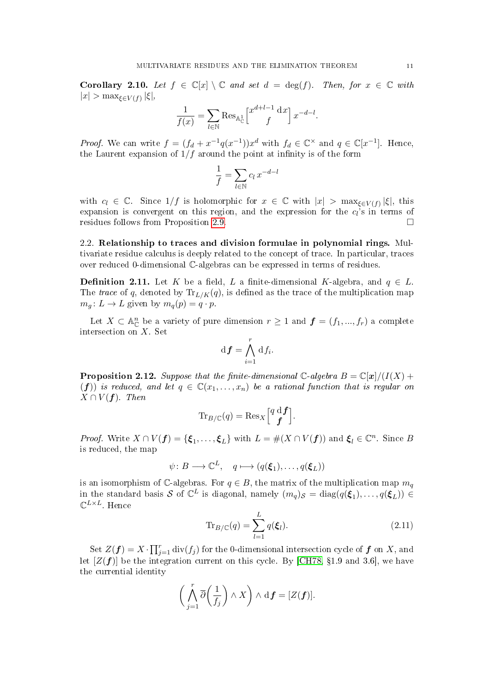<span id="page-10-3"></span>Corollary 2.10. Let  $f \in \mathbb{C}[x] \setminus \mathbb{C}$  and set  $d = \deg(f)$ . Then, for  $x \in \mathbb{C}$  with  $|x| > \max_{\xi \in V(f)} |\xi|,$ 

$$
\frac{1}{f(x)} = \sum_{l \in \mathbb{N}} \text{Res}_{\mathbb{A}_{\mathbb{C}}^1} \left[ \begin{matrix} x^{d+l-1} & \text{d}x \\ f & \end{matrix} \right] x^{-d-l}.
$$

*Proof.* We can write  $f = (f_d + x^{-1}q(x^{-1}))x^d$  with  $f_d \in \mathbb{C}^\times$  and  $q \in \mathbb{C}[x^{-1}]$ . Hence, the Laurent expansion of  $1/f$  around the point at infinity is of the form

$$
\frac{1}{f} = \sum_{l \in \mathbb{N}} c_l x^{-d-l}
$$

with  $c_l \in \mathbb{C}$ . Since  $1/f$  is holomorphic for  $x \in \mathbb{C}$  with  $|x| > \max_{\xi \in V(f)} |\xi|$ , this expansion is convergent on this region, and the expression for the  $c_l$ 's in terms of residues follows from Proposition [2.9.](#page-9-1)

<span id="page-10-0"></span>2.2. Relationship to traces and division formulae in polynomial rings. Multivariate residue calculus is deeply related to the concept of trace. In particular, traces over reduced 0-dimensional C-algebras can be expressed in terms of residues.

**Definition 2.11.** Let K be a field, L a finite-dimensional K-algebra, and  $q \in L$ . The trace of q, denoted by  $\text{Tr}_{L/K}(q)$ , is defined as the trace of the multiplication map  $m_q: L \to L$  given by  $m_q(p) = q \cdot p$ .

Let  $X \subset \mathbb{A}_{\mathbb{C}}^n$  be a variety of pure dimension  $r \geq 1$  and  $\boldsymbol{f} = (f_1, ..., f_r)$  a complete intersection on X. Set

$$
\mathrm{d}\boldsymbol{f} = \bigwedge_{i=1}^r \mathrm{d} f_i.
$$

<span id="page-10-2"></span>**Proposition 2.12.** Suppose that the finite-dimensional C-algebra  $B = \mathbb{C}[\mathbf{x}]/(I(X) + I(X))$ (f)) is reduced, and let  $q \in \mathbb{C}(x_1, \ldots, x_n)$  be a rational function that is regular on  $X \cap V(f)$ . Then

$$
\mathrm{Tr}_{B/\mathbb{C}}(q) = \mathrm{Res}_X \left[ \begin{matrix} q \ d \ \pmb{f} \\ \pmb{f} \end{matrix} \right].
$$

*Proof.* Write  $X \cap V(f) = {\xi_1, ..., \xi_L}$  with  $L = \#(X \cap V(f))$  and  $\xi_l \in \mathbb{C}^n$ . Since B is reduced, the map

 $\psi \colon B \longrightarrow \mathbb{C}^L$ ,  $q \longmapsto (q(\boldsymbol{\xi}_1), \dots, q(\boldsymbol{\xi}_L))$ 

is an isomorphism of C-algebras. For  $q \in B$ , the matrix of the multiplication map  $m_q$ in the standard basis S of  $\mathbb{C}^L$  is diagonal, namely  $(m_q)_{\mathcal{S}} = \text{diag}(q(\boldsymbol{\xi}_1), \dots, q(\boldsymbol{\xi}_L)) \in$  $\mathbb{C}^{L\times L}$ . Hence

<span id="page-10-1"></span>
$$
\operatorname{Tr}_{B/\mathbb{C}}(q) = \sum_{l=1}^{L} q(\boldsymbol{\xi}_l). \tag{2.11}
$$

Set  $Z(\boldsymbol{f}) = X \cdot \prod_{j=1}^r \text{div}(f_j)$  for the 0-dimensional intersection cycle of  $\boldsymbol{f}$  on  $X$ , and let  $[Z(f)]$  be the integration current on this cycle. By [\[CH78,](#page-39-8) §1.9 and 3.6], we have the currential identity

$$
\left(\bigwedge_{j=1}^r \overline{\partial}\bigg(\frac{1}{f_j}\bigg) \wedge X\right) \wedge d\mathbf{f} = [Z(\mathbf{f})].
$$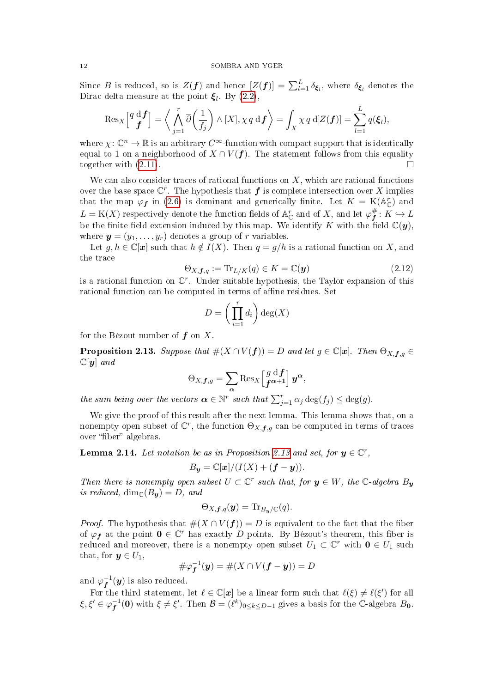Since B is reduced, so is  $Z(f)$  and hence  $[Z(f)] = \sum_{l=1}^{L} \delta_{\xi_l}$ , where  $\delta_{\xi_l}$  denotes the Dirac delta measure at the point  $\xi_l$ . By [\(2.2\)](#page-6-3),

$$
\operatorname{Res}_{X}\left[\begin{matrix}q \ d \ \pmb{f} \\ \pmb{f}\end{matrix}\right]=\left\langle \bigwedge_{j=1}^{r}\overline{\partial}\left(\frac{1}{f_{j}}\right)\wedge[X],\chi q \ d\pmb{f}\right\rangle =\int_{X}\chi q \ d[Z(\pmb{f})]=\sum_{l=1}^{L}q(\pmb{\xi}_{l}),
$$

where  $\chi: \mathbb{C}^n \to \mathbb{R}$  is an arbitrary  $C^{\infty}$ -function with compact support that is identically equal to 1 on a neighborhood of  $X \cap V(f)$ . The statement follows from this equality together with  $(2.11)$ .

We can also consider traces of rational functions on  $X$ , which are rational functions over the base space  $\mathbb{C}^r$ . The hypothesis that  $f$  is complete intersection over X implies that the map  $\varphi_f$  in [\(2.6\)](#page-8-1) is dominant and generically finite. Let  $K = K(\mathbb{A}_{\mathbb{C}}^r)$  and  $L = \mathrm{K}(X)$  respectively denote the function fields of  $\mathbb{A}^r_\mathbb{C}$  and of  $X,$  and let  $\varphi^\#_\mathbf{f}$  $f\overline{f} : K \hookrightarrow L$ be the finite field extension induced by this map. We identify K with the field  $\mathbb{C}(\mathbf{y})$ , where  $\mathbf{y} = (y_1, \ldots, y_r)$  denotes a group of r variables.

Let  $g, h \in \mathbb{C}[x]$  such that  $h \notin I(X)$ . Then  $q = g/h$  is a rational function on X, and the trace

<span id="page-11-2"></span>
$$
\Theta_{X,\mathbf{f},q} := \text{Tr}_{L/K}(q) \in K = \mathbb{C}(\mathbf{y}) \tag{2.12}
$$

is a rational function on  $\mathbb{C}^r$ . Under suitable hypothesis, the Taylor expansion of this rational function can be computed in terms of affine residues. Set

$$
D = \left(\prod_{i=1}^r d_i\right) \deg(X)
$$

for the Bézout number of  $f$  on  $X$ .

<span id="page-11-0"></span>**Proposition 2.13.** Suppose that  $\#(X \cap V(f)) = D$  and let  $g \in \mathbb{C}[x]$ . Then  $\Theta_{X,f,g} \in$  $\mathbb{C}[\boldsymbol{y}]$  and

$$
\Theta_{X,\boldsymbol{f},g}=\sum_{\boldsymbol{\alpha}}\operatorname{Res}_{X}\left[\begin{matrix}g\mathrm{d}\boldsymbol{f}\\ \boldsymbol{f}^{\boldsymbol{\alpha}+1}\end{matrix}\right]\boldsymbol{y}^{\boldsymbol{\alpha}},
$$

the sum being over the vectors  $\boldsymbol{\alpha} \in \mathbb{N}^r$  such that  $\sum_{j=1}^r \alpha_j \deg(f_j) \leq \deg(g)$ .

We give the proof of this result after the next lemma. This lemma shows that, on a nonempty open subset of  $\mathbb{C}^r$ , the function  $\Theta_{X,\boldsymbol{f},g}$  can be computed in terms of traces over "fiber" algebras.

<span id="page-11-1"></span>**Lemma 2.14.** Let notation be as in Proposition [2.13](#page-11-0) and set, for  $y \in \mathbb{C}^r$ ,

$$
B_{\mathbf{y}} = \mathbb{C}[\mathbf{x}]/(I(X) + (\mathbf{f} - \mathbf{y})).
$$

Then there is nonempty open subset  $U \subset \mathbb{C}^r$  such that, for  $y \in W$ , the  $\mathbb{C}$ -algebra  $B_y$ is reduced,  $\dim_{\mathbb{C}}(B_{\mathbf{y}}) = D$ , and

$$
\Theta_{X,\boldsymbol{f},q}(\boldsymbol{y}) = \text{Tr}_{B_{\boldsymbol{y}}/\mathbb{C}}(q).
$$

*Proof.* The hypothesis that  $#(X \cap V(f)) = D$  is equivalent to the fact that the fiber of  $\varphi_f$  at the point  $0 \in \mathbb{C}^r$  has exactly D points. By Bézout's theorem, this fiber is reduced and moreover, there is a nonempty open subset  $U_1 \subset \mathbb{C}^r$  with  $\mathbf{0} \in U_1$  such that, for  $y \in U_1$ ,

$$
\#\varphi_{\boldsymbol{f}}^{-1}(\boldsymbol{y}) = \#(X \cap V(\boldsymbol{f} - \boldsymbol{y})) = D
$$

and  $\varphi_{\bm{f}}^{-1}$  $f^{\text{-}1}(\boldsymbol{y})$  is also reduced.

For the third statement, let  $\ell \in \mathbb{C}[\bm{x}]$  be a linear form such that  $\ell(\xi) \neq \ell(\xi')$  for all  $\xi, \xi' \in \varphi_{\bm{f}}^{-1}$  $f^{-1}(0)$  with  $\xi \neq \xi'$ . Then  $\mathcal{B} = (\ell^k)_{0 \leq k \leq D-1}$  gives a basis for the C-algebra  $B_0$ .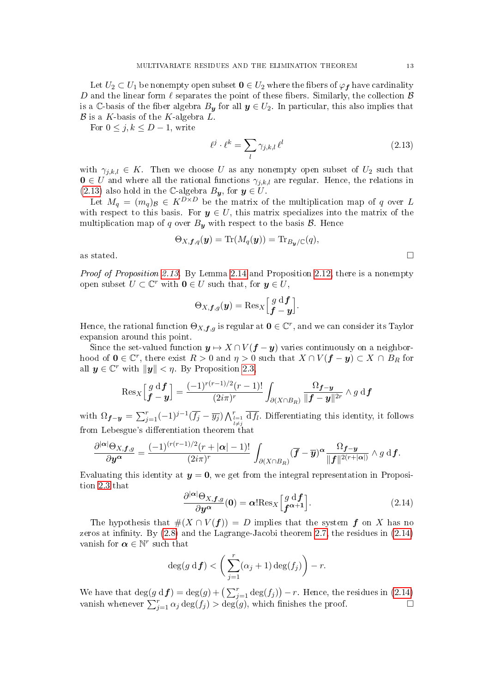Let  $U_2 \subset U_1$  be nonempty open subset  $\mathbf{0} \in U_2$  where the fibers of  $\varphi_f$  have cardinality D and the linear form  $\ell$  separates the point of these fibers. Similarly, the collection  $\mathcal B$ is a C-basis of the fiber algebra  $B_y$  for all  $y \in U_2$ . In particular, this also implies that  $\mathcal B$  is a K-basis of the K-algebra  $L$ .

For  $0 \leq j, k \leq D-1$ , write

<span id="page-12-0"></span>
$$
\ell^j \cdot \ell^k = \sum_l \gamma_{j,k,l} \,\ell^l \tag{2.13}
$$

with  $\gamma_{i,k,l} \in K$ . Then we choose U as any nonempty open subset of  $U_2$  such that  $0 \in U$  and where all the rational functions  $\gamma_{j,k,l}$  are regular. Hence, the relations in [\(2.13\)](#page-12-0) also hold in the C-algebra  $B_y$ , for  $y \in U$ .

Let  $M_q = (m_q)_{\mathcal{B}} \in K^{D \times D}$  be the matrix of the multiplication map of q over L with respect to this basis. For  $y \in U$ , this matrix specializes into the matrix of the multiplication map of q over  $B_{\mathbf{y}}$  with respect to the basis  $\mathcal{B}$ . Hence

$$
\Theta_{X,\boldsymbol{f},q}(\boldsymbol{y})=\text{Tr}(M_q(\boldsymbol{y}))=\text{Tr}_{B_{\boldsymbol{y}}/\mathbb{C}}(q),
$$

as stated.  $\Box$ 

Proof of Proposition [2.13.](#page-11-0) By Lemma [2.14](#page-11-1) and Proposition [2.12,](#page-10-2) there is a nonempty open subset  $U \subset \mathbb{C}^r$  with  $\mathbf{0} \in U$  such that, for  $\mathbf{y} \in U$ ,

$$
\Theta_{X,\boldsymbol{f},g}(\boldsymbol{y}) = \mathrm{Res}_{X} \Big[\frac{g \mathrm{d}\boldsymbol{f}}{\boldsymbol{f}-\boldsymbol{y}}\Big].
$$

Hence, the rational function  $\Theta_{X,\bm{f},g}$  is regular at  $\mathbf{0} \in \mathbb{C}^r$ , and we can consider its Taylor expansion around this point.

Since the set-valued function  $y \mapsto X \cap V(f - y)$  varies continuously on a neighborhood of  $\mathbf{0} \in \mathbb{C}^r$ , there exist  $R > 0$  and  $\eta > 0$  such that  $X \cap V(\mathbf{f} - \mathbf{y}) \subset X \cap B_R$  for all  $y \in \mathbb{C}^r$  with  $||y|| < \eta$ . By Proposition [2.3,](#page-6-2)

$$
\operatorname{Res}_{X}\left[\begin{matrix}g\mathrm{d}\boldsymbol{f}\\ \boldsymbol{f}-\boldsymbol{y}\end{matrix}\right]=\frac{(-1)^{r(r-1)/2}(r-1)!}{(2i\pi)^r}\int_{\partial(X\cap B_R)}\frac{\Omega_{\boldsymbol{f}-\boldsymbol{y}}}{\|\boldsymbol{f}-\boldsymbol{y}\|^{2r}}\wedge g\mathrm{d}\boldsymbol{f}
$$

with  $\Omega_{f-y} = \sum_{j=1}^r (-1)^{j-1} (\overline{f_j} - \overline{y_j}) \bigwedge_{\substack{l=1 \ l \neq j}}^r \overline{\mathrm{d} f_l}$ . Differentiating this identity, it follows from Lebesgue's differentiation theorem that

$$
\frac{\partial^{|\boldsymbol{\alpha}|}\Theta_{X,\boldsymbol{f},g}}{\partial\boldsymbol{y}^{\boldsymbol{\alpha}}}=\frac{(-1)^{(r(r-1)/2}(r+|\boldsymbol{\alpha}|-1)!}{(2i\pi)^r}\,\int_{\partial(X\cap B_R)}(\overline{\boldsymbol{f}}-\overline{\boldsymbol{y}})^{\boldsymbol{\alpha}}\frac{\Omega_{\boldsymbol{f}-\boldsymbol{y}}}{\|\boldsymbol{f}\|^{2(r+|\boldsymbol{\alpha}|)}}\wedge g\,\mathrm{d}\boldsymbol{f}.
$$

Evaluating this identity at  $y = 0$ , we get from the integral representation in Proposition [2.3](#page-6-2) that

<span id="page-12-1"></span>
$$
\frac{\partial^{|\alpha|}\Theta_{X,\mathbf{f},g}}{\partial \mathbf{y}^{\alpha}}(\mathbf{0}) = \alpha! \text{Res}_{X} \left[ \begin{matrix} g \text{ d} \mathbf{f} \\ \mathbf{f}^{\alpha+1} \end{matrix} \right]. \tag{2.14}
$$

The hypothesis that  $#(X \cap V(f)) = D$  implies that the system f on X has no zeros at infinity. By  $(2.8)$  and the Lagrange-Jacobi theorem [2.7,](#page-8-3) the residues in  $(2.14)$ vanish for  $\boldsymbol{\alpha} \in \mathbb{N}^r$  such that

$$
\deg(g \, d\boldsymbol{f}) < \left(\sum_{j=1}^r (\alpha_j + 1) \deg(f_j)\right) - r.
$$

We have that  $\deg(g \, df) = \deg(g) + \left(\sum_{j=1}^r \deg(f_j)\right) - r$ . Hence, the residues in [\(2.14\)](#page-12-1) vanish whenever  $\sum_{j=1}^r \alpha_j \deg(f_j) > \deg(g)$ , which finishes the proof.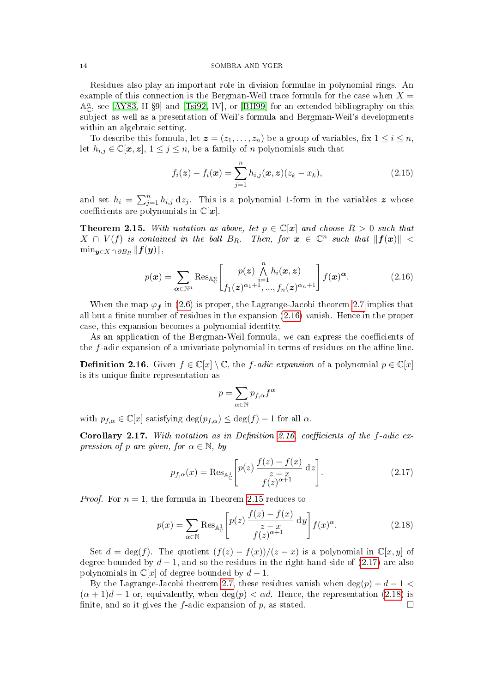Residues also play an important role in division formulae in polynomial rings. An example of this connection is the Bergman-Weil trace formula for the case when  $X =$  $\mathbb{A}^n_{\mathbb{C}}$ , see [\[AY83,](#page-39-1) II §9] and [\[Tsi92,](#page-40-0) IV], or [\[BH99\]](#page-39-2) for an extended bibliography on this subject as well as a presentation of Weil's formula and Bergman-Weil's developments within an algebraic setting.

To describe this formula, let  $\boldsymbol{z} = (z_1, \ldots, z_n)$  be a group of variables, fix  $1 \leq i \leq n$ , let  $h_{i,j} \in \mathbb{C}[\boldsymbol{x}, \boldsymbol{z}], 1 \leq j \leq n$ , be a family of n polynomials such that

<span id="page-13-5"></span>
$$
f_i(z) - f_i(x) = \sum_{j=1}^n h_{i,j}(x, z)(z_k - x_k),
$$
\n(2.15)

and set  $h_i = \sum_{j=1}^n h_{i,j} dz_j$ . This is a polynomial 1-form in the variables z whose coefficients are polynomials in  $\mathbb{C}[x]$ .

<span id="page-13-0"></span>**Theorem 2.15.** With notation as above, let  $p \in \mathbb{C}[x]$  and choose  $R > 0$  such that  $X \cap V(f)$  is contained in the ball  $B_R$ . Then, for  $\boldsymbol{x} \in \mathbb{C}^n$  such that  $\|\boldsymbol{f}(\boldsymbol{x})\|$  <  $\min_{\bm{y}\in X\,cap \partial B_R} \|\bm{f}(\bm{y})\|,$ 

<span id="page-13-1"></span>
$$
p(\boldsymbol{x}) = \sum_{\boldsymbol{\alpha} \in \mathbb{N}^n} \text{Res}_{\mathbb{A}_{\mathbb{C}}^n} \left[ p(\boldsymbol{z}) \bigwedge_{i=1}^n h_i(\boldsymbol{x}, \boldsymbol{z}) \! \bigwedge_{j=1}^n f(\boldsymbol{x})^{\boldsymbol{\alpha}}. \right] f(\boldsymbol{x})^{\boldsymbol{\alpha}}.
$$
 (2.16)

When the map  $\varphi_f$  in [\(2.6\)](#page-8-1) is proper, the Lagrange-Jacobi theorem [2.7](#page-8-3) implies that all but a finite number of residues in the expansion  $(2.16)$  vanish. Hence in the proper case, this expansion becomes a polynomial identity.

As an application of the Bergman-Weil formula, we can express the coefficients of the  $f$ -adic expansion of a univariate polynomial in terms of residues on the affine line.

<span id="page-13-2"></span>**Definition 2.16.** Given  $f \in \mathbb{C}[x] \setminus \mathbb{C}$ , the f-adic expansion of a polynomial  $p \in \mathbb{C}[x]$ is its unique finite representation as

$$
p=\sum_{\alpha\in\mathbb{N}}p_{f,\alpha}f^\alpha
$$

with  $p_{f,\alpha} \in \mathbb{C}[x]$  satisfying  $\deg(p_{f,\alpha}) \leq \deg(f) - 1$  for all  $\alpha$ .

Corollary 2.17. With notation as in Definition [2.16,](#page-13-2) coefficients of the f-adic expression of p are given, for  $\alpha \in \mathbb{N}$ , by

<span id="page-13-3"></span>
$$
p_{f,\alpha}(x) = \operatorname{Res}_{\mathbb{A}_{\mathbb{C}}^1} \left[ p(z) \, \frac{f(z) - f(x)}{z - x} \, \mathrm{d}z \right]. \tag{2.17}
$$

*Proof.* For  $n = 1$ , the formula in Theorem [2.15](#page-13-0) reduces to

<span id="page-13-4"></span>
$$
p(x) = \sum_{\alpha \in \mathbb{N}} \text{Res}_{\mathbb{A}_{\mathbb{C}}^1} \left[ p(z) \, \frac{f(z) - f(x)}{z - x} \, \mathrm{d}y \right] f(x)^{\alpha}.
$$
 (2.18)

Set  $d = \deg(f)$ . The quotient  $(f(z) - f(x))/(z - x)$  is a polynomial in  $\mathbb{C}[x, y]$  of degree bounded by  $d-1$ , and so the residues in the right-hand side of [\(2.17\)](#page-13-3) are also polynomials in  $\mathbb{C}[x]$  of degree bounded by  $d-1$ .

By the Lagrange-Jacobi theorem [2.7,](#page-8-3) these residues vanish when  $\deg(p) + d - 1$  $(\alpha + 1)d - 1$  or, equivalently, when  $\deg(p) < \alpha d$ . Hence, the representation [\(2.18\)](#page-13-4) is finite, and so it gives the f-adic expansion of p, as stated.  $\square$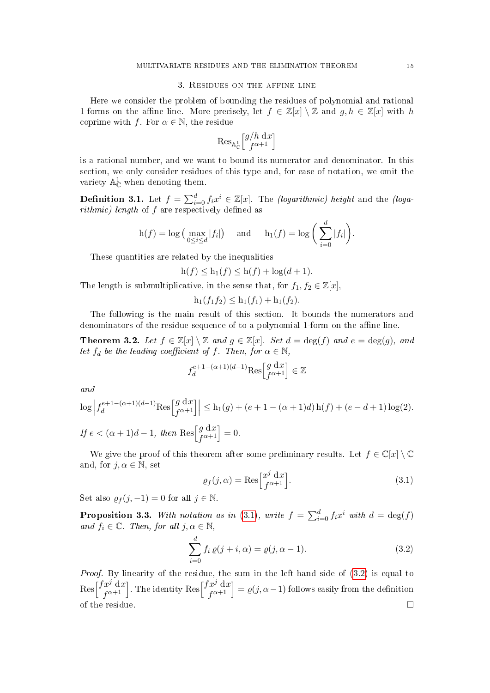### 3. Residues on the affine line

<span id="page-14-0"></span>Here we consider the problem of bounding the residues of polynomial and rational 1-forms on the affine line. More precisely, let  $f \in \mathbb{Z}[x] \setminus \mathbb{Z}$  and  $g, h \in \mathbb{Z}[x]$  with h coprime with f. For  $\alpha \in \mathbb{N}$ , the residue

$$
\operatorname{Res}_{\mathbb{A}^1_{\mathbb{C}}} \left[ \begin{matrix} g/h \, \mathrm{d}x \\ f^{\alpha+1} \end{matrix} \right]
$$

is a rational number, and we want to bound its numerator and denominator. In this section, we only consider residues of this type and, for ease of notation, we omit the variety  $\mathbb{A}_{\mathbb{C}}^1$  when denoting them.

**Definition 3.1.** Let  $f = \sum_{i=0}^{d} f_i x^i \in \mathbb{Z}[x]$ . The *(logarithmic) height* and the *(loga* $rithmic)$  length of  $f$  are respectively defined as

$$
h(f) = \log \left( \max_{0 \le i \le d} |f_i| \right)
$$
 and  $h_1(f) = \log \left( \sum_{i=0}^d |f_i| \right).$ 

These quantities are related by the inequalities

$$
h(f) \le h_1(f) \le h(f) + \log(d+1).
$$

The length is submultiplicative, in the sense that, for  $f_1, f_2 \in \mathbb{Z}[x]$ 

$$
h_1(f_1f_2) \leq h_1(f_1) + h_1(f_2).
$$

The following is the main result of this section. It bounds the numerators and denominators of the residue sequence of to a polynomial 1-form on the affine line.

<span id="page-14-1"></span>**Theorem 3.2.** Let  $f \in \mathbb{Z}[x] \setminus \mathbb{Z}$  and  $g \in \mathbb{Z}[x]$ . Set  $d = \deg(f)$  and  $e = \deg(g)$ , and let  $f_d$  be the leading coefficient of f. Then, for  $\alpha \in \mathbb{N}$ ,

$$
f_d^{e+1-(\alpha+1)(d-1)} \text{Res}\begin{bmatrix} g \text{ d}x \\ f^{\alpha+1} \end{bmatrix} \in \mathbb{Z}
$$

and

$$
\begin{aligned} &\log \left|f_d^{e+1-(\alpha+1)(d-1)} \text{Res}\Big[f_d^{e+1}\Big] \right| \leq \mathbf{h}_1(g) + (e+1-(\alpha+1)d) \, \mathbf{h}(f) + (e-d+1) \log(2).\\ &\text{If } e < (\alpha+1)d-1, \text{ then } \text{Res}\Big[f_{\alpha+1}^{e+1}\Big] = 0. \end{aligned}
$$

We give the proof of this theorem after some preliminary results. Let  $f \in \mathbb{C}[x] \setminus \mathbb{C}$ and, for  $j, \alpha \in \mathbb{N}$ , set

<span id="page-14-2"></span>
$$
\varrho_f(j,\alpha) = \text{Res}\Big[\begin{matrix} x^j \, \mathrm{d}x \\ f^{\alpha+1} \end{matrix}\Big].\tag{3.1}
$$

Set also  $\varrho_f(j,-1) = 0$  for all  $j \in \mathbb{N}$ .

<span id="page-14-4"></span>**Proposition 3.3.** With notation as in [\(3.1\)](#page-14-2), write  $f = \sum_{i=0}^{d} f_i x^i$  with  $d = \deg(f)$ and  $f_i \in \mathbb{C}$ . Then, for all  $j, \alpha \in \mathbb{N}$ ,

<span id="page-14-3"></span>
$$
\sum_{i=0}^{d} f_i \, \varrho(j+i,\alpha) = \varrho(j,\alpha-1). \tag{3.2}
$$

Proof. By linearity of the residue, the sum in the left-hand side of  $(3.2)$  is equal to  $\operatorname{Res}\left[\frac{fx^j}{f\alpha+1}\right]$  $\int_{f^{\alpha+1}}^{f^{\alpha}}\mathrm{d}x$ ]. The identity Res $\begin{bmatrix} f^{x^j}\mathrm{d}x & f^{x^j}\end{bmatrix}$  $\begin{bmatrix} x^j & dx \ f^{\alpha+1} \end{bmatrix} = \varrho(j,\alpha-1)$  follows easily from the definition of the residue.  $\Box$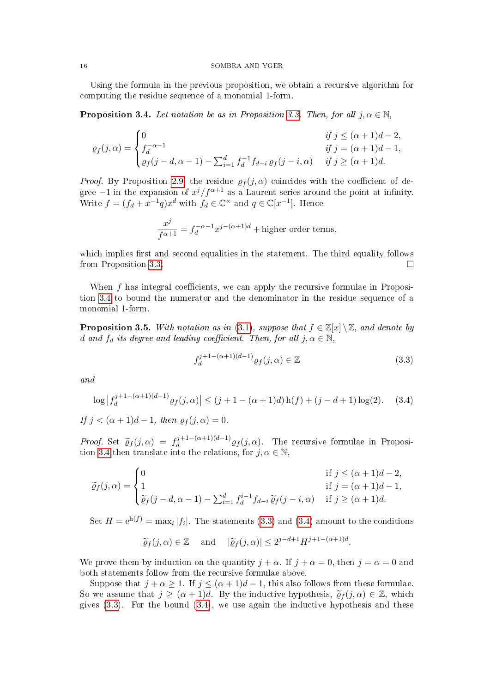Using the formula in the previous proposition, we obtain a recursive algorithm for computing the residue sequence of a monomial 1-form.

<span id="page-15-0"></span>**Proposition 3.4.** Let notation be as in Proposition [3.3.](#page-14-4) Then, for all  $j, \alpha \in \mathbb{N}$ ,

$$
\varrho_f(j,\alpha) = \begin{cases}\n0 & \text{if } j \leq (\alpha+1)d - 2, \\
f_d^{-\alpha-1} & \text{if } j = (\alpha+1)d - 1, \\
\varrho_f(j-d,\alpha-1) - \sum_{i=1}^d f_d^{-1} f_{d-i} \varrho_f(j-i,\alpha) & \text{if } j \geq (\alpha+1)d.\n\end{cases}
$$

*Proof.* By Proposition [2.9,](#page-9-1) the residue  $\rho_f(j,\alpha)$  coincides with the coefficient of degree  $-1$  in the expansion of  $x^{j}/f^{\alpha+1}$  as a Laurent series around the point at infinity. Write  $f = (f_d + x^{-1}q)x^d$  with  $f_d \in \mathbb{C}^\times$  and  $q \in \mathbb{C}[x^{-1}]$ . Hence

$$
\frac{x^j}{f^{\alpha+1}} = f_d^{-\alpha-1} x^{j-(\alpha+1)d} +
$$
higher order terms,

which implies first and second equalities in the statement. The third equality follows from Proposition [3.3.](#page-14-4)

When  $f$  has integral coefficients, we can apply the recursive formulae in Proposition [3.4](#page-15-0) to bound the numerator and the denominator in the residue sequence of a monomial 1-form.

<span id="page-15-3"></span>**Proposition 3.5.** With notation as in [\(3.1\)](#page-14-2), suppose that  $f \in \mathbb{Z}[x] \setminus \mathbb{Z}$ , and denote by d and  $f_d$  its degree and leading coefficient. Then, for all  $j, \alpha \in \mathbb{N}$ ,

<span id="page-15-1"></span>
$$
f_d^{j+1-(\alpha+1)(d-1)} \varrho_f(j,\alpha) \in \mathbb{Z}
$$
\n(3.3)

and

<span id="page-15-2"></span>
$$
\log |f_d^{j+1-(\alpha+1)(d-1)} \varrho_f(j,\alpha)| \le (j+1-(\alpha+1)d) \operatorname{h}(f) + (j-d+1)\log(2). \tag{3.4}
$$

If  $j < (\alpha + 1)d - 1$ , then  $\rho_f(j, \alpha) = 0$ .

Proof. Set  $\widetilde{\varrho}_f(j,\alpha) = f_d^{j+1-(\alpha+1)(d-1)}$ <br>tion 3.4 than translate into the relation  $\frac{d}{d} d^{(j+1)(a-1)} \varrho_f(j,\alpha)$ . The recursive formulae in Proposi-tion [3.4](#page-15-0) then translate into the relations, for  $j, \alpha \in \mathbb{N}$ ,

$$
\widetilde{\varrho}_f(j,\alpha) = \begin{cases}\n0 & \text{if } j \leq (\alpha+1)d-2, \\
1 & \text{if } j = (\alpha+1)d-1, \\
\widetilde{\varrho}_f(j-d,\alpha-1) - \sum_{i=1}^d f_d^{i-1} f_{d-i} \widetilde{\varrho}_f(j-i,\alpha) & \text{if } j \geq (\alpha+1)d.\n\end{cases}
$$

Set  $H = e^{h(f)} = \max_i |f_i|$ . The statements [\(3.3\)](#page-15-1) and [\(3.4\)](#page-15-2) amount to the conditions

$$
\widetilde{\varrho}_f(j,\alpha) \in \mathbb{Z}
$$
 and  $|\widetilde{\varrho}_f(j,\alpha)| \leq 2^{j-d+1} H^{j+1-(\alpha+1)d}$ .

We prove them by induction on the quantity  $j + \alpha$ . If  $j + \alpha = 0$ , then  $j = \alpha = 0$  and both statements follow from the recursive formulae above.

Suppose that  $j + \alpha \ge 1$ . If  $j \le (\alpha + 1)d - 1$ , this also follows from these formulae. So we assume that  $j \geq (\alpha + 1)d$ . By the inductive hypothesis,  $\tilde{\varrho}_f(j,\alpha) \in \mathbb{Z}$ , which gives  $(3.3)$ . For the bound  $(3.4)$ , we use again the inductive hypothesis and these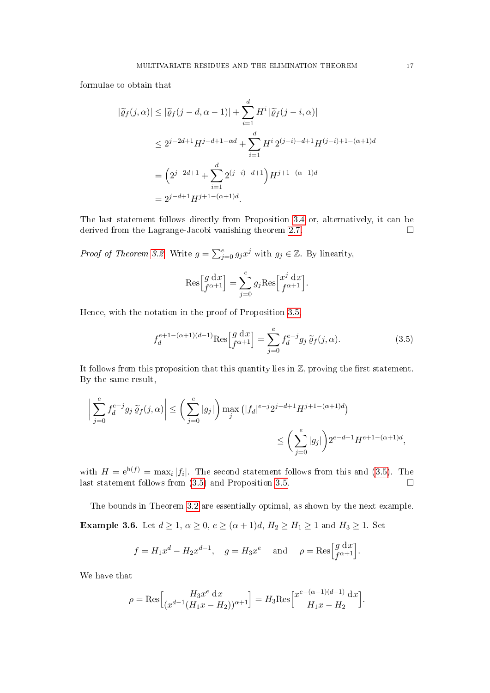formulae to obtain that

$$
|\widetilde{\varrho}_f(j,\alpha)| \leq |\widetilde{\varrho}_f(j-d,\alpha-1)| + \sum_{i=1}^d H^i |\widetilde{\varrho}_f(j-i,\alpha)|
$$
  
\n
$$
\leq 2^{j-2d+1} H^{j-d+1-\alpha d} + \sum_{i=1}^d H^i 2^{(j-i)-d+1} H^{(j-i)+1-(\alpha+1)d}
$$
  
\n
$$
= \left(2^{j-2d+1} + \sum_{i=1}^d 2^{(j-i)-d+1}\right) H^{j+1-(\alpha+1)d}
$$
  
\n
$$
= 2^{j-d+1} H^{j+1-(\alpha+1)d}.
$$

The last statement follows directly from Proposition [3.4](#page-15-0) or, alternatively, it can be derived from the Lagrange-Jacobi vanishing theorem [2.7.](#page-8-3)

*Proof of Theorem [3.2.](#page-14-1)* Write  $g = \sum_{j=0}^{e} g_j x^j$  with  $g_j \in \mathbb{Z}$ . By linearity,

$$
\operatorname{Res}\Big[\begin{matrix} g \ d x \\ f^{\alpha+1} \end{matrix}\Big] = \sum_{j=0}^e g_j \operatorname{Res}\Big[\begin{matrix} x^j \ d x \\ f^{\alpha+1} \end{matrix}\Big].
$$

Hence, with the notation in the proof of Proposition [3.5,](#page-15-3)

<span id="page-16-1"></span>
$$
f_d^{e+1-(\alpha+1)(d-1)}\text{Res}\Big[g\frac{d}{d\alpha+1}\Big] = \sum_{j=0}^e f_d^{e-j} g_j \,\widetilde{\varrho}_f(j,\alpha). \tag{3.5}
$$

It follows from this proposition that this quantity lies in  $\mathbb{Z}$ , proving the first statement. By the same result,

$$
\left| \sum_{j=0}^{e} f_d^{e-j} g_j \, \widetilde{\varrho}_f(j, \alpha) \right| \leq \left( \sum_{j=0}^{e} |g_j| \right) \max_j \left( |f_d|^{e-j} 2^{j-d+1} H^{j+1-(\alpha+1)d} \right)
$$
  

$$
\leq \left( \sum_{j=0}^{e} |g_j| \right) 2^{e-d+1} H^{e+1-(\alpha+1)d},
$$

with  $H = e^{h(f)} = \max_i |f_i|$ . The second statement follows from this and [\(3.5\)](#page-16-1). The last statement follows from  $(3.5)$  and Proposition [3.5.](#page-15-3)

<span id="page-16-0"></span>The bounds in Theorem [3.2](#page-14-1) are essentially optimal, as shown by the next example. Example 3.6. Let  $d \geq 1$ ,  $\alpha \geq 0$ ,  $e \geq (\alpha + 1)d$ ,  $H_2 \geq H_1 \geq 1$  and  $H_3 \geq 1$ . Set

$$
f = H_1 x^d - H_2 x^{d-1}
$$
,  $g = H_3 x^e$  and  $\rho = \text{Res} \begin{bmatrix} g \, dx \\ f^{\alpha+1} \end{bmatrix}$ .

We have that

$$
\rho = \text{Res}\Big[\begin{matrix} H_3 x^e \, \mathrm{d}x \\ (x^{d-1}(H_1 x - H_2))^{\alpha+1} \end{matrix}\Big] = H_3 \text{Res}\Big[\begin{matrix} x^{e-(\alpha+1)(d-1)} \, \mathrm{d}x \\ H_1 x - H_2 \end{matrix}\Big].
$$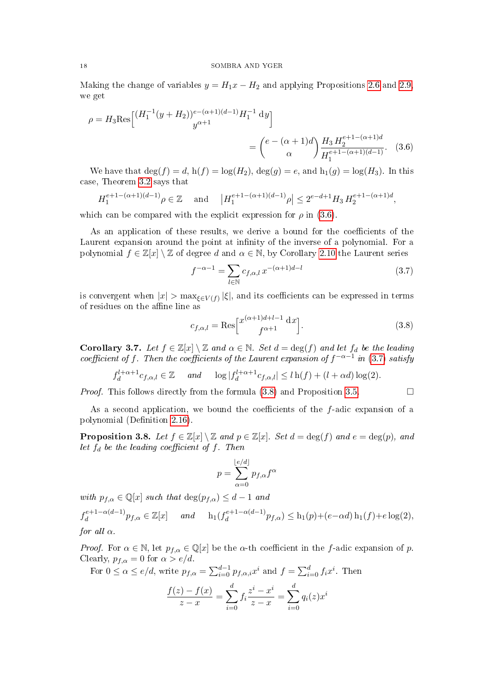Making the change of variables  $y = H_1x - H_2$  and applying Propositions [2.6](#page-8-4) and [2.9,](#page-9-1) we get

$$
\rho = H_3 \text{Res}\Big[\frac{(H_1^{-1}(y+H_2))^{e-(\alpha+1)(d-1)}H_1^{-1} \text{ d}y}{y^{\alpha+1}}\Big]
$$

$$
= \left(\frac{e-(\alpha+1)d}{\alpha}\right) \frac{H_3 H_2^{e+1-(\alpha+1)d}}{H_1^{e+1-(\alpha+1)(d-1)}}. (3.6)
$$

We have that  $\deg(f) = d$ ,  $h(f) = \log(H_2)$ ,  $\deg(g) = e$ , and  $h_1(g) = \log(H_3)$ . In this case, Theorem [3.2](#page-14-1) says that

$$
H_1^{e+1-(\alpha+1)(d-1)}\rho \in \mathbb{Z} \quad \text{and} \quad \left| H_1^{e+1-(\alpha+1)(d-1)}\rho \right| \le 2^{e-d+1}H_3 H_2^{e+1-(\alpha+1)d},
$$

which can be compared with the explicit expression for  $\rho$  in [\(3.6\)](#page-17-0).

As an application of these results, we derive a bound for the coefficients of the Laurent expansion around the point at infinity of the inverse of a polynomial. For a polynomial  $f \in \mathbb{Z}[x] \setminus \mathbb{Z}$  of degree d and  $\alpha \in \mathbb{N}$ , by Corollary [2.10](#page-10-3) the Laurent series

<span id="page-17-1"></span><span id="page-17-0"></span>
$$
f^{-\alpha - 1} = \sum_{l \in \mathbb{N}} c_{f,\alpha,l} \, x^{-(\alpha + 1)d - l} \tag{3.7}
$$

is convergent when  $|x| > \max_{\xi \in V(f)} |\xi|$ , and its coefficients can be expressed in terms of residues on the affine line as

<span id="page-17-2"></span>
$$
c_{f,\alpha,l} = \text{Res}\Big[\begin{matrix} x^{(\alpha+1)d+l-1} \, \mathrm{d}x \\ f^{\alpha+1} \end{matrix}\Big].\tag{3.8}
$$

<span id="page-17-3"></span>Corollary 3.7. Let  $f \in \mathbb{Z}[x] \setminus \mathbb{Z}$  and  $\alpha \in \mathbb{N}$ . Set  $d = \deg(f)$  and let  $f_d$  be the leading coefficient of f. Then the coefficients of the Laurent expansion of  $f^{-\alpha-1}$  in [\(3.7\)](#page-17-1) satisfy

$$
f_d^{l+\alpha+1}c_{f,\alpha,l}\in\mathbb{Z} \quad \text{and} \quad \log|f_d^{l+\alpha+1}c_{f,\alpha,l}|\le l\operatorname{h}(f)+(l+\alpha d)\log(2).
$$

*Proof.* This follows directly from the formula  $(3.8)$  and Proposition [3.5.](#page-15-3)

As a second application, we bound the coefficients of the  $f$ -adic expansion of a polynomial (Definition [2.16\)](#page-13-2).

<span id="page-17-4"></span>**Proposition 3.8.** Let  $f \in \mathbb{Z}[x] \setminus \mathbb{Z}$  and  $p \in \mathbb{Z}[x]$ . Set  $d = \deg(f)$  and  $e = \deg(p)$ , and let  $f_d$  be the leading coefficient of f. Then

$$
p = \sum_{\alpha=0}^{\lfloor e/d \rfloor} p_{f,\alpha} f^{\alpha}
$$

with  $p_{f,\alpha} \in \mathbb{Q}[x]$  such that  $\deg(p_{f,\alpha}) \leq d-1$  and  $f_d^{e+1-\alpha(d-1)}$  $\frac{e^{+1-\alpha(d-1)}}{d} p_{f,\alpha} \in \mathbb{Z}[x]$  and  $\mathbf{h}_1(f_d^{e+1-\alpha(d-1)})$  $\frac{de^{e+1-\alpha(a-1)}p_{f,\alpha}}{\Delta} \leq h_1(p)+(e-\alpha d)h_1(f)+e\log(2),$ for all  $\alpha$ .

*Proof.* For  $\alpha \in \mathbb{N}$ , let  $p_{f,\alpha} \in \mathbb{Q}[x]$  be the  $\alpha$ -th coefficient in the f-adic expansion of p. Clearly,  $p_{f,\alpha} = 0$  for  $\alpha > e/d$ .

For 
$$
0 \le \alpha \le e/d
$$
, write  $p_{f,\alpha} = \sum_{i=0}^{d-1} p_{f,\alpha,i} x^i$  and  $f = \sum_{i=0}^d f_i x^i$ . Then

$$
\frac{f(z) - f(x)}{z - x} = \sum_{i=0}^{d} f_i \frac{z^i - x^i}{z - x} = \sum_{i=0}^{d} q_i(z) x^i
$$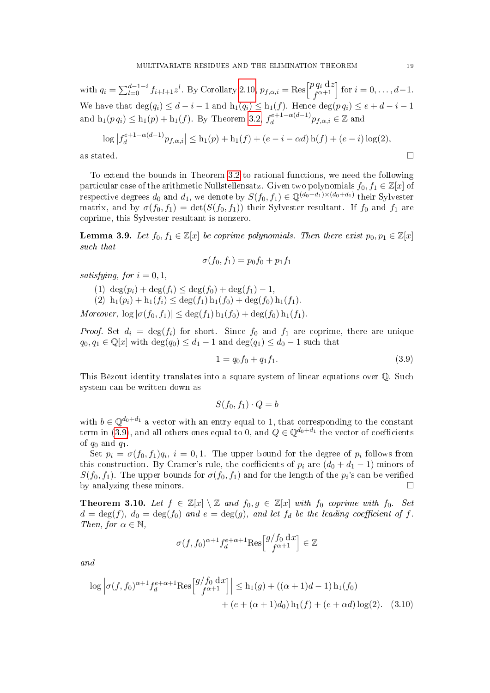with  $q_i = \sum_{l=0}^{d-1-i} f_{i+l+1} z^l$ . By Corollary [2.10,](#page-10-3)  $p_{f,\alpha,i} = \text{Res} \begin{bmatrix} p q_i \, \mathrm{d}z \\ f^{\alpha+1} \end{bmatrix}$  $\begin{bmatrix} \n\frac{\partial q_i}{\partial x_i} & \n\frac{\partial q_i}{\partial x_i} & \n\end{bmatrix}$  for  $i = 0, \ldots, d-1$ . We have that  $\deg(q_i) \leq d - i - 1$  and  $h_1(q_i) \leq h_1(f)$ . Hence  $\deg(p \, q_i) \leq e + d - i - 1$ and  $\mathrm{h}_1(p \, q_i) \le \mathrm{h}_1(p) + \mathrm{h}_1(f)$ . By Theorem [3.2,](#page-14-1)  $f_d^{e+1-\alpha(d-1)}$  $e^{e+1-\alpha(d-1)}p_{f,\alpha,i}\in\mathbb{Z}$  and

$$
\log |f_d^{e+1-\alpha(d-1)}p_{f,\alpha,i}| \le h_1(p) + h_1(f) + (e - i - \alpha d) h(f) + (e - i) \log(2),
$$
  
as stated.

To extend the bounds in Theorem [3.2](#page-14-1) to rational functions, we need the following particular case of the arithmetic Nullstellensatz. Given two polynomials  $f_0, f_1 \in \mathbb{Z}[x]$  of respective degrees  $d_0$  and  $d_1$ , we denote by  $S(f_0, f_1) \in \mathbb{Q}^{(d_0+d_1)\times(d_0+d_1)}$  their Sylvester matrix, and by  $\sigma(f_0, f_1) = \det(S(f_0, f_1))$  their Sylvester resultant. If  $f_0$  and  $f_1$  are coprime, this Sylvester resultant is nonzero.

<span id="page-18-2"></span>**Lemma 3.9.** Let  $f_0, f_1 \in \mathbb{Z}[x]$  be coprime polynomials. Then there exist  $p_0, p_1 \in \mathbb{Z}[x]$ such that

$$
\sigma(f_0, f_1) = p_0 f_0 + p_1 f_1
$$

satisfying, for  $i = 0, 1$ ,

(1)  $\deg(p_i) + \deg(f_i) \leq \deg(f_0) + \deg(f_1) - 1$ ,

(2)  $h_1(p_i) + h_1(f_i) \leq \deg(f_1) h_1(f_0) + \deg(f_0) h_1(f_1).$ 

Moreover,  $\log |\sigma(f_0, f_1)| \leq \deg(f_1) \ln(f_0) + \deg(f_0) \ln(f_1)$ .

*Proof.* Set  $d_i = \deg(f_i)$  for short. Since  $f_0$  and  $f_1$  are coprime, there are unique  $q_0, q_1 \in \mathbb{Q}[x]$  with  $\deg(q_0) \leq d_1 - 1$  and  $\deg(q_1) \leq d_0 - 1$  such that

<span id="page-18-1"></span>
$$
1 = q_0 f_0 + q_1 f_1. \tag{3.9}
$$

This Bézout identity translates into a square system of linear equations over Q. Such system can be written down as

$$
S(f_0, f_1) \cdot Q = b
$$

with  $b \in \mathbb{Q}^{d_0+d_1}$  a vector with an entry equal to 1, that corresponding to the constant term in [\(3.9\)](#page-18-1), and all others ones equal to 0, and  $Q \in \mathbb{Q}^{d_0+d_1}$  the vector of coefficients of  $q_0$  and  $q_1$ .

Set  $p_i = \sigma(f_0, f_1)q_i$ ,  $i = 0, 1$ . The upper bound for the degree of  $p_i$  follows from this construction. By Cramer's rule, the coefficients of  $p_i$  are  $(d_0 + d_1 - 1)$ -minors of  $S(f_0, f_1)$ . The upper bounds for  $\sigma(f_0, f_1)$  and for the length of the  $p_i$ 's can be verified by analyzing these minors.

<span id="page-18-0"></span>**Theorem 3.10.** Let  $f \in \mathbb{Z}[x] \setminus \mathbb{Z}$  and  $f_0, g \in \mathbb{Z}[x]$  with  $f_0$  coprime with  $f_0$ . Set  $d = \deg(f)$ ,  $d_0 = \deg(f_0)$  and  $e = \deg(g)$ , and let  $f_d$  be the leading coefficient of f. Then, for  $\alpha \in \mathbb{N}$ ,

<span id="page-18-3"></span>
$$
\sigma(f, f_0)^{\alpha+1} f_d^{e+\alpha+1} \text{Res}\Big[ \begin{matrix} g/f_0 \, \mathrm{d}x \\ f^{\alpha+1} \end{matrix} \Big] \in \mathbb{Z}
$$

and

$$
\log \left| \sigma(f, f_0)^{\alpha+1} f_d^{e+\alpha+1} \text{Res} \left[ \frac{g/f_0}{f^{\alpha+1}} \right] \right| \le h_1(g) + ((\alpha+1)d-1) h_1(f_0) + (e+(\alpha+1)d_0) h_1(f) + (e+\alpha d) \log(2). \quad (3.10)
$$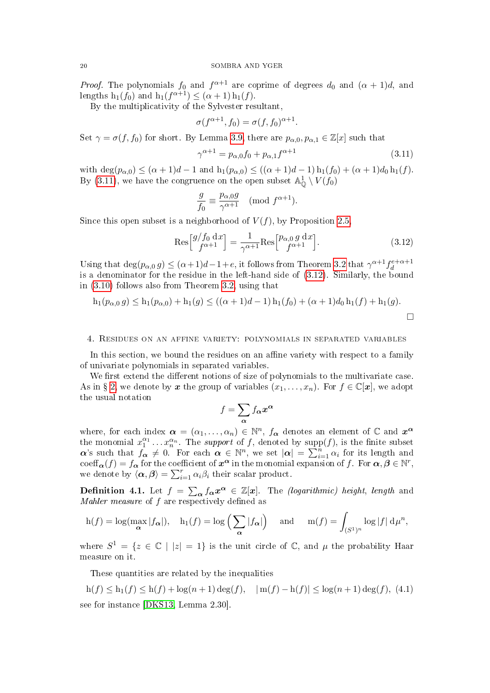*Proof.* The polynomials  $f_0$  and  $f^{\alpha+1}$  are coprime of degrees  $d_0$  and  $(\alpha + 1)d$ , and lengths  $h_1(f_0)$  and  $h_1(f^{\alpha+1}) \leq (\alpha+1) h_1(f)$ .

By the multiplicativity of the Sylvester resultant,

$$
\sigma(f^{\alpha+1}, f_0) = \sigma(f, f_0)^{\alpha+1}.
$$

Set  $\gamma = \sigma(f, f_0)$  for short. By Lemma [3.9,](#page-18-2) there are  $p_{\alpha,0}, p_{\alpha,1} \in \mathbb{Z}[x]$  such that

<span id="page-19-1"></span>
$$
\gamma^{\alpha+1} = p_{\alpha,0} f_0 + p_{\alpha,1} f^{\alpha+1}
$$
\n(3.11)

with  $\deg(p_{\alpha,0}) \leq (\alpha+1)d-1$  and  $h_1(p_{\alpha,0}) \leq ((\alpha+1)d-1)h_1(f_0) + (\alpha+1)d_0h_1(f)$ . By [\(3.11\)](#page-19-1), we have the congruence on the open subset  $\mathbb{A}^1_{\mathbb{Q}} \setminus V(f_0)$ 

$$
\frac{g}{f_0} \equiv \frac{p_{\alpha,0}g}{\gamma^{\alpha+1}} \pmod{f^{\alpha+1}}.
$$

Since this open subset is a neighborhood of  $V(f)$ , by Proposition 2.5.

<span id="page-19-2"></span>
$$
\operatorname{Res}\left[\begin{matrix} g/f_0 \, \mathrm{d}x \\ f^{\alpha+1} \end{matrix}\right] = \frac{1}{\gamma^{\alpha+1}} \operatorname{Res}\left[\begin{matrix} p_{\alpha,0} \, g \, \mathrm{d}x \\ f^{\alpha+1} \end{matrix}\right].\tag{3.12}
$$

Using that  $\deg(p_{\alpha,0} g) \leq (\alpha+1)d-1+e$ , it follows from Theorem [3.2](#page-14-1) that  $\gamma^{\alpha+1} f_d^{e+\alpha+1}$ d is a denominator for the residue in the left-hand side of [\(3.12\)](#page-19-2). Similarly, the bound in [\(3.10\)](#page-18-3) follows also from Theorem [3.2,](#page-14-1) using that

$$
h_1(p_{\alpha,0} g) \le h_1(p_{\alpha,0}) + h_1(g) \le ((\alpha + 1)d - 1)h_1(f_0) + (\alpha + 1)d_0h_1(f) + h_1(g).
$$

#### <span id="page-19-0"></span>4. Residues on an affine variety: polynomials in separated variables

In this section, we bound the residues on an affine variety with respect to a family of univariate polynomials in separated variables.

We first extend the different notions of size of polynomials to the multivariate case. As in § [2,](#page-4-0) we denote by x the group of variables  $(x_1, \ldots, x_n)$ . For  $f \in \mathbb{C}[x]$ , we adopt the usual notation

$$
f = \sum_{\alpha} f_{\alpha} x^{\alpha}
$$

where, for each index  $\boldsymbol{\alpha} = (\alpha_1, \dots, \alpha_n) \in \mathbb{N}^n$ ,  $f_{\boldsymbol{\alpha}}$  denotes an element of  $\mathbb C$  and  $\boldsymbol{x}^{\boldsymbol{\alpha}}$ the monomial  $x_1^{\alpha_1} \ldots x_n^{\alpha_n}$ . The *support* of f, denoted by  $\text{supp}(f)$ , is the finite subset  $\alpha$ 's such that  $f_{\alpha} \neq 0$ . For each  $\alpha \in \mathbb{N}^n$ , we set  $|\alpha| = \sum_{i=1}^n \alpha_i$  for its length and coeff $\alpha(f) = f_{\alpha}$  for the coefficient of  $x^{\alpha}$  in the monomial expansion of f. For  $\alpha, \beta \in \mathbb{N}^r$ , we denote by  $\langle \alpha, \beta \rangle = \sum_{i=1}^r \alpha_i \beta_i$  their scalar product.

**Definition 4.1.** Let  $f = \sum_{\alpha} f_{\alpha} x^{\alpha} \in \mathbb{Z}[x]$ . The *(logarithmic) height*, *length* and Mahler measure of  $f$  are respectively defined as

$$
h(f) = \log(\max_{\alpha} |f_{\alpha}|), \quad h_1(f) = \log\left(\sum_{\alpha} |f_{\alpha}|\right) \quad \text{and} \quad m(f) = \int_{(S^1)^n} \log|f| \, d\mu^n,
$$

where  $S^1 = \{z \in \mathbb{C} \mid |z| = 1\}$  is the unit circle of  $\mathbb{C}$ , and  $\mu$  the probability Haar measure on it.

These quantities are related by the inequalities

<span id="page-19-3"></span>
$$
h(f) \le h_1(f) \le h(f) + \log(n+1)\deg(f), \quad |m(f) - h(f)| \le \log(n+1)\deg(f),
$$
 (4.1)  
see for instance [DKS13, Lemma 2.30].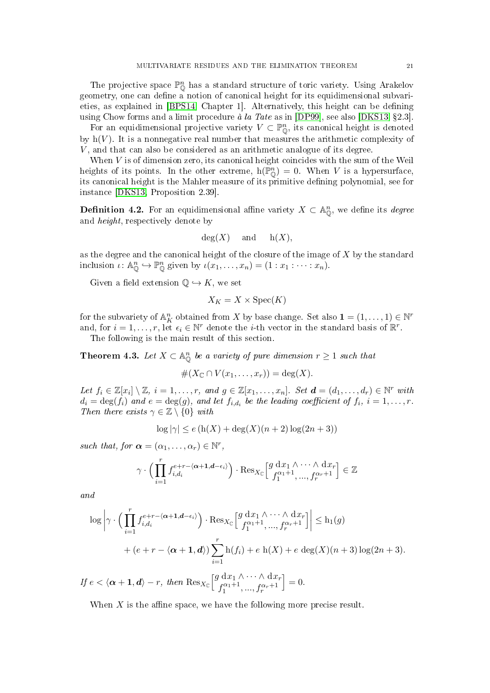The projective space  $\mathbb{P}^n_{\mathbb{O}}$  has a standard structure of toric variety. Using Arakelov geometry, one can define  $\alpha$  notion of canonical height for its equidimensional subvari-eties, as explained in [\[BPS14,](#page-39-13) Chapter 1]. Alternatively, this height can be defining using Chow forms and a limit procedure  $\dot{a}$  la Tate as in [\[DP99\]](#page-39-14), see also [\[DKS13,](#page-39-6) §2.3].

For an equidimensional projective variety  $V \subset \mathbb{P}_{\mathbb{Q}}^n$ , its canonical height is denoted by  $h(V)$ . It is a nonnegative real number that measures the arithmetic complexity of V , and that can also be considered as an arithmetic analogue of its degree.

When  $V$  is of dimension zero, its canonical height coincides with the sum of the Weil heights of its points. In the other extreme,  $h(\overline{\mathbb{P}}_{\mathbb{Q}}^n) = 0$ . When V is a hypersurface, its canonical height is the Mahler measure of its primitive defining polynomial, see for instance [\[DKS13,](#page-39-6) Proposition 2.39].

**Definition 4.2.** For an equidimensional affine variety  $X \subset \mathbb{A}_{\mathbb{Q}}^n$ , we define its *degree* and height, respectively denote by

$$
deg(X)
$$
 and  $h(X)$ ,

as the degree and the canonical height of the closure of the image of  $X$  by the standard inclusion  $\iota: \mathbb{A}_{\mathbb{O}}^n \hookrightarrow \mathbb{P}_{\mathbb{O}}^n$  given by  $\iota(x_1, \ldots, x_n) = (1 : x_1 : \cdots : x_n)$ .

Given a field extension  $\mathbb{Q} \hookrightarrow K$ , we set

$$
X_K = X \times \operatorname{Spec}(K)
$$

for the subvariety of  $\mathbb{A}_K^n$  obtained from X by base change. Set also  $\mathbf{1} = (1, \ldots, 1) \in \mathbb{N}^r$ and, for  $i = 1, \ldots, r$ , let  $\epsilon_i \in \mathbb{N}^r$  denote the *i*-th vector in the standard basis of  $\mathbb{R}^r$ .

The following is the main result of this section.

<span id="page-20-0"></span>**Theorem 4.3.** Let  $X \subset \mathbb{A}_{\mathbb{O}}^n$  be a variety of pure dimension  $r \geq 1$  such that

#(X<sup>C</sup> ∩ V (x1, . . . , xr)) = deg(X).

Let  $f_i \in \mathbb{Z}[x_i] \setminus \mathbb{Z}, i = 1, \ldots, r$ , and  $g \in \mathbb{Z}[x_1, \ldots, x_n]$ . Set  $\boldsymbol{d} = (d_1, \ldots, d_r) \in \mathbb{N}^r$  with  $d_i = \deg(f_i)$  and  $e = \deg(g)$ , and let  $f_{i,d_i}$  be the leading coefficient of  $f_i$ ,  $i = 1, \ldots, r$ . Then there exists  $\gamma \in \mathbb{Z} \setminus \{0\}$  with

$$
\log|\gamma| \le e\left(\ln(X) + \deg(X)(n+2)\log(2n+3)\right)
$$

such that, for  $\boldsymbol{\alpha} = (\alpha_1, \ldots, \alpha_r) \in \mathbb{N}^r$ ,

$$
\gamma \cdot \Big(\prod_{i=1}^r f_{i,d_i}^{e+r-\langle \alpha+1,d-\epsilon_i \rangle}\Big) \cdot \text{Res}_{X_{\mathbb{C}}} \Big[\begin{matrix} g \mathrm{~d} x_1 \wedge \cdots \wedge \mathrm{d} x_r \\ f_1^{\alpha_1+1},...,f_r^{\alpha_r+1} \end{matrix} \Big] \in \mathbb{Z}
$$

and

$$
\log \left| \gamma \cdot \left( \prod_{i=1}^r f_{i,d_i}^{e+r - \langle \alpha+1,d-i \rangle} \right) \cdot \text{Res}_{X_{\mathbb{C}}} \left[ \frac{g \, dx_1 \wedge \dots \wedge dx_r}{f_1^{\alpha_1+1}, \dots, f_r^{\alpha_r+1}} \right] \right| \le h_1(g)
$$
  
+  $(e + r - \langle \alpha + 1, d \rangle) \sum_{i=1}^r h(f_i) + e \, h(X) + e \, \text{deg}(X)(n+3) \log(2n+3).$   
Eq d,  $\gamma, \gamma, \dots, d$  and

If 
$$
e < \langle \boldsymbol{\alpha} + \mathbf{1}, \boldsymbol{d} \rangle - r
$$
, then  $\operatorname{Res}_{X_{\mathbb{C}}}\left[\begin{matrix} g \, \mathrm{d} x_1 \wedge \cdots \wedge \mathrm{d} x_r \\ f_1^{\alpha_1+1}, \ldots, f_r^{\alpha_r+1} \end{matrix}\right] = 0$ .

When  $X$  is the affine space, we have the following more precise result.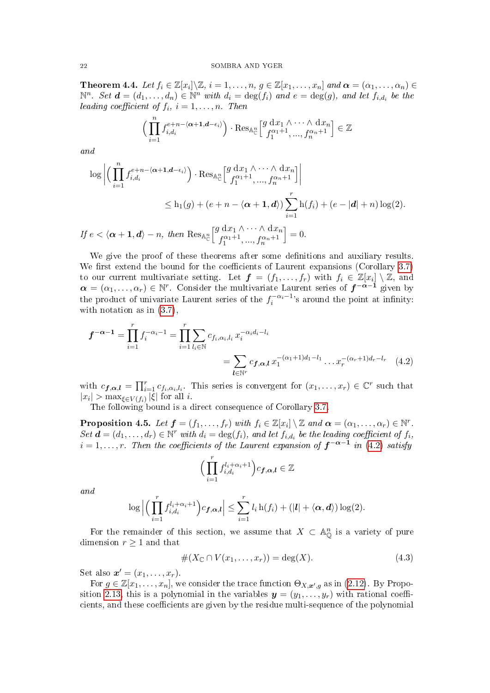<span id="page-21-0"></span>**Theorem 4.4.** Let  $f_i \in \mathbb{Z}[x_i] \setminus \mathbb{Z}$ ,  $i = 1, \ldots, n$ ,  $g \in \mathbb{Z}[x_1, \ldots, x_n]$  and  $\boldsymbol{\alpha} = (\alpha_1, \ldots, \alpha_n) \in \mathbb{Z}[x_1, \ldots, x_n]$  $\mathbb{N}^n$ . Set  $\boldsymbol{d} = (d_1, \ldots, d_n) \in \mathbb{N}^n$  with  $d_i = \deg(f_i)$  and  $e = \deg(g)$ , and let  $f_{i,d_i}$  be the leading coefficient of  $f_i$ ,  $i = 1, \ldots, n$ . Then

$$
\left(\prod_{i=1}^n f_{i,d_i}^{e+n-\langle \alpha+1,d-\epsilon_i\rangle}\right) \cdot \operatorname{Res}_{\mathbb{A}_{\mathbb{C}}^n} \left[\begin{matrix} g \, \mathrm{d} x_1 \wedge \cdots \wedge \mathrm{d} x_n \\ f_1^{\alpha_1+1},...,f_n^{\alpha_n+1} \end{matrix}\right] \in \mathbb{Z}
$$

and

$$
\log \left| \left( \prod_{i=1}^{n} f_{i,d_i}^{e+n-\langle \alpha+1,d-\epsilon_i \rangle} \right) \cdot \text{Res}_{\mathbb{A}_{\mathbb{C}}^n} \left[ \frac{g \, dx_1 \wedge \cdots \wedge dx_n}{f_1^{\alpha_1+1}, \dots, f_n^{\alpha_n+1}} \right] \right|
$$
  
\n
$$
\leq h_1(g) + (e+n-\langle \alpha+1,d \rangle) \sum_{i=1}^{r} h(f_i) + (e-|d|+n) \log(2).
$$
  
\nIf  $e < \langle \alpha+1,d \rangle - n$ , then  $\text{Res}_{\mathbb{A}_{\mathbb{C}}^n} \left[ \frac{g \, dx_1 \wedge \cdots \wedge dx_n}{f_1^{\alpha_1+1}, \dots, f_n^{\alpha_n+1}} \right] = 0.$ 

 $\int_0^c$   $\int_1^c$ We give the proof of these theorems after some definitions and auxiliary results. We first extend the bound for the coefficients of Laurent expansions (Corollary  $3.7$ ) to our current multivariate setting. Let  $\boldsymbol{f} = (f_1, \ldots, f_r)$  with  $f_i \in \mathbb{Z}[x_i] \setminus \mathbb{Z}$ , and  $\boldsymbol{\alpha}=(\alpha_1,\ldots,\alpha_r)\in\mathbb{N}^r$ . Consider the multivariate Laurent series of  $\boldsymbol{f}^{-\boldsymbol{\alpha}-1}$  given by

$$
f^{-\alpha-1} = \prod_{i=1}^r f_i^{-\alpha_i-1} = \prod_{i=1}^r \sum_{l_i \in \mathbb{N}} c_{f_i, \alpha_i, l_i} x_i^{-\alpha_i d_i - l_i}
$$
  
= 
$$
\sum_{l \in \mathbb{N}^r} c_{f, \alpha, l} x_1^{-(\alpha_1+1)d_1 - l_1} \dots x_r^{-(\alpha_r+1)d_r - l_r} \quad (4.2)
$$

the product of univariate Laurent series of the  $f_i^{-\alpha_i-1}$ 's around the point at infinity:

with  $c_{\mathbf{f},\alpha,\mathbf{l}} = \prod_{i=1}^r c_{f_i,\alpha_i,l_i}$ . This series is convergent for  $(x_1,\ldots,x_r) \in \mathbb{C}^r$  such that  $|x_i| > \max_{\xi \in V(f_i)} |\xi|$  for all *i*.

The following bound is a direct consequence of Corollary [3.7.](#page-17-3)

<span id="page-21-3"></span>**Proposition 4.5.** Let  $\boldsymbol{f} = (f_1, \ldots, f_r)$  with  $f_i \in \mathbb{Z}[x_i] \setminus \mathbb{Z}$  and  $\boldsymbol{\alpha} = (\alpha_1, \ldots, \alpha_r) \in \mathbb{N}^r$ .  $Set \, \boldsymbol{d} = (d_1, \ldots, d_r) \in \mathbb{N}^r \text{ with } d_i = \deg(f_i), \text{ and let } f_{i,d_i} \text{ be the leading coefficient of } f_i,$  $i=1,\ldots,r.$  Then the coefficients of the Laurent expansion of  $\boldsymbol{f}^{-\boldsymbol{\alpha}-\boldsymbol{1}}$  in [\(4.2\)](#page-21-1) satisfy

<span id="page-21-1"></span>
$$
\Big(\prod_{i=1}^r f_{i,d_i}^{l_i+\alpha_i+1}\Big)c_{\boldsymbol{f},\boldsymbol{\alpha},\boldsymbol{l}}\in\mathbb{Z}
$$

and

$$
\log \left| \left( \prod_{i=1}^r f_{i,d_i}^{l_i + \alpha_i + 1} \right) c_{\boldsymbol{f},\boldsymbol{\alpha},\boldsymbol{l}} \right| \leq \sum_{i=1}^r l_i \operatorname{h}(f_i) + \left( |\boldsymbol{l}| + \langle \boldsymbol{\alpha},\boldsymbol{d} \rangle \right) \log(2).
$$

For the remainder of this section, we assume that  $X \subset \mathbb{A}_{\mathbb{Q}}^n$  is a variety of pure dimension  $r \geq 1$  and that

<span id="page-21-2"></span>
$$
#(X_{\mathbb{C}} \cap V(x_1,\ldots,x_r)) = \deg(X). \tag{4.3}
$$

Set also  $\mathbf{x}' = (x_1, \ldots, x_r)$ .

with notation as in [\(3.7\)](#page-17-1),

For  $g \in \mathbb{Z}[x_1,\ldots,x_n]$ , we consider the trace function  $\Theta_{X,\mathbf{x}',g}$  as in [\(2.12\)](#page-11-2). By Propo-sition [2.13,](#page-11-0) this is a polynomial in the variables  $y = (y_1, \ldots, y_r)$  with rational coefficients, and these coefficients are given by the residue multi-sequence of the polynomial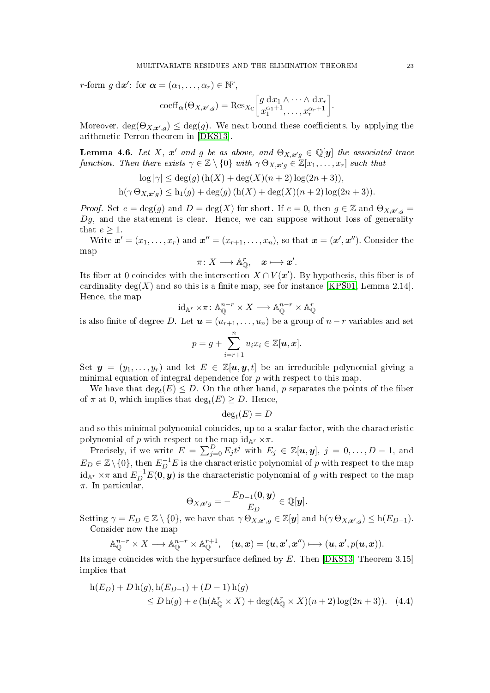r-form  $g \, dx'$ : for  $\boldsymbol{\alpha} = (\alpha_1, \dots, \alpha_r) \in \mathbb{N}^r$ ,

$$
\mathrm{coeff}_{\alpha}(\Theta_{X,\mathbf{x}',g}) = \mathrm{Res}_{X_{\mathbb{C}}}\bigg[g\, \frac{\mathrm{d}x_1 \wedge \cdots \wedge \mathrm{d}x_r}{x_1^{\alpha_1+1}, \ldots, x_r^{\alpha_r+1}}\bigg].
$$

Moreover,  $deg(\Theta_{X,\mathbf{x}',g}) \leq deg(g)$ . We next bound these coefficients, by applying the arithmetic Perron theorem in [\[DKS13\]](#page-39-6).

<span id="page-22-1"></span>**Lemma 4.6.** Let X,  $x'$  and g be as above, and  $\Theta_{X,x'g} \in \mathbb{Q}[y]$  the associated trace function. Then there exists  $\gamma \in \mathbb{Z} \setminus \{0\}$  with  $\gamma \Theta_{X,\mathbf{x}^{\prime}g} \in \mathbb{Z}[x_1,\ldots,x_r]$  such that

$$
\log |\gamma| \le \deg(g) \left( \frac{h(X) + \deg(X)(n+2) \log(2n+3)}{h(\gamma \Theta_{X,x'g}) \le h_1(g) + \deg(g) \left( h(X) + \deg(X)(n+2) \log(2n+3) \right)}.
$$

*Proof.* Set  $e = \deg(g)$  and  $D = \deg(X)$  for short. If  $e = 0$ , then  $g \in \mathbb{Z}$  and  $\Theta_{X,\mathbf{x}',g} =$  $Dg$ , and the statement is clear. Hence, we can suppose without loss of generality that  $e \geq 1$ .

Write  $\mathbf{x}' = (x_1, \ldots, x_r)$  and  $\mathbf{x}'' = (x_{r+1}, \ldots, x_n)$ , so that  $\mathbf{x} = (\mathbf{x}', \mathbf{x}'')$ . Consider the map

$$
\pi\colon X\longrightarrow {\mathbb A}_{\mathbb Q}^r,\quad \pmb x\longmapsto \pmb x'.
$$

Its fiber at 0 coincides with the intersection  $X \cap V(\mathbf{x}')$ . By hypothesis, this fiber is of cardinality deg(X) and so this is a finite map, see for instance [\[KPS01,](#page-39-5) Lemma 2.14]. Hence, the map

$$
\mathrm{id}_{\mathbb{A}^r} \times \pi \colon \mathbb{A}^{n-r}_\mathbb{Q} \times X \longrightarrow \mathbb{A}^{n-r}_\mathbb{Q} \times \mathbb{A}^r_\mathbb{Q}
$$

is also finite of degree D. Let  $u = (u_{r+1}, \ldots, u_n)$  be a group of  $n-r$  variables and set

$$
p = g + \sum_{i=r+1}^{n} u_i x_i \in \mathbb{Z}[\boldsymbol{u}, \boldsymbol{x}].
$$

Set  $y = (y_1, \ldots, y_r)$  and let  $E \in \mathbb{Z}[u, y, t]$  be an irreducible polynomial giving a minimal equation of integral dependence for  $p$  with respect to this map.

We have that  $\deg_t(E) \leq D$ . On the other hand, p separates the points of the fiber of  $\pi$  at 0, which implies that  $\deg_t(E) \ge D$ . Hence,

$$
\deg_t(E) = D
$$

and so this minimal polynomial coincides, up to a scalar factor, with the characteristic polynomial of p with respect to the map  $\mathrm{id}_{\mathbb{A}^r} \times \pi$ .

Precisely, if we write  $E = \sum_{j=0}^{D} E_j t^j$  with  $E_j \in \mathbb{Z}[u, y]$ ,  $j = 0, \ldots, D-1$ , and  $E_D \in \mathbb{Z} \setminus \{0\}$ , then  $E_D^{-1}E$  is the characteristic polynomial of p with respect to the map  $\mathrm{id}_{\mathbb{A}^r}\times \pi$  and  $E_D^{-1}E(\vec{\bf 0},\bm{y})$  is the characteristic polynomial of  $g$  with respect to the map  $\pi$ . In particular,

<span id="page-22-0"></span>
$$
\Theta_{X,\boldsymbol{x}'g} = -\frac{E_{D-1}(\boldsymbol{0},\boldsymbol{y})}{E_D} \in \mathbb{Q}[\boldsymbol{y}].
$$

Setting  $\gamma = E_D \in \mathbb{Z} \setminus \{0\}$ , we have that  $\gamma \Theta_{X,\mathbf{x}',g} \in \mathbb{Z}[\mathbf{y}]$  and  $h(\gamma \Theta_{X,\mathbf{x}',g}) \leq h(E_{D-1})$ . Consider now the map

$$
\mathbb{A}_{\mathbb{Q}}^{n-r} \times X \longrightarrow \mathbb{A}_{\mathbb{Q}}^{n-r} \times \mathbb{A}_{\mathbb{Q}}^{r+1}, \quad (\mathbf{u}, \mathbf{x}) = (\mathbf{u}, \mathbf{x}', \mathbf{x}'') \longmapsto (\mathbf{u}, \mathbf{x}', p(\mathbf{u}, \mathbf{x})).
$$

Its image coincides with the hypersurface defined by  $E$ . Then [\[DKS13,](#page-39-6) Theorem 3.15] implies that

$$
h(E_D) + D h(g), h(E_{D-1}) + (D - 1) h(g)
$$
  
\n
$$
\leq D h(g) + e (h(A_{\mathbb{Q}}^r \times X) + \deg(A_{\mathbb{Q}}^r \times X)(n+2) \log(2n+3)). \quad (4.4)
$$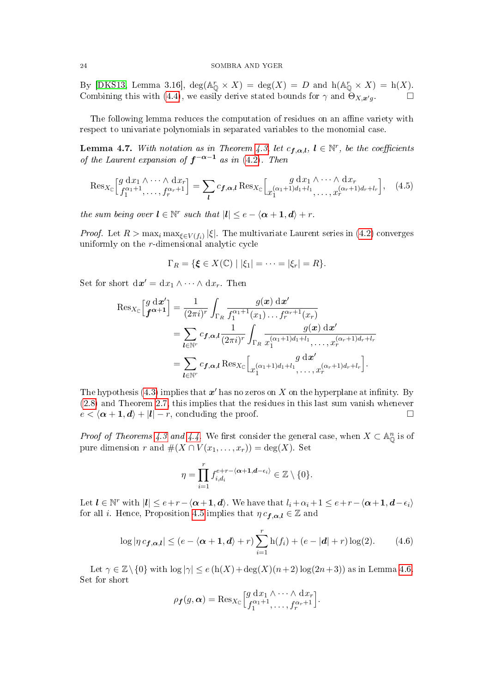By [\[DKS13,](#page-39-6) Lemma 3.16],  $deg(A_{\mathbb{Q}}^r \times X) = deg(X) = D$  and  $h(A_{\mathbb{Q}}^r \times X) = h(X)$ . Combining this with [\(4.4\)](#page-22-0), we easily derive stated bounds for  $\gamma$  and  $\tilde{\Theta}_{X,x'q}$ .

The following lemma reduces the computation of residues on an affine variety with respect to univariate polynomials in separated variables to the monomial case.

<span id="page-23-0"></span>**Lemma 4.7.** With notation as in Theorem [4.3,](#page-20-0) let  $c_{f,\alpha,l}$ ,  $l \in \mathbb{N}^r$ , be the coefficients of the Laurent expansion of  $f^{-\alpha-1}$  as in [\(4.2\)](#page-21-1). Then

<span id="page-23-2"></span>
$$
\operatorname{Res}_{X_{\mathbb{C}}}\Big[\begin{matrix} g \, dx_1 \wedge \cdots \wedge dx_r \\ f_1^{\alpha_1+1}, \dots, f_r^{\alpha_r+1} \end{matrix}\Big] = \sum_{\boldsymbol{l}} c_{\boldsymbol{f},\boldsymbol{\alpha},\boldsymbol{l}} \operatorname{Res}_{X_{\mathbb{C}}}\Big[\begin{matrix} g \, dx_1 \wedge \cdots \wedge dx_r \\ x_1^{(\alpha_1+1)d_1+l_1}, \dots, x_r^{(\alpha_r+1)d_r+l_r} \end{matrix}\Big], \quad (4.5)
$$

the sum being over  $l \in \mathbb{N}^r$  such that  $|l| \leq e - \langle \alpha + 1, d \rangle + r$ .

*Proof.* Let  $R > \max_i \max_{\xi \in V(f_i)} |\xi|$ . The multivariate Laurent series in [\(4.2\)](#page-21-1) converges uniformly on the  $r$ -dimensional analytic cycle

$$
\Gamma_R = \{ \xi \in X(\mathbb{C}) \mid |\xi_1| = \cdots = |\xi_r| = R \}.
$$

Set for short  $\mathrm{d}\boldsymbol{x}'=\mathrm{d}x_1\wedge\cdots\wedge\mathrm{d}x_r$ . Then

$$
\operatorname{Res}_{X_{\mathbb{C}}}\left[\begin{matrix} g \ d\mathbf{x}' \\ \mathbf{f}^{\alpha+1} \end{matrix}\right] = \frac{1}{(2\pi i)^r} \int_{\Gamma_R} \frac{g(\mathbf{x}) \ d\mathbf{x}'}{f_1^{\alpha_1+1}(x_1) \dots f_r^{\alpha_r+1}(x_r)} \n= \sum_{\mathbf{l} \in \mathbb{N}^r} c_{\mathbf{f},\alpha,\mathbf{l}} \frac{1}{(2\pi i)^r} \int_{\Gamma_R} \frac{g(\mathbf{x}) \ d\mathbf{x}'}{x_1^{(\alpha_1+1)d_1+l_1}, \dots, x_r^{(\alpha_r+1)d_r+l_r} \n= \sum_{\mathbf{l} \in \mathbb{N}^r} c_{\mathbf{f},\alpha,\mathbf{l}} \operatorname{Res}_{X_{\mathbb{C}}}\left[\begin{matrix} g \ d\mathbf{x}' \\ x_1^{(\alpha_1+1)d_1+l_1}, \dots, x_r^{(\alpha_r+1)d_r+l_r} \end{matrix}\right].
$$

The hypothesis [\(4.3\)](#page-21-2) implies that  $x'$  has no zeros on X on the hyperplane at infinity. By [\(2.8\)](#page-8-2) and Theorem [2.7,](#page-8-3) this implies that the residues in this last sum vanish whenever  $e < \langle \alpha + 1, d \rangle + |l| - r$ , concluding the proof.

*Proof of Theorems [4.3](#page-20-0) and [4.4.](#page-21-0)* We first consider the general case, when  $X \subset \mathbb{A}_{\mathbb{Q}}^n$  is of pure dimension r and  $\#(X \cap V(x_1, \ldots, x_r)) = \deg(X)$ . Set

$$
\eta = \prod_{i=1}^r f_{i,d_i}^{e+r-\langle \alpha+1,d-\epsilon_i \rangle} \in \mathbb{Z} \setminus \{0\}.
$$

Let  $l \in \mathbb{N}^r$  with  $|l| \leq e+r-\langle \alpha+1, d \rangle$ . We have that  $l_i+\alpha_i+1 \leq e+r-\langle \alpha+1, d-\epsilon_i \rangle$ for all *i*. Hence, Proposition [4.5](#page-21-3) implies that  $\eta c_{f,\alpha,l} \in \mathbb{Z}$  and

<span id="page-23-1"></span>
$$
\log |\eta c_{\mathbf{f},\alpha,\mathbf{l}}| \le (e - \langle \alpha + \mathbf{1}, \mathbf{d} \rangle + r) \sum_{i=1}^r \mathbf{h}(f_i) + (e - |\mathbf{d}| + r) \log(2). \tag{4.6}
$$

Let  $\gamma \in \mathbb{Z} \setminus \{0\}$  with  $\log |\gamma| \leq e \left( \frac{h(X) + \deg(X)(n+2) \log(2n+3)}{2n+3} \right)$  as in Lemma [4.6.](#page-22-1) Set for short

$$
\rho_{\boldsymbol{f}}(g,\boldsymbol{\alpha}) = \operatorname{Res}_{X_{\mathbb{C}}}\Big[\begin{matrix} g \mathrm{~d} x_1 \wedge \cdots \wedge \mathrm{d} x_r \\ f_1^{\alpha_1+1}, \dots, f_r^{\alpha_r+1} \end{matrix}\Big].
$$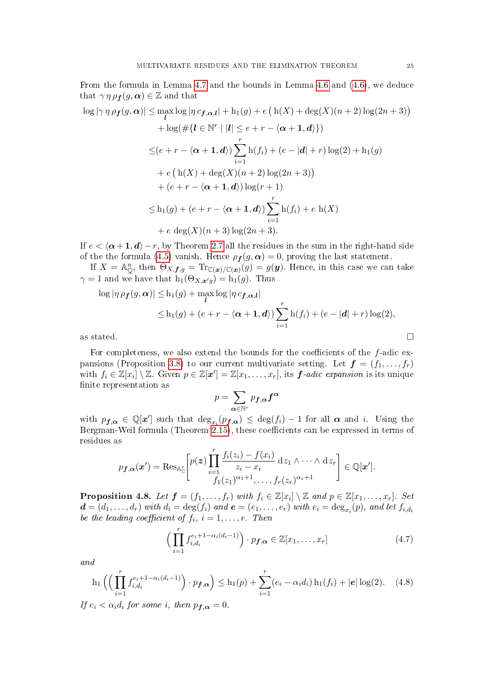From the formula in Lemma [4.7](#page-23-0) and the bounds in Lemma [4.6](#page-22-1) and [\(4.6\)](#page-23-1), we deduce that  $\gamma \eta \rho_f(g, \alpha) \in \mathbb{Z}$  and that

$$
\log |\gamma \eta \rho_f(g, \alpha)| \leq \max_{l} \log |\eta c_{f, \alpha, l}| + h_1(g) + e \left( h(X) + \deg(X)(n+2) \log(2n+3) \right) \n+ \log(\#\{l \in \mathbb{N}^r \mid |l| \leq e+r - \langle \alpha+1, d \rangle \})
$$
\n
$$
\leq (e+r - \langle \alpha+1, d \rangle) \sum_{i=1}^r h(f_i) + (e - |d| + r) \log(2) + h_1(g) \n+ e \left( h(X) + \deg(X)(n+2) \log(2n+3) \right) \n+ (e+r - \langle \alpha+1, d \rangle) \log(r+1)
$$
\n
$$
\leq h_1(g) + (e+r - \langle \alpha+1, d \rangle) \sum_{i=1}^r h(f_i) + e h(X) \n+ e \deg(X)(n+3) \log(2n+3).
$$

If  $e < \langle \alpha +1, d \rangle - r$ , by Theorem [2.7](#page-8-3) all the residues in the sum in the right-hand side of the the formula [\(4.5\)](#page-23-2) vanish. Hence  $\rho_f(g, \alpha) = 0$ , proving the last statement.

If  $X = \mathbb{A}_{\mathbb{Q}}^n$ , then  $\Theta_{X,\bm{f},g} = \text{Tr}_{\mathbb{C}(\bm{x})/\mathbb{C}(\bm{x})}(g) = g(\bm{y})$ . Hence, in this case we can take  $\gamma = 1$  and we have that  $h_1(\Theta_{X,\boldsymbol{x}'g}) = h_1(g)$ . Thus

$$
\log |\eta \rho_f(g, \alpha)| \leq h_1(g) + \max_{l} \log |\eta c_{f, \alpha, l}|
$$
  
\n
$$
\leq h_1(g) + (e + r - \langle \alpha + 1, d \rangle) \sum_{i=1}^r h(f_i) + (e - |d| + r) \log(2),
$$
  
\nas stated.

For completeness, we also extend the bounds for the coefficients of the  $f$ -adic ex-pansions (Proposition [3.8\)](#page-17-4) to our current multivariate setting. Let  $\boldsymbol{f} = (f_1, \ldots, f_r)$ with  $f_i \in \mathbb{Z}[x_i] \setminus \mathbb{Z}$ . Given  $p \in \mathbb{Z}[\mathbf{x}'] = \mathbb{Z}[x_1, \ldots, x_r]$ , its  $\boldsymbol{f}$ -adic expansion is its unique finite representation as

$$
p = \sum_{\boldsymbol{\alpha} \in \mathbb{N}^r} p_{\boldsymbol{f},\boldsymbol{\alpha}} \boldsymbol{f}^{\boldsymbol{\alpha}}
$$

with  $p_{\boldsymbol{f},\boldsymbol{\alpha}} \in \mathbb{Q}[\boldsymbol{x}']$  such that  $\deg_{x_i}(p_{\boldsymbol{f},\boldsymbol{\alpha}}) \leq \deg(f_i) - 1$  for all  $\boldsymbol{\alpha}$  and i. Using the Bergman-Weil formula (Theorem  $2.15$ ), these coefficients can be expressed in terms of residues as

$$
p_{\boldsymbol{f},\boldsymbol{\alpha}}(\boldsymbol{x}') = \operatorname{Res}_{\mathbb{A}_{\mathbb{C}}^r} \left[ p(\boldsymbol{z}) \prod_{i=1}^r \frac{f_i(z_i) - f(x_i)}{z_i - x_i} \, \mathrm{d} z_1 \wedge \dots \wedge \mathrm{d} z_r \right] \in \mathbb{Q}[\boldsymbol{x}'].
$$

**Proposition 4.8.** Let  $f = (f_1, \ldots, f_r)$  with  $f_i \in \mathbb{Z}[x_i] \setminus \mathbb{Z}$  and  $p \in \mathbb{Z}[x_1, \ldots, x_r]$ . Set  $\boldsymbol{d} = (d_1, \ldots, d_r)$  with  $d_i = \deg(f_i)$  and  $\boldsymbol{e} = (e_1, \ldots, e_r)$  with  $e_i = \deg_{x_i}(p)$ , and let  $f_{i,d_i}$ be the leading coefficient of  $f_i$ ,  $i = 1, \ldots, r$ . Then

<span id="page-24-0"></span>
$$
\left(\prod_{i=1}^r f_{i,d_i}^{e_i+1-\alpha_i(d_i-1)}\right) \cdot p_{\boldsymbol{f},\boldsymbol{\alpha}} \in \mathbb{Z}[x_1,\ldots,x_r]
$$
\n(4.7)

and

<span id="page-24-1"></span>
$$
h_1\left(\left(\prod_{i=1}^r f_{i,d_i}^{e_i+1-\alpha_i(d_i-1)}\right) \cdot p_{\boldsymbol{f},\alpha}\right) \le h_1(p) + \sum_{i=1}^r (e_i - \alpha_i d_i) h_1(f_i) + |\boldsymbol{e}| \log(2). \tag{4.8}
$$

If  $e_i < \alpha_i d_i$  for some i, then  $p_{\boldsymbol{f}, \boldsymbol{\alpha}} = 0$ .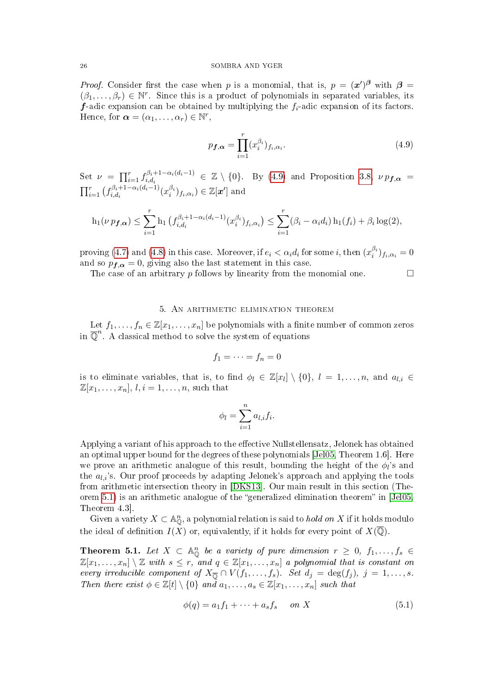*Proof.* Consider first the case when p is a monomial, that is,  $p = (x')^{\beta}$  with  $\beta =$  $(\beta_1,\ldots,\beta_r)\in\mathbb{N}^r$ . Since this is a product of polynomials in separated variables, its **f**-adic expansion can be obtained by multiplying the  $f_i$ -adic expansion of its factors. Hence, for  $\boldsymbol{\alpha} = (\alpha_1, \dots, \alpha_r) \in \mathbb{N}^r$ ,

<span id="page-25-1"></span>
$$
p_{\boldsymbol{f},\boldsymbol{\alpha}} = \prod_{i=1}^{r} (x_i^{\beta_i})_{f_i,\alpha_i}.
$$
\n(4.9)

Set  $\nu = \prod_{i=1}^r f_{i,d_i}^{\beta_i+1-\alpha_i(d_i-1)}$  $i, d_i, i, d_i$   $\alpha_i(d_i-1) \in \mathbb{Z} \setminus \{0\}.$  By [\(4.9\)](#page-25-1) and Proposition [3.8,](#page-17-4)  $\nu p_{\boldsymbol{f},\boldsymbol{\alpha}} =$  $\prod_{i=1}^{r} (f_{i,d_i}^{\beta_i+1-\alpha_i(d_i-1)})$  $i, d_i$ <sub>i,d<sub>i</sub></sub> $(\alpha_i^{(d_i-1)}(x_i^{\beta_i})_{f_i,\alpha_i}) \in \mathbb{Z}[\boldsymbol{x}']$  and

$$
h_1(\nu p_{\bm{f},\bm{\alpha}}) \leq \sum_{i=1}^r h_1\left(f_{i,d_i}^{\beta_i+1-\alpha_i(d_i-1)}(x_i^{\beta_i})_{f_i,\alpha_i}\right) \leq \sum_{i=1}^r (\beta_i-\alpha_i d_i) h_1(f_i) + \beta_i \log(2),
$$

proving [\(4.7\)](#page-24-0) and [\(4.8\)](#page-24-1) in this case. Moreover, if  $e_i < \alpha_i d_i$  for some i, then  $(x_i^{\beta_i})_{f_i,\alpha_i} = 0$ and so  $p_{\mathbf{f},\alpha} = 0$ , giving also the last statement in this case.

The case of an arbitrary p follows by linearity from the monomial one.  $\Box$ 

## 5. An arithmetic elimination theorem

<span id="page-25-0"></span>Let  $f_1, \ldots, f_n \in \mathbb{Z}[x_1, \ldots, x_n]$  be polynomials with a finite number of common zeros in  $\overline{\mathbb{Q}}^n$ . A classical method to solve the system of equations

$$
f_1=\cdots=f_n=0
$$

is to eliminate variables, that is, to find  $\phi_l \in \mathbb{Z}[x_l] \setminus \{0\}$ ,  $l = 1, \ldots, n$ , and  $a_{l,i} \in$  $\mathbb{Z}[x_1,\ldots,x_n],$   $l, i = 1,\ldots,n$ , such that

$$
\phi_l = \sum_{i=1}^n a_{l,i} f_i.
$$

Applying a variant of his approach to the effective Nullstellensatz, Jelonek has obtained an optimal upper bound for the degrees of these polynomials [\[Jel05,](#page-39-7) Theorem 1.6]. Here we prove an arithmetic analogue of this result, bounding the height of the  $\phi_l$ 's and the  $a_{l,i}$ 's. Our proof proceeds by adapting Jelonek's approach and applying the tools from arithmetic intersection theory in [\[DKS13\]](#page-39-6). Our main result in this section (The-orem [5.1\)](#page-25-2) is an arithmetic analogue of the "generalized elimination theorem" in  $[Je105,$ Theorem 4.3].

Given a variety  $X \subset \mathbb{A}_{\mathbb{Q}}^n$ , a polynomial relation is said to *hold on* X if it holds modulo the ideal of definition  $I(X)$  or, equivalently, if it holds for every point of  $X(\overline{\mathbb{Q}})$ .

<span id="page-25-2"></span>**Theorem 5.1.** Let  $X \subset \mathbb{A}_{\mathbb{O}}^n$  be a variety of pure dimension  $r \geq 0$ ,  $f_1, \ldots, f_s \in$  $\mathbb{Z}[x_1,\ldots,x_n]\setminus\mathbb{Z}$  with  $s\leq r,$  and  $q\in\mathbb{Z}[x_1,\ldots,x_n]$  a polynomial that is constant on every irreducible component of  $X_{\overline{\mathbb{Q}}} \cap V(f_1,\ldots,f_s)$ . Set  $d_j = \deg(f_j)$ ,  $j = 1,\ldots,s$ . Then there exist  $\phi \in \mathbb{Z}[t] \setminus \{0\}$  and  $a_1, \ldots, a_s \in \mathbb{Z}[x_1, \ldots, x_n]$  such that

<span id="page-25-3"></span>
$$
\phi(q) = a_1 f_1 + \dots + a_s f_s \quad on \ X \tag{5.1}
$$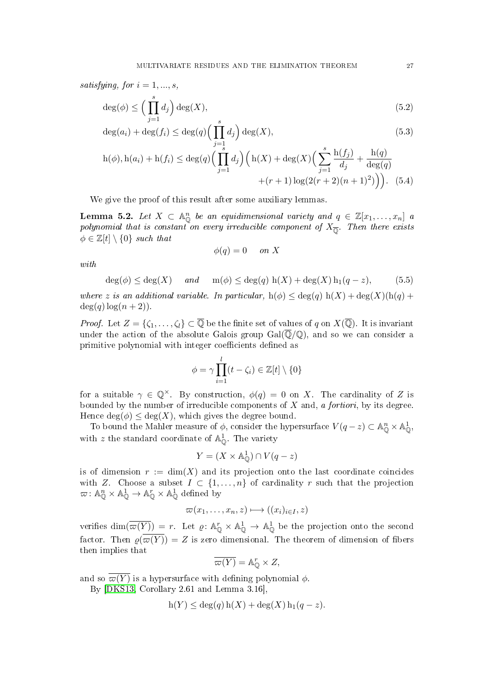satisfying, for  $i = 1, ..., s$ ,

$$
\deg(\phi) \le \left(\prod_{j=1}^s d_j\right) \deg(X),\tag{5.2}
$$

$$
\deg(a_i) + \deg(f_i) \le \deg(q) \left(\prod_{j=1}^s d_j\right) \deg(X),\tag{5.3}
$$

$$
h(\phi), h(a_i) + h(f_i) \le \deg(q) \Big( \prod_{j=1}^s d_j \Big) \Big( h(X) + \deg(X) \Big( \sum_{j=1}^s \frac{h(f_j)}{d_j} + \frac{h(q)}{\deg(q)} + (r+1) \log(2(r+2)(n+1)^2) \Big) \Big). \tag{5.4}
$$

We give the proof of this result after some auxiliary lemmas.

<span id="page-26-4"></span>**Lemma 5.2.** Let  $X \subset \mathbb{A}_{\mathbb{O}}^n$  be an equidimensional variety and  $q \in \mathbb{Z}[x_1,\ldots,x_n]$  and polynomial that is constant on every irreducible component of  $X_{\overline{\mathbb{O}}}$ . Then there exists  $\phi \in \mathbb{Z}[t] \setminus \{0\}$  such that

<span id="page-26-3"></span><span id="page-26-2"></span><span id="page-26-1"></span>
$$
\phi(q) = 0 \quad on \ X
$$

with

<span id="page-26-0"></span>
$$
\deg(\phi) \le \deg(X) \quad \text{and} \quad \operatorname{m}(\phi) \le \deg(q) \operatorname{h}(X) + \deg(X) \operatorname{h}_1(q-z), \tag{5.5}
$$

where z is an additional variable. In particular,  $h(\phi) \leq deg(q) h(X) + deg(X)(h(q) +$  $deg(q)log(n+2)$ .

*Proof.* Let  $Z = \{\zeta_1, \ldots, \zeta_l\} \subset \overline{\mathbb{Q}}$  be the finite set of values of q on  $X(\overline{\mathbb{Q}})$ . It is invariant under the action of the absolute Galois group  $Gal(\overline{\mathbb{Q}}/\mathbb{Q})$ , and so we can consider a primitive polynomial with integer coefficients defined as

$$
\phi = \gamma \prod_{i=1}^{l} (t - \zeta_i) \in \mathbb{Z}[t] \setminus \{0\}
$$

for a suitable  $\gamma \in \mathbb{Q}^{\times}$ . By construction,  $\phi(q) = 0$  on X. The cardinality of Z is bounded by the number of irreducible components of  $X$  and, a *fortiori*, by its degree. Hence  $deg(\phi) \leq deg(X)$ , which gives the degree bound.

To bound the Mahler measure of  $\phi$ , consider the hypersurface  $V(q-z) \subset \mathbb{A}^n_{\mathbb{O}} \times \mathbb{A}^1_{\mathbb{O}},$ with z the standard coordinate of  $\mathbb{A}^1_{\mathbb{O}}$ . The variety

$$
Y = (X \times \mathbb{A}_{\mathbb{O}}^1) \cap V(q - z)
$$

is of dimension  $r := \dim(X)$  and its projection onto the last coordinate coincides with Z. Choose a subset  $I \subset \{1, ..., n\}$  of cardinality r such that the projection  $\varpi: \mathbb{A}_{\mathbb{O}}^n \times \mathbb{A}_{\mathbb{O}}^1 \to \mathbb{A}_{\mathbb{O}}^n \times \mathbb{A}_{\mathbb{O}}^1$  defined by

$$
\varpi(x_1,\ldots,x_n,z)\longmapsto ((x_i)_{i\in I},z)
$$

verifies  $\dim(\overline{\varpi(Y)}) = r$ . Let  $\varrho: \mathbb{A}_{\mathbb{O}}^r \times \mathbb{A}_{\mathbb{O}}^1 \to \mathbb{A}_{\mathbb{O}}^1$  be the projection onto the second factor. Then  $\varrho(\overline{\varpi(Y)}) = Z$  is zero dimensional. The theorem of dimension of fibers then implies that

$$
\overline{\varpi(Y)} = \mathbb{A}_{\mathbb{Q}}^r \times Z,
$$

and so  $\overline{\omega(Y)}$  is a hypersurface with defining polynomial  $\phi$ .

By [\[DKS13,](#page-39-6) Corollary 2.61 and Lemma 3.16],

$$
h(Y) \le \deg(q) h(X) + \deg(X) h_1(q - z).
$$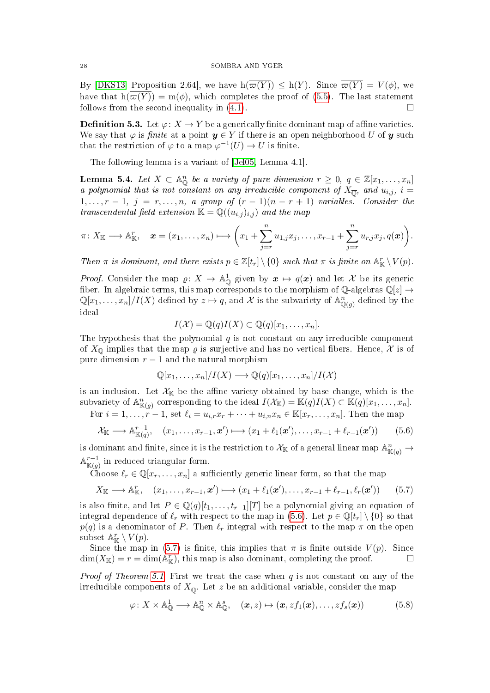By [\[DKS13,](#page-39-6) Proposition 2.64], we have  $h(\overline{\omega(Y)}) \leq h(Y)$ . Since  $\overline{\omega(Y)} = V(\phi)$ , we have that  $h(\overline{\omega(Y)}) = m(\phi)$ , which completes the proof of [\(5.5\)](#page-26-0). The last statement follows from the second inequality in  $(4.1)$ .

**Definition 5.3.** Let  $\varphi: X \to Y$  be a generically finite dominant map of affine varieties. We say that  $\varphi$  is *finite* at a point  $y \in Y$  if there is an open neighborhood U of y such that the restriction of  $\varphi$  to a map  $\varphi^{-1}(U) \to U$  is finite.

The following lemma is a variant of [\[Jel05,](#page-39-7) Lemma 4.1].

<span id="page-27-2"></span>**Lemma 5.4.** Let  $X \subset \mathbb{A}_{\mathbb{O}}^n$  be a variety of pure dimension  $r \geq 0$ ,  $q \in \mathbb{Z}[x_1, \ldots, x_n]$ a polynomial that is not constant on any irreducible component of  $X_{\overline{0}}$ , and  $u_{i,j}$ ,  $i =$  $1, \ldots, r-1, \, j = r, \ldots, n, \, a \, group \, of \, (r-1)(n-r+1) \, variables. \, Consider \, the$ transcendental field extension  $\mathbb{K} = \mathbb{Q}((u_{i,j})_{i,j})$  and the map

$$
\pi\colon X_{\mathbb{K}}\longrightarrow \mathbb{A}_{\mathbb{K}}^{r},\quad \boldsymbol{x}=(x_{1},\ldots,x_{n})\longmapsto \left(x_{1}+\sum_{j=r}^{n}u_{1,j}x_{j},\ldots,x_{r-1}+\sum_{j=r}^{n}u_{r,j}x_{j},q(\boldsymbol{x})\right).
$$

Then  $\pi$  is dominant, and there exists  $p \in \mathbb{Z}[t_r] \setminus \{0\}$  such that  $\pi$  is finite on  $\mathbb{A}^r_{\mathbb{K}} \setminus V(p)$ .

*Proof.* Consider the map  $\varrho: X \to \mathbb{A}_{\mathbb{O}}^1$  given by  $x \mapsto q(x)$  and let X be its generic fiber. In algebraic terms, this map corresponds to the morphism of Q-algebras  $\mathbb{Q}[z] \rightarrow$  $\mathbb{Q}[x_1,\ldots,x_n]/I(X)$  defined by  $z\mapsto q$ , and X is the subvariety of  $\mathbb{A}^n_{\mathbb{Q}(g)}$  defined by the ideal

$$
I(\mathcal{X}) = \mathbb{Q}(q)I(X) \subset \mathbb{Q}(q)[x_1, \ldots, x_n].
$$

The hypothesis that the polynomial  $q$  is not constant on any irreducible component of  $X_{\mathbb{Q}}$  implies that the map  $\varrho$  is surjective and has no vertical fibers. Hence, X is of pure dimension  $r - 1$  and the natural morphism

$$
\mathbb{Q}[x_1,\ldots,x_n]/I(X) \longrightarrow \mathbb{Q}(q)[x_1,\ldots,x_n]/I(X)
$$

is an inclusion. Let  $\mathcal{X}_{\mathbb{K}}$  be the affine variety obtained by base change, which is the subvariety of  $\mathbb{A}^n_{\mathbb{K}(g)}$  corresponding to the ideal  $I(\mathcal{X}_{\mathbb{K}}) = \mathbb{K}(q)I(X) \subset \mathbb{K}(q)[x_1,\ldots,x_n].$ For  $i = 1, \ldots, r - 1$ , set  $\ell_i = u_{i,r}x_r + \cdots + u_{i,n}x_n \in \mathbb{K}[x_r, \ldots, x_n]$ . Then the map

<span id="page-27-0"></span>
$$
\mathcal{X}_{\mathbb{K}} \longrightarrow \mathbb{A}_{\mathbb{K}(q)}^{r-1}, \quad (x_1, \dots, x_{r-1}, \mathbf{x}') \longmapsto (x_1 + \ell_1(\mathbf{x}'), \dots, x_{r-1} + \ell_{r-1}(\mathbf{x}')) \tag{5.6}
$$

is dominant and finite, since it is the restriction to  $\mathcal{X}_{\mathbb{K}}$  of a general linear map  $\mathbb{A}^n_{\mathbb{K}(q)} \to$  $\mathbb{A}^{r-1}_{\mathbb{K}(g)}$  in reduced triangular form.

Choose  $\ell_r \in \mathbb{Q}[x_r, \ldots, x_n]$  a sufficiently generic linear form, so that the map

<span id="page-27-1"></span>
$$
X_{\mathbb{K}} \longrightarrow \mathbb{A}_{\mathbb{K}}^r, \quad (x_1, \dots, x_{r-1}, \mathbf{x}') \longmapsto (x_1 + \ell_1(\mathbf{x}'), \dots, x_{r-1} + \ell_{r-1}, \ell_r(\mathbf{x}')) \tag{5.7}
$$

is also finite, and let  $P \in \mathbb{Q}(q)[t_1,\ldots,t_{r-1}][T]$  be a polynomial giving an equation of integral dependence of  $\ell_r$  with respect to the map in [\(5.6\)](#page-27-0). Let  $p \in \mathbb{Q}[t_r] \setminus \{0\}$  so that  $p(q)$  is a denominator of P. Then  $\ell_r$  integral with respect to the map  $\pi$  on the open subset  $\mathbb{A}^r_{\mathbb{K}} \setminus V(p)$ .

Since the map in [\(5.7\)](#page-27-1) is finite, this implies that  $\pi$  is finite outside  $V(p)$ . Since  $\dim(X_{\mathbb{K}}) = r = \dim(\mathbb{A}_{\mathbb{K}}^r)$ , this map is also dominant, completing the proof.

*Proof of Theorem [5.1.](#page-25-2)* First we treat the case when  $q$  is not constant on any of the irreducible components of  $X_{\overline{0}}$ . Let  $z$  be an additional variable, consider the map

<span id="page-27-3"></span>
$$
\varphi \colon X \times \mathbb{A}_{\mathbb{Q}}^1 \longrightarrow \mathbb{A}_{\mathbb{Q}}^n \times \mathbb{A}_{\mathbb{Q}}^s, \quad (\boldsymbol{x}, z) \mapsto (\boldsymbol{x}, z f_1(\boldsymbol{x}), \dots, z f_s(\boldsymbol{x})) \tag{5.8}
$$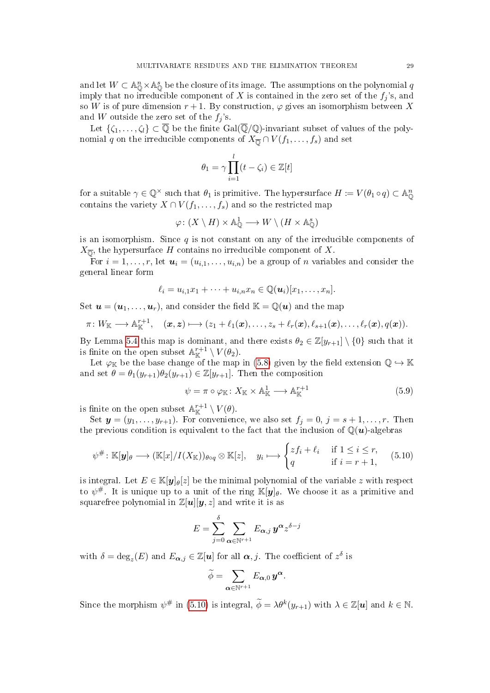and let  $W \subset \mathbb{A}^n_{\mathbb{Q}} \times \mathbb{A}^s_{\mathbb{Q}}$  be the closure of its image. The assumptions on the polynomial q imply that no irreducible component of X is contained in the zero set of the  $f_i$ 's, and so W is of pure dimension  $r + 1$ . By construction,  $\varphi$  gives an isomorphism between X and W outside the zero set of the  $f_i$ 's.

Let  $\{\zeta_1,\ldots,\zeta_l\}\subset\overline{\mathbb{Q}}$  be the finite  $Gal(\overline{\mathbb{Q}}/\mathbb{Q})$ -invariant subset of values of the polynomial q on the irreducible components of  $X_{\overline{0}} \cap V(f_1,\ldots,f_s)$  and set

$$
\theta_1 = \gamma \prod_{i=1}^l (t - \zeta_i) \in \mathbb{Z}[t]
$$

for a suitable  $\gamma \in \mathbb{Q}^{\times}$  such that  $\theta_1$  is primitive. The hypersurface  $H \coloneqq V(\theta_1 \circ q) \subset \mathbb{A}_{\mathbb{Q}}^n$ contains the variety  $X \cap V(f_1, \ldots, f_s)$  and so the restricted map

$$
\varphi\colon (X\setminus H)\times{\mathbb A}^1_{\mathbb Q}\longrightarrow W\setminus (H\times{\mathbb A}^s_{\mathbb Q})
$$

is an isomorphism. Since  $q$  is not constant on any of the irreducible components of  $X_{\overline{0}}$ , the hypersurface H contains no irreducible component of X.

For  $i = 1, \ldots, r$ , let  $u_i = (u_{i,1}, \ldots, u_{i,n})$  be a group of n variables and consider the general linear form

$$
\ell_i = u_{i,1}x_1 + \cdots + u_{i,n}x_n \in \mathbb{Q}(\boldsymbol{u}_i)[x_1,\ldots,x_n].
$$

Set  $u = (u_1, \ldots, u_r)$ , and consider the field  $\mathbb{K} = \mathbb{Q}(u)$  and the map

$$
\pi\colon W_{\mathbb K}\longrightarrow{\mathbb A}_{\mathbb K}^{r+1},\quad (\boldsymbol{x},\boldsymbol{z})\longmapsto (z_1+\ell_1(\boldsymbol{x}),\ldots,z_s+\ell_r(\boldsymbol{x}),\ell_{s+1}(\boldsymbol{x}),\ldots,\ell_r(\boldsymbol{x}),q(\boldsymbol{x})).
$$

By Lemma [5.4](#page-27-2) this map is dominant, and there exists  $\theta_2 \in \mathbb{Z}[y_{r+1}] \setminus \{0\}$  such that it is finite on the open subset  $\mathbb{A}^{r+1}_{\mathbb{K}} \setminus V(\theta_2)$ .

Let  $\varphi_{\mathbb{K}}$  be the base change of the map in [\(5.8\)](#page-27-3) given by the field extension  $\mathbb{Q} \hookrightarrow \mathbb{K}$ and set  $\theta = \theta_1(y_{r+1})\theta_2(y_{r+1}) \in \mathbb{Z}[y_{r+1}]$ . Then the composition

<span id="page-28-1"></span>
$$
\psi = \pi \circ \varphi_{\mathbb{K}} \colon X_{\mathbb{K}} \times \mathbb{A}_{\mathbb{K}}^1 \longrightarrow \mathbb{A}_{\mathbb{K}}^{r+1} \tag{5.9}
$$

is finite on the open subset  $\mathbb{A}^{r+1}_{\mathbb{K}} \setminus V(\theta)$ .

Set  $y = (y_1, \ldots, y_{r+1})$ . For convenience, we also set  $f_j = 0, j = s+1, \ldots, r$ . Then the previous condition is equivalent to the fact that the inclusion of  $\mathbb{Q}(u)$ -algebras

<span id="page-28-0"></span>
$$
\psi^{\#} \colon \mathbb{K}[\mathbf{y}]_{\theta} \longrightarrow (\mathbb{K}[x]/I(X_{\mathbb{K}}))_{\theta \circ q} \otimes \mathbb{K}[z], \quad y_{i} \longmapsto \begin{cases} zf_{i} + \ell_{i} & \text{if } 1 \leq i \leq r, \\ q & \text{if } i = r + 1, \end{cases} \tag{5.10}
$$

is integral. Let  $E \in \mathbb{K}[\mathbf{y}]_\theta[z]$  be the minimal polynomial of the variable z with respect to  $\psi^{\#}$ . It is unique up to a unit of the ring  $\mathbb{K}[y]_{\theta}$ . We choose it as a primitive and squarefree polynomial in  $\mathbb{Z}[u][y, z]$  and write it is as

$$
E = \sum_{j=0}^{\delta} \sum_{{\boldsymbol{\alpha}} \in \mathbb{N}^{r+1}} E_{{\boldsymbol{\alpha}},j}\,{\boldsymbol{y}}^{{\boldsymbol{\alpha}}} z^{\delta-j}
$$

with  $\delta = \deg_z(E)$  and  $E_{\boldsymbol{\alpha},j} \in \mathbb{Z}[u]$  for all  $\boldsymbol{\alpha},j$ . The coefficient of  $z^{\delta}$  is

$$
\widetilde{\phi} = \sum_{\boldsymbol{\alpha} \in \mathbb{N}^{r+1}} E_{\boldsymbol{\alpha},0} \, \boldsymbol{y}^{\boldsymbol{\alpha}}.
$$

Since the morphism  $\psi^{\#}$  in [\(5.10\)](#page-28-0) is integral,  $\widetilde{\phi} = \lambda \theta^k(y_{r+1})$  with  $\lambda \in \mathbb{Z}[u]$  and  $k \in \mathbb{N}$ .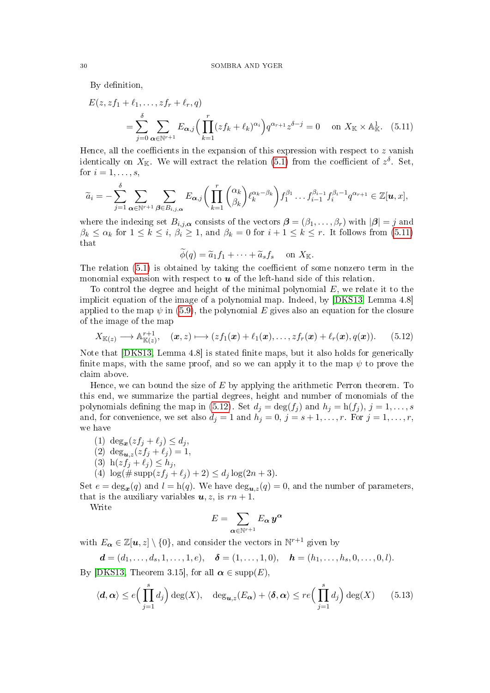By definition,

$$
E(z, zf_1 + \ell_1, \dots, zf_r + \ell_r, q)
$$
  
= 
$$
\sum_{j=0}^{\delta} \sum_{\alpha \in \mathbb{N}^{r+1}} E_{\alpha,j} \Big( \prod_{k=1}^r (zf_k + \ell_k)^{\alpha_i} \Big) q^{\alpha_{r+1}} z^{\delta - j} = 0 \quad \text{on } X_{\mathbb{K}} \times \mathbb{A}_{\mathbb{K}}^1.
$$
 (5.11)

Hence, all the coefficients in the expansion of this expression with respect to  $z$  vanish identically on  $X_{\mathbb{K}}$ . We will extract the relation [\(5.1\)](#page-25-3) from the coefficient of  $z^{\delta}$ . Set, for  $i = 1, \ldots, s$ ,

$$
\widetilde{a}_i = -\sum_{j=1}^{\delta} \sum_{\alpha \in \mathbb{N}^{r+1}} \sum_{\beta \in B_{i,j,\alpha}} E_{\alpha,j} \bigg( \prod_{k=1}^r \binom{\alpha_k}{\beta_k} \ell_k^{\alpha_k - \beta_k} \bigg) f_1^{\beta_1} \dots f_{i-1}^{\beta_{i-1}} f_i^{\beta_i - 1} q^{\alpha_{r+1}} \in \mathbb{Z}[u, x],
$$

where the indexing set  $B_{i,j,\alpha}$  consists of the vectors  $\boldsymbol{\beta} = (\beta_1,\ldots,\beta_r)$  with  $|\boldsymbol{\beta}| = j$  and  $\beta_k \leq \alpha_k$  for  $1 \leq k \leq i$ ,  $\beta_i \geq 1$ , and  $\beta_k = 0$  for  $i + 1 \leq k \leq r$ . It follows from [\(5.11\)](#page-29-0) that

<span id="page-29-0"></span>
$$
\widetilde{\phi}(q) = \widetilde{a}_1 f_1 + \cdots + \widetilde{a}_s f_s \quad \text{on } X_{\mathbb{K}}.
$$

The relation  $(5.1)$  is obtained by taking the coefficient of some nonzero term in the monomial expansion with respect to  $u$  of the left-hand side of this relation.

To control the degree and height of the minimal polynomial  $E$ , we relate it to the implicit equation of the image of a polynomial map. Indeed, by [\[DKS13,](#page-39-6) Lemma 4.8] applied to the map  $\psi$  in [\(5.9\)](#page-28-1), the polynomial E gives also an equation for the closure of the image of the map

<span id="page-29-1"></span>
$$
X_{\mathbb{K}(z)} \longrightarrow \mathbb{A}_{\mathbb{K}(z)}^{r+1}, \quad (\boldsymbol{x}, z) \longmapsto (zf_1(\boldsymbol{x}) + \ell_1(\boldsymbol{x}), \dots, zf_r(\boldsymbol{x}) + \ell_r(\boldsymbol{x}), q(\boldsymbol{x})). \tag{5.12}
$$

Note that  $[DKS13, Lemma 4.8]$  $[DKS13, Lemma 4.8]$  is stated finite maps, but it also holds for generically finite maps, with the same proof, and so we can apply it to the map  $\psi$  to prove the claim above.

Hence, we can bound the size of  $E$  by applying the arithmetic Perron theorem. To this end, we summarize the partial degrees, height and number of monomials of the polynomials defining the map in [\(5.12\)](#page-29-1). Set  $d_j = \deg(f_j)$  and  $h_j = h(f_j)$ ,  $j = 1, \ldots, s$ and, for convenience, we set also  $d_j = 1$  and  $h_j = 0$ ,  $j = s + 1, \ldots, r$ . For  $j = 1, \ldots, r$ , we have

- (1)  $\deg_x(zf_j + \ell_j) \leq d_j$ ,
- (2)  $\deg_{u,z}(zf_j + \ell_j) = 1,$
- (3)  $h(z f_j + \ell_j) \le h_j$ ,
- (4)  $\log(\text{#} \operatorname{supp}(zf_j + \ell_j) + 2) \leq d_j \log(2n + 3).$

Set  $e = \deg_{x}(q)$  and  $l = h(q)$ . We have  $\deg_{u,z}(q) = 0$ , and the number of parameters, that is the auxiliary variables  $u, z$ , is  $rn + 1$ .

Write

$$
E=\sum_{\boldsymbol\alpha\in\mathbb N^{r+1}}E_{\boldsymbol\alpha}\,\boldsymbol y^{\boldsymbol\alpha}
$$

with  $E_{\alpha} \in \mathbb{Z}[u, z] \setminus \{0\}$ , and consider the vectors in  $\mathbb{N}^{r+1}$  given by

$$
\mathbf{d} = (d_1, \ldots, d_s, 1, \ldots, 1, e), \quad \mathbf{\delta} = (1, \ldots, 1, 0), \quad \mathbf{h} = (h_1, \ldots, h_s, 0, \ldots, 0, l).
$$

By [\[DKS13,](#page-39-6) Theorem 3.15], for all  $\alpha \in \text{supp}(E)$ ,

<span id="page-29-2"></span>
$$
\langle \mathbf{d}, \alpha \rangle \le e \Big( \prod_{j=1}^s d_j \Big) \deg(X), \quad \deg_{\mathbf{u}, z}(E_\alpha) + \langle \mathbf{\delta}, \alpha \rangle \le re \Big( \prod_{j=1}^s d_j \Big) \deg(X) \qquad (5.13)
$$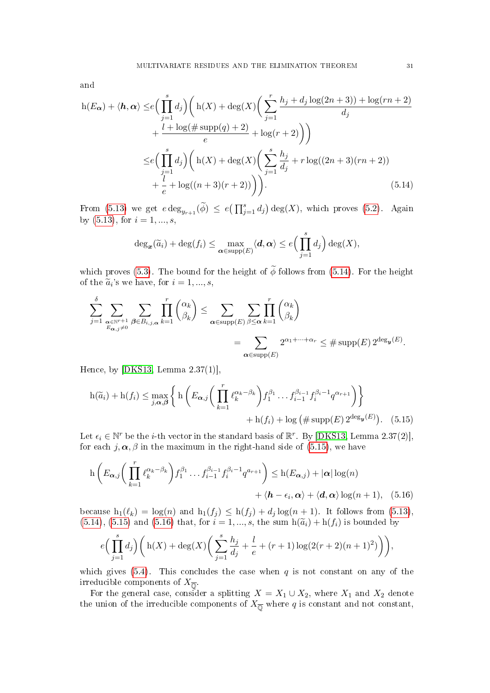and

$$
h(E_{\alpha}) + \langle \mathbf{h}, \alpha \rangle \leq e \Big( \prod_{j=1}^{s} d_j \Big) \Big( h(X) + \deg(X) \Big( \sum_{j=1}^{r} \frac{h_j + d_j \log(2n+3)) + \log(rn+2)}{d_j} + \frac{l + \log(\# \operatorname{supp}(q) + 2)}{e} + \log(r+2) \Big) \Big)
$$
  

$$
\leq e \Big( \prod_{j=1}^{s} d_j \Big) \Big( h(X) + \deg(X) \Big( \sum_{j=1}^{s} \frac{h_j}{d_j} + r \log((2n+3)(rn+2)) + \frac{l}{e} + \log((n+3)(r+2)) \Big) \Big). \tag{5.14}
$$

From [\(5.13\)](#page-29-2) we get  $e \deg_{y_{r+1}}(\widetilde{\phi}) \leq e(\prod_{j=1}^s d_j) \deg(X)$ , which proves [\(5.2\)](#page-26-1). Again by  $(5.13)$ , for  $i = 1, ..., s$ ,

<span id="page-30-0"></span>
$$
\deg_{\boldsymbol{x}}(\widetilde{a}_i) + \deg(f_i) \leq \max_{\boldsymbol{\alpha} \in \mathrm{supp}(E)} \langle \boldsymbol{d}, \boldsymbol{\alpha} \rangle \leq e \Big(\prod_{j=1}^s d_j\Big) \deg(X),
$$

which proves [\(5.3\)](#page-26-2). The bound for the height of  $\widetilde{\phi}$  follows from [\(5.14\)](#page-30-0). For the height of the  $\tilde{a}_i$ 's we have, for  $i = 1, ..., s$ ,

$$
\sum_{j=1}^{\delta} \sum_{\substack{\alpha \in \mathbb{N}^{r+1} \\ E_{\alpha,j} \neq 0}} \sum_{\beta \in B_{i,j,\alpha}} \prod_{k=1}^r \binom{\alpha_k}{\beta_k} \le \sum_{\substack{\alpha \in \text{supp}(E) \\ \alpha \in \text{supp}(E)}} \sum_{\beta \le \alpha} \prod_{k=1}^r \binom{\alpha_k}{\beta_k} = \sum_{\substack{\alpha \in \text{supp}(E) \\ \alpha \in \text{supp}(E)}} 2^{\alpha_1 + \dots + \alpha_r} \le \# \text{supp}(E) 2^{\deg_{\mathbf{y}}(E)}.
$$

Hence, by [\[DKS13,](#page-39-6) Lemma 2.37(1)],

<span id="page-30-1"></span>
$$
h(\widetilde{a}_i) + h(f_i) \le \max_{j,\alpha,\beta} \left\{ h\left(E_{\alpha,j}\left(\prod_{k=1}^r \ell_k^{\alpha_k - \beta_k}\right) f_1^{\beta_1} \dots f_{i-1}^{\beta_{i-1}} f_i^{\beta_i - 1} q^{\alpha_{r+1}}\right) \right\} + h(f_i) + \log \left(\# \operatorname{supp}(E) 2^{\deg_{\mathbf{y}}(E)}\right). \tag{5.15}
$$

Let  $\epsilon_i \in \mathbb{N}^r$  be the *i*-th vector in the standard basis of  $\mathbb{R}^r$ . By [\[DKS13,](#page-39-6) Lemma 2.37(2)], for each  $j, \alpha, \beta$  in the maximum in the right-hand side of [\(5.15\)](#page-30-1), we have

$$
h\left(E_{\boldsymbol{\alpha},j}\bigg(\prod_{k=1}^r \ell_k^{\alpha_k-\beta_k}\bigg)f_1^{\beta_1}\dots f_{i-1}^{\beta_{i-1}}f_i^{\beta_i-1}q^{a_{r+1}}\right) \leq h(E_{\boldsymbol{\alpha},j}) + |\boldsymbol{\alpha}|\log(n) + \langle\boldsymbol{h}-\epsilon_i,\boldsymbol{\alpha}\rangle + \langle\boldsymbol{d},\boldsymbol{\alpha}\rangle\log(n+1), \quad (5.16)
$$

because  $h_1(\ell_k) = \log(n)$  and  $h_1(f_j) \leq h(f_j) + d_j \log(n + 1)$ . It follows from [\(5.13\)](#page-29-2),  $(5.14)$ ,  $(5.15)$  and  $(5.16)$  that, for  $i = 1, ..., s$ , the sum  $h(\tilde{a}_i) + h(f_i)$  is bounded by

<span id="page-30-2"></span>
$$
e\Big(\prod_{j=1}^s d_j\Big) \bigg(\ln(X) + \deg(X) \bigg(\sum_{j=1}^s \frac{h_j}{d_j} + \frac{l}{e} + (r+1) \log(2(r+2)(n+1)^2)\bigg)\bigg),
$$

which gives [\(5.4\)](#page-26-3). This concludes the case when q is not constant on any of the irreducible components of  $X_{\overline{\mathbb{Q}}}$ .

For the general case, consider a splitting  $X = X_1 \cup X_2$ , where  $X_1$  and  $X_2$  denote the union of the irreducible components of  $X_{\overline{\mathbb{Q}}}$  where q is constant and not constant,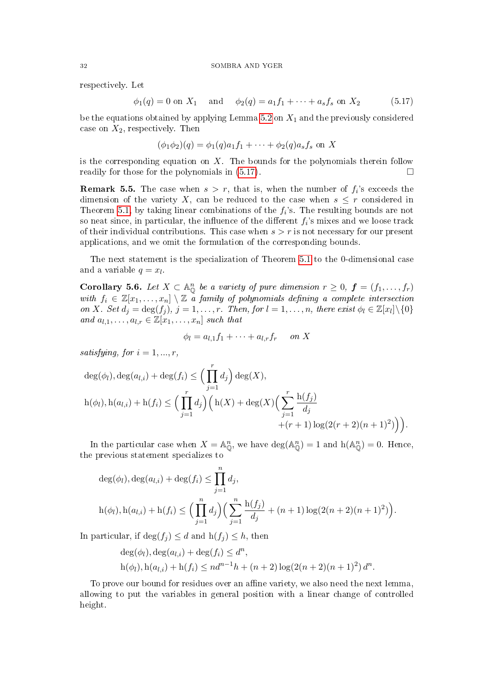respectively. Let

<span id="page-31-1"></span>
$$
\phi_1(q) = 0
$$
 on  $X_1$  and  $\phi_2(q) = a_1 f_1 + \cdots + a_s f_s$  on  $X_2$  (5.17)

be the equations obtained by applying Lemma [5.2](#page-26-4) on  $X_1$  and the previously considered case on  $X_2$ , respectively. Then

$$
(\phi_1 \phi_2)(q) = \phi_1(q)a_1 f_1 + \dots + \phi_2(q)a_s f_s
$$
 on X

is the corresponding equation on  $X$ . The bounds for the polynomials therein follow readily for those for the polynomials in  $(5.17)$ .

**Remark 5.5.** The case when  $s > r$ , that is, when the number of  $f_i$ 's exceeds the dimension of the variety X, can be reduced to the case when  $s \leq r$  considered in Theorem [5.1,](#page-25-2) by taking linear combinations of the  $f_i$ 's. The resulting bounds are not so neat since, in particular, the influence of the different  $f_i$ 's mixes and we loose track of their individual contributions. This case when  $s > r$  is not necessary for our present applications, and we omit the formulation of the corresponding bounds.

The next statement is the specialization of Theorem [5.1](#page-25-2) to the 0-dimensional case and a variable  $q = x_l$ .

<span id="page-31-0"></span>Corollary 5.6. Let  $X \subset \mathbb{A}_{\mathbb{Q}}^n$  be a variety of pure dimension  $r \geq 0$ ,  $\boldsymbol{f} = (f_1, \ldots, f_r)$ with  $f_i \in \mathbb{Z}[x_1,\ldots,x_n] \setminus \mathbb{Z}$  a family of polynomials defining a complete intersection on X. Set  $d_j = \deg(f_j)$ ,  $j = 1, \ldots, r$ . Then, for  $l = 1, \ldots, n$ , there exist  $\phi_l \in \mathbb{Z}[x_l] \setminus \{0\}$ and  $a_{l,1}, \ldots, a_{l,r} \in \mathbb{Z}[x_1, \ldots, x_n]$  such that

$$
\phi_l = a_{l,1}f_1 + \dots + a_{l,r}f_r \quad on \ X
$$

satisfying, for  $i = 1, ..., r$ ,

$$
\deg(\phi_l), \deg(a_{l,i}) + \deg(f_i) \le \Big(\prod_{j=1}^r d_j\Big) \deg(X),
$$
  
 
$$
h(\phi_l), h(a_{l,i}) + h(f_i) \le \Big(\prod_{j=1}^r d_j\Big) \Big(h(X) + \deg(X) \Big(\sum_{j=1}^r \frac{h(f_j)}{d_j} + (r+1) \log(2(r+2)(n+1)^2)\Big)\Big).
$$

In the particular case when  $X = \mathbb{A}_{\mathbb{O}}^n$ , we have  $\text{deg}(\mathbb{A}_{\mathbb{O}}^n) = 1$  and  $\text{h}(\mathbb{A}_{\mathbb{O}}^n) = 0$ . Hence, the previous statement specializes to

$$
\deg(\phi_l), \deg(a_{l,i}) + \deg(f_i) \le \prod_{j=1}^n d_j,
$$
  
 
$$
h(\phi_l), h(a_{l,i}) + h(f_i) \le \Big(\prod_{j=1}^n d_j\Big) \Big(\sum_{j=1}^n \frac{h(f_j)}{d_j} + (n+1)\log(2(n+2)(n+1)^2)\Big).
$$

In particular, if  $\deg(f_i) \leq d$  and  $h(f_i) \leq h$ , then

$$
deg(\phi_l), deg(a_{l,i}) + deg(f_i) \leq d^n,
$$
  
 
$$
h(\phi_l), h(a_{l,i}) + h(f_i) \leq nd^{n-1}h + (n+2)\log(2(n+2)(n+1)^2)d^n.
$$

To prove our bound for residues over an affine variety, we also need the next lemma, allowing to put the variables in general position with a linear change of controlled height.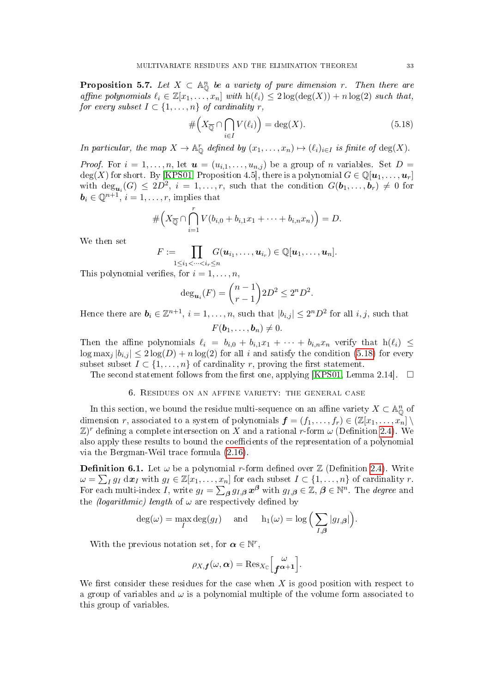<span id="page-32-2"></span>**Proposition 5.7.** Let  $X \subset \mathbb{A}_{\mathbb{Q}}^n$  be a variety of pure dimension r. Then there are affine polynomials  $\ell_i \in \mathbb{Z}[x_1, \ldots, x_n]$  with  $h(\ell_i) \leq 2 \log(\deg(X)) + n \log(2)$  such that, for every subset  $I \subset \{1, \ldots, n\}$  of cardinality r,

<span id="page-32-1"></span>
$$
\# \left( X_{\overline{\mathbb{Q}}} \cap \bigcap_{i \in I} V(\ell_i) \right) = \deg(X). \tag{5.18}
$$

In particular, the map  $X \to \mathbb{A}_{\mathbb{Q}}^r$  defined by  $(x_1, \ldots, x_n) \mapsto (\ell_i)_{i \in I}$  is finite of  $\deg(X)$ .

*Proof.* For  $i = 1, \ldots, n$ , let  $\boldsymbol{u} = (u_{i,1}, \ldots, u_{n,j})$  be a group of n variables. Set  $D =$ deg(X) for short. By [\[KPS01,](#page-39-5) Proposition 4.5], there is a polynomial  $G \in \mathbb{Q}[u_1, \ldots, u_r]$ with  $\deg_{\mathbf{u}_i}(G) \leq 2D^2$ ,  $i = 1, \ldots, r$ , such that the condition  $G(\mathbf{b}_1, \ldots, \mathbf{b}_r) \neq 0$  for  $\mathbf{b}_i \in \mathbb{Q}^{n+1}, i = 1, \ldots, r$ , implies that

# X<sup>Q</sup> ∩ \r i=1 V (bi,<sup>0</sup> + bi,1x<sup>1</sup> + · · · + bi,nxn) = D.

We then set

$$
F:=\prod_{1\leq i_1<\cdots
$$

This polynomial verifies, for  $i = 1, \ldots, n$ ,

$$
\deg_{u_i}(F) = \binom{n-1}{r-1} 2D^2 \le 2^n D^2.
$$

Hence there are  $\bm{b}_i \in \mathbb{Z}^{n+1}, i = 1, \ldots, n$ , such that  $|b_{i,j}| \leq 2^n D^2$  for all  $i, j$ , such that

$$
F(\boldsymbol{b}_1,\ldots,\boldsymbol{b}_n)\neq 0.
$$

Then the affine polynomials  $\ell_i = b_{i,0} + b_{i,1}x_1 + \cdots + b_{i,n}x_n$  verify that  $h(\ell_i) \leq$  $\log \max_j |b_{i,j}| \leq 2 \log(D) + n \log(2)$  for all i and satisfy the condition [\(5.18\)](#page-32-1) for every subset subset  $I \subset \{1, \ldots, n\}$  of cardinality r, proving the first statement.

The second statement follows from the first one, applying [\[KPS01,](#page-39-5) Lemma 2.14].  $\square$ 

## 6. Residues on an affine variety: the general case

<span id="page-32-0"></span>In this section, we bound the residue multi-sequence on an affine variety  $X \subset \mathbb{A}_{\mathbb{Q}}^n$  of dimension r, associated to a system of polynomials  $\boldsymbol{f} = (f_1, \ldots, f_r) \in (\mathbb{Z}[x_1, \ldots, x_n])$  $\mathbb{Z})^r$  defining a complete intersection on X and a rational r-form  $\omega$  (Definition [2.4\)](#page-7-0). We also apply these results to bound the coefficients of the representation of a polynomial via the Bergman-Weil trace formula [\(2.16\)](#page-13-1).

**Definition 6.1.** Let  $\omega$  be a polynomial r-form defined over  $\mathbb{Z}$  (Definition [2.4\)](#page-7-0). Write  $\omega = \sum_I g_I \, \mathrm{d} \boldsymbol{x}_I$  with  $g_I \in \mathbb{Z}[x_1, \ldots, x_n]$  for each subset  $I \subset \{1, \ldots, n\}$  of cardinality r. For each multi-index I, write  $g_I = \sum_{\beta} g_{I,\beta} x^{\beta}$  with  $g_{I,\beta} \in \mathbb{Z}, \beta \in \mathbb{N}^n$ . The *degree* and the *(logarithmic)* length of  $\omega$  are respectively defined by

$$
\deg(\omega) = \max_{I} \deg(g_I) \quad \text{and} \quad h_1(\omega) = \log \Big( \sum_{I, \beta} |g_{I, \beta}| \Big).
$$

With the previous notation set, for  $\alpha \in \mathbb{N}^r$ ,

$$
\rho_{X,\boldsymbol{f}}(\omega,\boldsymbol{\alpha}) = \mathrm{Res}_{X_{\mathbb{C}}} \left[\begin{matrix} \omega \\ \boldsymbol{f}^{\boldsymbol{\alpha}+1} \end{matrix}\right].
$$

We first consider these residues for the case when  $X$  is good position with respect to a group of variables and  $\omega$  is a polynomial multiple of the volume form associated to this group of variables.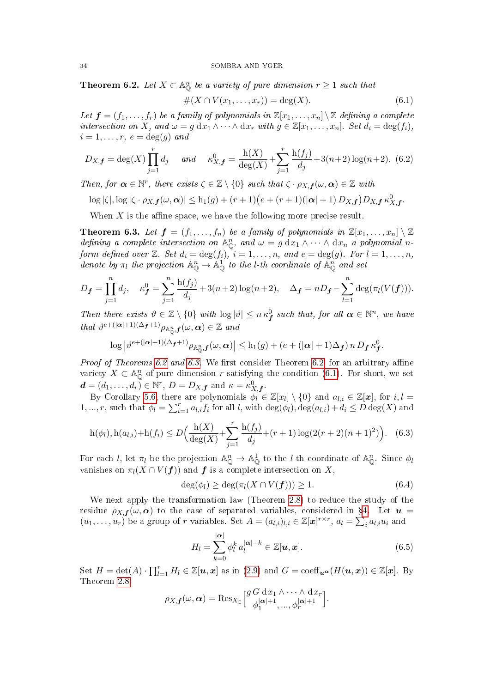<span id="page-33-0"></span>**Theorem 6.2.** Let  $X \subset \mathbb{A}_{\mathbb{O}}^n$  be a variety of pure dimension  $r \geq 1$  such that

<span id="page-33-2"></span>
$$
#(X \cap V(x_1, \ldots, x_r)) = \deg(X). \tag{6.1}
$$

Let  $\mathbf{f} = (f_1, \ldots, f_r)$  be a family of polynomials in  $\mathbb{Z}[x_1, \ldots, x_n] \setminus \mathbb{Z}$  defining a complete intersection on X, and  $\omega = g dx_1 \wedge \cdots \wedge dx_r$  with  $g \in \mathbb{Z}[x_1, \ldots, x_n]$ . Set  $d_i = \deg(f_i)$ ,  $i = 1, \ldots, r, e = \deg(g)$  and

<span id="page-33-5"></span>
$$
D_{X,f} = \deg(X) \prod_{j=1}^{r} d_j \quad \text{and} \quad \kappa_{X,f}^0 = \frac{\mathrm{h}(X)}{\deg(X)} + \sum_{j=1}^{r} \frac{\mathrm{h}(f_j)}{d_j} + 3(n+2) \log(n+2). \tag{6.2}
$$

Then, for  $\alpha \in \mathbb{N}^r$ , there exists  $\zeta \in \mathbb{Z} \setminus \{0\}$  such that  $\zeta \cdot \rho_{X,\mathbf{f}}(\omega,\alpha) \in \mathbb{Z}$  with

$$
\log |\zeta|, \log |\zeta \cdot \rho_{X,\boldsymbol{f}}(\omega, \boldsymbol{\alpha})| \leq h_1(g) + (r+1)(e + (r+1)(|\boldsymbol{\alpha}|+1)D_{X,\boldsymbol{f}})D_{X,\boldsymbol{f}} \kappa_{X,\boldsymbol{f}}^0.
$$

When  $X$  is the affine space, we have the following more precise result.

<span id="page-33-1"></span>**Theorem 6.3.** Let  $f = (f_1, \ldots, f_n)$  be a family of polynomials in  $\mathbb{Z}[x_1, \ldots, x_n] \setminus \mathbb{Z}$ defining a complete intersection on  $\mathbb{A}_{\mathbb{O}}^n$ , and  $\omega = g \, dx_1 \wedge \cdots \wedge dx_n$  a polynomial nform defined over  $\mathbb{Z}$ . Set  $d_i = \deg(f_i)$ ,  $i = 1, \ldots, n$ , and  $e = \deg(g)$ . For  $l = 1, \ldots, n$ , denote by  $\pi_l$  the projection  $\mathbb{A}^n_{\mathbb{O}} \to \mathbb{A}^1_{\mathbb{O}}$  to the *l*-th coordinate of  $\mathbb{A}^n_{\mathbb{O}}$  and set

$$
D_{f} = \prod_{j=1}^{n} d_{j}, \quad \kappa_{f}^{0} = \sum_{j=1}^{n} \frac{h(f_{j})}{d_{j}} + 3(n+2) \log(n+2), \quad \Delta_{f} = nD_{f} - \sum_{l=1}^{n} \deg(\pi_{l}(V(f))).
$$

Then there exists  $\vartheta \in \mathbb{Z} \setminus \{0\}$  with  $\log |\vartheta| \leq n \kappa_f^0$  such that, for all  $\alpha \in \mathbb{N}^n$ , we have that  $\vartheta^{e+(\vert\boldsymbol{\alpha}\vert+1)(\Delta_{\boldsymbol{f}}+1)}\rho_{\mathbb{A}_{\mathbb{O}}^n,\boldsymbol{f}}(\omega,\boldsymbol{\alpha})\in\mathbb{Z}$  and

$$
\log\left|\vartheta^{e+(|\boldsymbol{\alpha}|+1)(\Delta_{\boldsymbol{f}}+1)}\rho_{\mathbb{A}_{\mathbb{Q}}^n,\boldsymbol{f}}(\omega,\boldsymbol{\alpha})\right|\leq h_1(g)+(e+(|\boldsymbol{\alpha}|+1)\Delta_{\boldsymbol{f}})\,n\,D_{\boldsymbol{f}}\,\kappa_{\boldsymbol{f}}^0.
$$

*Proof of Theorems [6.2](#page-33-0) and [6.3.](#page-33-1)* We first consider Theorem [6.2,](#page-33-0) for an arbitrary affine variety  $X \subset \mathbb{A}_{\mathbb{Q}}^n$  of pure dimension r satisfying the condition [\(6.1\)](#page-33-2). For short, we set  $\boldsymbol{d} = (d_1, \ldots, d_r) \in \mathbb{N}^r, D = D_{X, \boldsymbol{f}} \text{ and } \kappa = \kappa_{X, \boldsymbol{f}}^0.$ 

By Corollary [5.6,](#page-31-0) there are polynomials  $\phi_l \in \mathbb{Z}[x_l] \setminus \{0\}$  and  $a_{l,i} \in \mathbb{Z}[\boldsymbol{x}]$ , for  $i, l =$ 1, ..., r, such that  $\phi_l = \sum_{i=1}^r a_{l,i} f_i$  for all l, with  $\deg(\phi_l)$ ,  $\deg(a_{l,i}) + d_i \leq D \deg(X)$  and

$$
h(\phi_l), h(a_{l,i}) + h(f_i) \le D\Big(\frac{h(X)}{\deg(X)} + \sum_{j=1}^r \frac{h(f_j)}{d_j} + (r+1)\log(2(r+2)(n+1)^2)\Big). \tag{6.3}
$$

For each *l*, let  $\pi_l$  be the projection  $\mathbb{A}^n_{\mathbb{O}} \to \mathbb{A}^1_{\mathbb{O}}$  to the *l*-th coordinate of  $\mathbb{A}^n_{\mathbb{O}}$ . Since  $\phi_l$ vanishes on  $\pi_l(X \cap V(f))$  and f is a complete intersection on X,

<span id="page-33-6"></span><span id="page-33-4"></span>
$$
\deg(\phi_l) \ge \deg(\pi_l(X \cap V(f))) \ge 1. \tag{6.4}
$$

We next apply the transformation law (Theorem [2.8\)](#page-9-0) to reduce the study of the residue  $\rho_{X,f}(\omega,\alpha)$  to the case of separated variables, considered in §[4.](#page-19-0) Let  $u =$  $(u_1,\ldots,u_r)$  be a group of r variables. Set  $A=(a_{l,i})_{l,i}\in\mathbb{Z}[\boldsymbol{x}]^{r\times r}$ ,  $a_l=\sum_{i}a_{l,i}u_i$  and

<span id="page-33-3"></span>
$$
H_{l} = \sum_{k=0}^{|\alpha|} \phi_{l}^{k} a_{l}^{|\alpha|-k} \in \mathbb{Z}[u, x].
$$
\n(6.5)

Set  $H = \det(A) \cdot \prod_{l=1}^r H_l \in \mathbb{Z}[u, x]$  as in [\(2.9\)](#page-9-2) and  $G = \text{coeff}_{u^{\alpha}}(H(u, x)) \in \mathbb{Z}[x]$ . By Theorem [2.8,](#page-9-0)

$$
\rho_{X,\boldsymbol{f}}(\omega,\boldsymbol{\alpha}) = \operatorname{Res}_{X_{\mathbb{C}}} \left[ \begin{matrix} g \ G \ d x_1 \wedge \cdots \wedge d x_r \\ \phi_1^{|\boldsymbol{\alpha}|+1}, \ldots, \phi_r^{|\boldsymbol{\alpha}|+1} \end{matrix} \right].
$$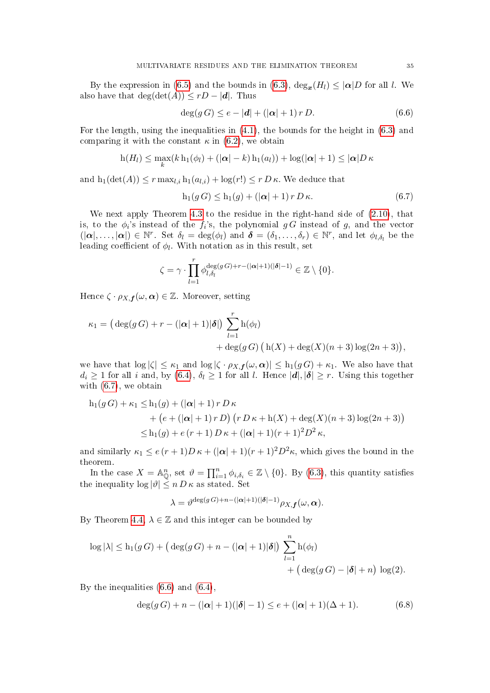By the expression in [\(6.5\)](#page-33-3) and the bounds in [\(6.3\)](#page-33-4),  $\deg_x(H_l) \leq |\alpha|D$  for all l. We also have that  $deg(det(A)) \leq rD - |\boldsymbol{d}|$ . Thus

<span id="page-34-1"></span>
$$
\deg(g\,G) \le e - |\mathbf{d}| + (|\alpha| + 1) r D. \tag{6.6}
$$

For the length, using the inequalities in [\(4.1\)](#page-19-3), the bounds for the height in [\(6.3\)](#page-33-4) and comparing it with the constant  $\kappa$  in [\(6.2\)](#page-33-5), we obtain

$$
h(H_l) \leq \max_k (k h_1(\phi_l) + (|\boldsymbol{\alpha}| - k) h_1(a_l)) + \log(|\boldsymbol{\alpha}| + 1) \leq |\boldsymbol{\alpha}| D \kappa
$$

and  $h_1(\det(A)) \leq r \max_{l,i} h_1(a_{l,i}) + \log(r!) \leq r D \kappa$ . We deduce that

<span id="page-34-0"></span>
$$
h_1(g\,G) \le h_1(g) + \left(|\alpha| + 1\right)r\,D\,\kappa. \tag{6.7}
$$

We next apply Theorem [4.3](#page-20-0) to the residue in the right-hand side of  $(2.10)$ , that is, to the  $\phi_i$ 's instead of the  $f_i$ 's, the polynomial  $g G$  instead of  $g$ , and the vector  $(|\boldsymbol{\alpha}|,\ldots,|\boldsymbol{\alpha}|) \in \mathbb{N}^r$ . Set  $\delta_l = \deg(\phi_l)$  and  $\boldsymbol{\delta} = (\delta_1,\ldots,\delta_r) \in \mathbb{N}^r$ , and let  $\phi_{l,\delta_l}$  be the leading coefficient of  $\phi_l$ . With notation as in this result, set

$$
\zeta = \gamma \cdot \prod_{l=1}^r \phi_{l,\delta_l}^{\deg(g\,G) + r - (|\pmb{\alpha}| + 1)(|\pmb{\delta}| - 1)} \in \mathbb{Z} \setminus \{0\}.
$$

Hence  $\zeta \cdot \rho_{X,\boldsymbol{f}}(\omega,\boldsymbol{\alpha}) \in \mathbb{Z}$ . Moreover, setting

$$
\kappa_1 = (\deg(g\,G) + r - (|\alpha| + 1)|\delta|) \sum_{l=1}^r h(\phi_l)
$$
  
+ 
$$
+ \deg(g\,G) (h(X) + \deg(X)(n+3) \log(2n+3)),
$$

we have that  $\log |\zeta| \leq \kappa_1$  and  $\log |\zeta \cdot \rho_{X,\mathbf{f}}(\omega,\alpha)| \leq h_1(gG) + \kappa_1$ . We also have that  $d_i \geq 1$  for all i and, by  $(6.4)$ ,  $\delta_l \geq 1$  for all l. Hence  $|\boldsymbol{d}|, |\boldsymbol{\delta}| \geq r$ . Using this together with [\(6.7\)](#page-34-0), we obtain

$$
h_1(g\,G) + \kappa_1 \le h_1(g) + (\vert \alpha \vert + 1) r D \kappa + (e + (\vert \alpha \vert + 1) r D) (r D \kappa + h(X) + \deg(X)(n+3) \log(2n+3)) \le h_1(g) + e(r+1) D \kappa + (\vert \alpha \vert + 1)(r+1)^2 D^2 \kappa,
$$

and similarly  $\kappa_1 \leq e(r+1)D\kappa + (|\alpha|+1)(r+1)^2D^2\kappa$ , which gives the bound in the theorem.

In the case  $X = \mathbb{A}^n_{\mathbb{Q}}$ , set  $\vartheta = \prod_{i=1}^n \phi_{i,\delta_i} \in \mathbb{Z} \setminus \{0\}$ . By [\(6.3\)](#page-33-4), this quantity satisfies the inequality  $\log |\vartheta| \leq n D \kappa$  as stated. Set

$$
\lambda = \vartheta^{\deg(g\,G) + n - (|\boldsymbol{\alpha}| + 1)(|\boldsymbol{\delta}| - 1)} \rho_{X, \boldsymbol{f}}(\omega, \boldsymbol{\alpha}).
$$

By Theorem [4.4,](#page-21-0)  $\lambda \in \mathbb{Z}$  and this integer can be bounded by

$$
\log |\lambda| \le h_1(gG) + \left(\deg(gG) + n - (|\boldsymbol{\alpha}| + 1)|\boldsymbol{\delta}|\right) \sum_{l=1}^n h(\phi_l)
$$
  
+ 
$$
\left(\deg(gG) - |\boldsymbol{\delta}| + n\right) \log(2).
$$

By the inequalities [\(6.6\)](#page-34-1) and [\(6.4\)](#page-33-6),

<span id="page-34-2"></span>
$$
\deg(g\,G) + n - (|\alpha| + 1)(|\delta| - 1) \le e + (|\alpha| + 1)(\Delta + 1). \tag{6.8}
$$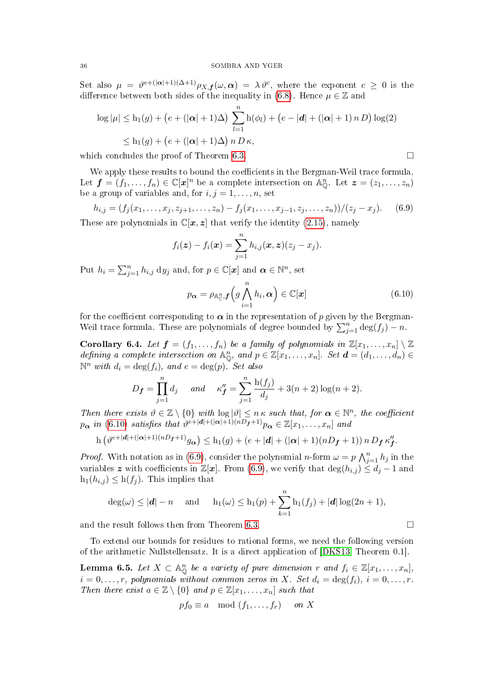Set also  $\mu = \vartheta^{e+(|\boldsymbol{\alpha}|+1)(\Delta+1)} \rho_{X,\boldsymbol{f}}(\omega,\boldsymbol{\alpha}) = \lambda \vartheta^c$ , where the exponent  $c \geq 0$  is the difference between both sides of the inequality in [\(6.8\)](#page-34-2). Hence  $\mu \in \mathbb{Z}$  and

$$
\log |\mu| \le h_1(g) + (e + (|\boldsymbol{\alpha}| + 1)\Delta) \sum_{l=1}^n h(\phi_l) + (e - |\boldsymbol{d}| + (|\boldsymbol{\alpha}| + 1) n D) \log(2)
$$
  

$$
\le h_1(g) + (e + (|\boldsymbol{\alpha}| + 1)\Delta) n D \kappa,
$$

which concludes the proof of Theorem [6.3.](#page-33-1)  $\Box$ 

We apply these results to bound the coefficients in the Bergman-Weil trace formula. Let  $\boldsymbol{f} = (f_1, \ldots, f_n) \in \mathbb{C}[\boldsymbol{x}]^n$  be a complete intersection on  $\mathbb{A}_{\mathbb{O}}^n$ . Let  $\boldsymbol{z} = (z_1, \ldots, z_n)$ be a group of variables and, for  $i, j = 1, \ldots, n$ , set

<span id="page-35-2"></span>
$$
h_{i,j} = (f_j(x_1, \ldots, x_j, z_{j+1}, \ldots, z_n) - f_j(x_1, \ldots, x_{j-1}, z_j, \ldots, z_n))/(z_j - x_j). \tag{6.9}
$$

These are polynomials in  $\mathbb{C}[x, z]$  that verify the identity [\(2.15\)](#page-13-5), namely

$$
f_i(\boldsymbol{z}) - f_i(\boldsymbol{x}) = \sum_{j=1}^n h_{i,j}(\boldsymbol{x}, \boldsymbol{z}) (z_j - x_j).
$$

Put  $h_i = \sum_{j=1}^n h_{i,j} dy_j$  and, for  $p \in \mathbb{C}[\boldsymbol{x}]$  and  $\boldsymbol{\alpha} \in \mathbb{N}^n$ , set

<span id="page-35-1"></span>
$$
p_{\boldsymbol{\alpha}} = \rho_{\mathbb{A}_{\mathbb{C}}^n, \boldsymbol{f}} \left( g \bigwedge_{i=1}^n h_i, \boldsymbol{\alpha} \right) \in \mathbb{C}[\boldsymbol{x}] \tag{6.10}
$$

for the coefficient corresponding to  $\alpha$  in the representation of p given by the Bergman-Weil trace formula. These are polynomials of degree bounded by  $\sum_{j=1}^{n} \deg(f_j) - n$ .

<span id="page-35-0"></span>Corollary 6.4. Let  $\boldsymbol{f} = (f_1, \ldots, f_n)$  be a family of polynomials in  $\mathbb{Z}[x_1, \ldots, x_n] \setminus \mathbb{Z}$ defining a complete intersection on  $\mathbb{A}_{\mathbb{O}}^n$ , and  $p \in \mathbb{Z}[x_1,\ldots,x_n]$ . Set  $\boldsymbol{d} = (d_1,\ldots,d_n) \in$  $\mathbb{N}^n$  with  $d_i = \deg(f_i)$ , and  $e = \deg(p)$ . Set also

$$
D_f = \prod_{j=1}^n d_j
$$
 and  $\kappa''_f = \sum_{j=1}^n \frac{h(f_j)}{d_j} + 3(n+2) \log(n+2).$ 

Then there exists  $\vartheta \in \mathbb{Z} \setminus \{0\}$  with  $\log |\vartheta| \leq n \kappa$  such that, for  $\alpha \in \mathbb{N}^n$ , the coefficient  $p_{\boldsymbol{\alpha}}$  in [\(6.10\)](#page-35-1) satisfies that  $\vartheta^{e+|\boldsymbol{d}| + (|\boldsymbol{\alpha}|+1)(nD_{\boldsymbol{f}}+1)} p_{\boldsymbol{\alpha}} \in \mathbb{Z}[x_1,\ldots,x_n]$  and

$$
\mathbf{h}\left(\vartheta^{e+|\mathbf{d}|+(|\mathbf{\alpha}|+1)(nD_{\mathbf{f}}+1)}g_{\mathbf{\alpha}}\right) \leq \mathbf{h}_1(g) + (e+|\mathbf{d}|+(|\mathbf{\alpha}|+1)(nD_{\mathbf{f}}+1))\,n\,D_{\mathbf{f}}\,\kappa''_{\mathbf{f}}.
$$

*Proof.* With notation as in [\(6.9\)](#page-35-2), consider the polynomial n-form  $\omega = p \bigwedge_{j=1}^{n} h_j$  in the variables z with coefficients in  $\mathbb{Z}[\mathbf{x}]$ . From [\(6.9\)](#page-35-2), we verify that  $\deg(h_{i,j}) \leq d_i - 1$  and  $h_1(h_{i,j}) \leq h(f_i)$ . This implies that

$$
\deg(\omega) \le |\mathbf{d}| - n \quad \text{and} \quad \mathbf{h}_1(\omega) \le \mathbf{h}_1(p) + \sum_{k=1}^n \mathbf{h}_1(f_j) + |\mathbf{d}| \log(2n+1),
$$

and the result follows then from Theorem [6.3.](#page-33-1)

To extend our bounds for residues to rational forms, we need the following version of the arithmetic Nullstellensatz. It is a direct application of [\[DKS13,](#page-39-6) Theorem 0.1].

<span id="page-35-3"></span>**Lemma 6.5.** Let  $X \subset \mathbb{A}_{\mathbb{O}}^n$  be a variety of pure dimension r and  $f_i \in \mathbb{Z}[x_1,\ldots,x_n],$  $i = 0, \ldots, r$ , polynomials without common zeros in X. Set  $d_i = \deg(f_i)$ ,  $i = 0, \ldots, r$ . Then there exist  $a \in \mathbb{Z} \setminus \{0\}$  and  $p \in \mathbb{Z}[x_1, \ldots, x_n]$  such that

$$
pf_0 \equiv a \mod (f_1, \ldots, f_r) \quad on X
$$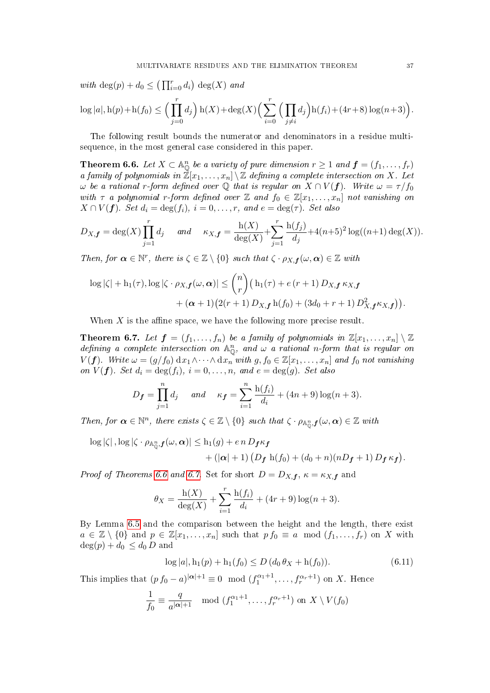with  $\deg(p) + d_0 \leq \left(\prod_{i=0}^r d_i\right) \deg(X)$  and

$$
\log |a|, \mathbf{h}(p) + \mathbf{h}(f_0) \le \Big(\prod_{j=0}^r d_j\Big) \mathbf{h}(X) + \deg(X) \Big(\sum_{i=0}^r \Big(\prod_{j \neq i} d_j\Big) \mathbf{h}(f_i) + (4r+8) \log(n+3)\Big).
$$

The following result bounds the numerator and denominators in a residue multisequence, in the most general case considered in this paper.

<span id="page-36-0"></span>**Theorem 6.6.** Let  $X \subset \mathbb{A}_{\mathbb{O}}^n$  be a variety of pure dimension  $r \geq 1$  and  $\boldsymbol{f} = (f_1, \ldots, f_r)$ a family of polynomials in  $\mathbb{Z}[x_1,\ldots,x_n]\setminus\mathbb{Z}$  defining a complete intersection on X. Let  $ω$  be a rational r-form defined over ℚ that is regular on  $X ∩ V(f)$ . Write  $ω = τ/f₀$ with  $\tau$  a polynomial r-form defined over  $\mathbb Z$  and  $f_0 \in \mathbb Z[x_1,\ldots,x_n]$  not vanishing on  $X \cap V(f)$ . Set  $d_i = \deg(f_i)$ ,  $i = 0, \ldots, r$ , and  $e = \deg(\tau)$ . Set also

$$
D_{X,\mathbf{f}} = \deg(X) \prod_{j=1}^r d_j \quad \text{and} \quad \kappa_{X,\mathbf{f}} = \frac{\mathrm{h}(X)}{\deg(X)} + \sum_{j=1}^r \frac{\mathrm{h}(f_j)}{d_j} + 4(n+5)^2 \log((n+1)\deg(X)).
$$

Then, for  $\alpha \in \mathbb{N}^r$ , there is  $\zeta \in \mathbb{Z} \setminus \{0\}$  such that  $\zeta \cdot \rho_{X,\mathbf{f}}(\omega,\alpha) \in \mathbb{Z}$  with

$$
\log |\zeta| + h_1(\tau), \log |\zeta \cdot \rho_{X,\boldsymbol{f}}(\omega, \boldsymbol{\alpha})| \le {n \choose r} \big( h_1(\tau) + e(r+1) D_{X,\boldsymbol{f}} \kappa_{X,\boldsymbol{f}} + (\boldsymbol{\alpha} + 1) \big( 2(r+1) D_{X,\boldsymbol{f}} h(f_0) + (3d_0 + r + 1) D_{X,\boldsymbol{f}}^2 \kappa_{X,\boldsymbol{f}} \big) \big).
$$

When  $X$  is the affine space, we have the following more precise result.

<span id="page-36-1"></span>**Theorem 6.7.** Let  $f = (f_1, \ldots, f_n)$  be a family of polynomials in  $\mathbb{Z}[x_1, \ldots, x_n] \setminus \mathbb{Z}$ defining a complete intersection on  $\mathbb{A}_{\mathbb{O}}^n$ , and  $\omega$  a rational n-form that is regular on  $V(f)$ . Write  $\omega = (g/f_0) dx_1 \wedge \cdots \wedge dx_n$  with  $g, f_0 \in \mathbb{Z}[x_1, \ldots, x_n]$  and  $f_0$  not vanishing on  $V(f)$ . Set  $d_i = \deg(f_i)$ ,  $i = 0, \ldots, n$ , and  $e = \deg(g)$ . Set also

$$
D_f = \prod_{j=1}^n d_j
$$
 and  $\kappa_f = \sum_{i=1}^n \frac{h(f_i)}{d_i} + (4n+9) \log(n+3).$ 

Then, for  $\alpha \in \mathbb{N}^n$ , there exists  $\zeta \in \mathbb{Z} \setminus \{0\}$  such that  $\zeta \cdot \rho_{\mathbb{A}_{\mathbb{Q}}^n,f}(\omega,\alpha) \in \mathbb{Z}$  with

 $\log|\zeta|$  ,  $\log|\zeta\cdot\rho_{\mathbb{A}^n_\mathbb{O},\boldsymbol{f}}(\omega,\boldsymbol{\alpha})|\leq \mathrm{h}_1(g)+e\,n\,D_{\boldsymbol{f}}\kappa_{\boldsymbol{f}}$ 

$$
+ (\vert \alpha \vert + 1) \left( D_f \ h(f_0) + (d_0 + n)(nD_f + 1) D_f \kappa_f \right).
$$

*Proof of Theorems [6.6](#page-36-0) and [6.7.](#page-36-1)* Set for short  $D = D_{X,f}$ ,  $\kappa = \kappa_{X,f}$  and

$$
\theta_X = \frac{\mathrm{h}(X)}{\deg(X)} + \sum_{i=1}^r \frac{\mathrm{h}(f_i)}{d_i} + (4r + 9)\log(n + 3).
$$

By Lemma [6.5](#page-35-3) and the comparison between the height and the length, there exist  $a \in \mathbb{Z} \setminus \{0\}$  and  $p \in \mathbb{Z}[x_1,\ldots,x_n]$  such that  $p f_0 \equiv a \mod (f_1,\ldots,f_r)$  on X with  $deg(p) + d_0 \leq d_0 D$  and

<span id="page-36-2"></span>
$$
\log |a|, \ln_1(p) + \ln_1(f_0) \le D(d_0 \theta_X + \ln(f_0)). \tag{6.11}
$$

This implies that  $(p f_0 - a)^{|\alpha|+1} \equiv 0 \mod(f_1^{\alpha_1+1}, \ldots, f_r^{\alpha_r+1})$  on X. Hence

$$
\frac{1}{f_0} \equiv \frac{q}{a^{|\alpha|+1}} \mod (f_1^{\alpha_1+1}, \dots, f_r^{\alpha_r+1}) \text{ on } X \setminus V(f_0)
$$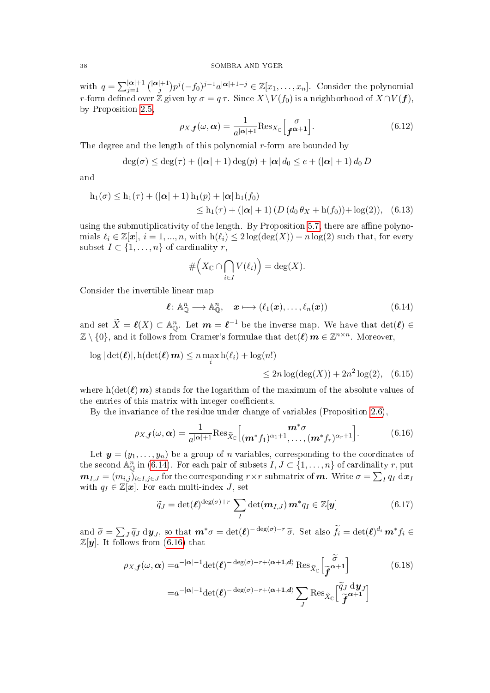with  $q = \sum_{j=1}^{|\boldsymbol{\alpha}|+1} {\binom{|\boldsymbol{\alpha}|+1}{j}}$  $\int_j^{[+1]} p^j(-f_0)^{j-1}a^{|\boldsymbol{\alpha}|+1-j} \in \mathbb{Z}[x_1,\ldots,x_n].$  Consider the polynomial r-form defined over  $\H{\mathbb{Z}}$  given by  $\sigma = q\,\tau$ . Since  $X \backslash V(f_0)$  is a neighborhood of  $X \cap V(\boldsymbol{f}),$ by Proposition [2.5,](#page-8-5)

<span id="page-37-5"></span>
$$
\rho_{X,\mathbf{f}}(\omega,\alpha) = \frac{1}{a^{|\alpha|+1}} \text{Res}_{X_{\mathbb{C}}} \left[ \frac{\sigma}{\mathbf{f}^{\alpha+1}} \right]. \tag{6.12}
$$

The degree and the length of this polynomial  $r$ -form are bounded by

$$
\deg(\sigma) \leq \deg(\tau) + (|\boldsymbol{\alpha}| + 1) \deg(p) + |\boldsymbol{\alpha}| d_0 \leq e + (|\boldsymbol{\alpha}| + 1) d_0 D
$$

and

$$
h_1(\sigma) \le h_1(\tau) + (|\alpha| + 1) h_1(p) + |\alpha| h_1(f_0)
$$
  
\n
$$
\le h_1(\tau) + (|\alpha| + 1) (D (d_0 \theta_X + h(f_0)) + \log(2)), \quad (6.13)
$$

using the submutiplicativity of the length. By Proposition [5.7,](#page-32-2) there are affine polynomials  $\ell_i \in \mathbb{Z}[\mathbf{x}], i = 1, ..., n$ , with  $h(\ell_i) \leq 2 \log(\deg(X)) + n \log(2)$  such that, for every subset  $I \subset \{1, \ldots, n\}$  of cardinality r,

<span id="page-37-6"></span># XC ∩ \ i∈I V (`i) = deg(X).

Consider the invertible linear map

<span id="page-37-0"></span>
$$
\ell: \mathbb{A}_{\mathbb{Q}}^n \longrightarrow \mathbb{A}_{\mathbb{Q}}^n, \quad \mathbf{x} \longmapsto (\ell_1(\mathbf{x}), \dots, \ell_n(\mathbf{x})) \tag{6.14}
$$

and set  $\widetilde{X} = \ell(X) \subset \mathbb{A}_{\mathbb{Q}}^n$ . Let  $m = \ell^{-1}$  be the inverse map. We have that  $\det(\ell) \in$  $\mathbb{Z}\setminus\{0\}$ , and it follows from Cramer's formulae that  $\det(\boldsymbol{\ell})\,\boldsymbol{m}\in\mathbb{Z}^{n\times n}$ . Moreover,

$$
\log |\det(\ell)|, h(\det(\ell) m) \le n \max_i h(\ell_i) + \log(n!)
$$

<span id="page-37-3"></span><span id="page-37-2"></span>
$$
\leq 2n \log(\deg(X)) + 2n^2 \log(2), \quad (6.15)
$$

where h(det( $\ell$ )m) stands for the logarithm of the maximum of the absolute values of the entries of this matrix with integer coefficients.

By the invariance of the residue under change of variables (Proposition [2.6\)](#page-8-4),

<span id="page-37-1"></span>
$$
\rho_{X,f}(\omega,\alpha) = \frac{1}{a^{|\alpha|+1}} \text{Res}_{\widetilde{X}_{\mathbb{C}}} \left[ \begin{matrix} \mathbf{m}^*\sigma \\ (\mathbf{m}^*f_1)^{\alpha_1+1}, \dots, (\mathbf{m}^*f_r)^{\alpha_r+1} \end{matrix} \right]. \tag{6.16}
$$

Let  $y = (y_1, \ldots, y_n)$  be a group of n variables, corresponding to the coordinates of the second  $\mathbb{A}_{\mathbb{Q}}^n$  in [\(6.14\)](#page-37-0). For each pair of subsets  $I, J \subset \{1, \ldots, n\}$  of cardinality r, put  $\bm{m}_{I,J}=(m_{i,j})_{i\in I,j\in J}$  for the corresponding  $r\times r$ -submatrix of  $\bm{m}$ . Write  $\sigma=\sum_Iq_I\;\mathrm{d}\bm{x}_I$ with  $q_I \in \mathbb{Z}[\boldsymbol{x}]$ . For each multi-index J, set

<span id="page-37-4"></span>
$$
\widetilde{q}_J = \det(\boldsymbol{\ell})^{\deg(\sigma) + r} \sum_{I} \det(\boldsymbol{m}_{I,J}) \, \boldsymbol{m}^* q_I \in \mathbb{Z}[\boldsymbol{y}] \tag{6.17}
$$

and  $\widetilde{\sigma} = \sum_{J} \widetilde{q}_{J} \, dy_{J}$ , so that  $m^* \sigma = \det(\ell)^{-\deg(\sigma)-r} \widetilde{\sigma}$ . Set also  $\widetilde{f}_i = \det(\ell)^{d_i} m^* f_i \in \mathbb{Z}[\sigma]$ . It follows from (6.16) that  $\mathbb{Z}[\boldsymbol{y}]$ . It follows from [\(6.16\)](#page-37-1) that

$$
\rho_{X,f}(\omega,\alpha) = a^{-|\alpha|-1} \det(\ell)^{-\deg(\sigma)-r+\langle\alpha+1,d\rangle} \operatorname{Res}_{\widetilde{X}_{\mathbb{C}}} \left[ \widetilde{\widetilde{f}}^{\alpha+1} \right]
$$
(6.18)  

$$
= a^{-|\alpha|-1} \det(\ell)^{-\deg(\sigma)-r+\langle\alpha+1,d\rangle} \sum_{J} \operatorname{Res}_{\widetilde{X}_{\mathbb{C}}} \left[ \widetilde{\widetilde{f}}^{\alpha+1} \widetilde{f}^{\alpha+1} \right]
$$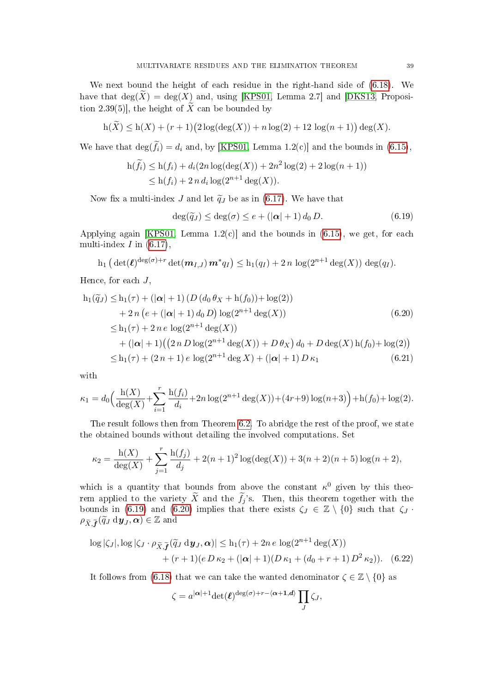We next bound the height of each residue in the right-hand side of [\(6.18\)](#page-37-2). We have that  $\deg(\widetilde{X}) = \deg(X)$  and, using [\[KPS01,](#page-39-5) Lemma 2.7] and [\[DKS13,](#page-39-6) Proposition 2.39(5)], the height of  $\widetilde{X}$  can be bounded by

$$
h(\widetilde{X}) \le h(X) + (r+1)(2\log(\deg(X)) + n\log(2) + 12\log(n+1))\deg(X).
$$

We have that  $\deg(\widetilde{f}_i) = d_i$  and, by [\[KPS01,](#page-39-5) Lemma 1.2(c)] and the bounds in [\(6.15\)](#page-37-3),

$$
h(\widetilde{f}_i) \le h(f_i) + d_i(2n \log(\deg(X)) + 2n^2 \log(2) + 2 \log(n+1))
$$
  
 
$$
\le h(f_i) + 2n d_i \log(2^{n+1} \deg(X)).
$$

Now fix a multi-index J and let  $\tilde{q}_J$  be as in [\(6.17\)](#page-37-4). We have that

<span id="page-38-1"></span><span id="page-38-0"></span>
$$
\deg(\widetilde{q}_J) \le \deg(\sigma) \le e + (|\boldsymbol{\alpha}| + 1) d_0 D. \tag{6.19}
$$

Applying again [\[KPS01,](#page-39-5) Lemma  $1.2(c)$ ] and the bounds in  $(6.15)$ , we get, for each multi-index  $I$  in  $(6.17)$ ,

$$
\mathrm{h}_1\left(\,\mathrm{det}(\boldsymbol{\ell})^{\mathrm{deg}(\sigma)+r} \det(\boldsymbol{m}_{I,J})\,\boldsymbol{m}^*q_I\right)\le \mathrm{h}_1(q_I)+2\,n\,\log(2^{n+1}\deg(X))\,\deg(q_I).
$$

Hence, for each  $J$ ,

$$
h_1(\widetilde{q}_J) \le h_1(\tau) + (|\alpha| + 1) (D (d_0 \theta_X + h(f_0)) + \log(2))
$$
  
+ 2n (e + (|\alpha| + 1) d\_0 D) log(2<sup>n+1</sup> deg(X)) (6.20)  

$$
\le h_1(\tau) + 2n e log(2^{n+1} deg(X))
$$
  
+ (|\alpha| + 1) ((2n D log(2<sup>n+1</sup> deg(X)) + D \theta\_X) d\_0 + D deg(X) h(f\_0) + log(2))  

$$
\le h_1(\tau) + (2n + 1) e log(2^{n+1} deg X) + (|\alpha| + 1) D \kappa_1
$$
(6.21)

with

$$
\kappa_1 = d_0 \Big( \frac{\mathrm{h}(X)}{\deg(X)} + \sum_{i=1}^r \frac{\mathrm{h}(f_i)}{d_i} + 2n \log(2^{n+1} \deg(X)) + (4r+9) \log(n+3) \Big) + \mathrm{h}(f_0) + \log(2).
$$

The result follows then from Theorem [6.2.](#page-33-0) To abridge the rest of the proof, we state the obtained bounds without detailing the involved computations. Set

$$
\kappa_2 = \frac{\mathrm{h}(X)}{\deg(X)} + \sum_{j=1}^r \frac{\mathrm{h}(f_j)}{d_j} + 2(n+1)^2 \log(\deg(X)) + 3(n+2)(n+5) \log(n+2),
$$

which is a quantity that bounds from above the constant  $\kappa^0$  given by this theorem applied to the variety X and the  $f_j$ 's. Then, this theorem together with the bounds in [\(6.19\)](#page-38-0) and [\(6.20\)](#page-38-1) implies that there exists  $\zeta_J \in \mathbb{Z} \setminus \{0\}$  such that  $\zeta_J$ .  $\rho_{\widetilde{X},\widetilde{\bm{f}}}(\widetilde{q}_{J} \,\mathrm{d}\bm{y}_{J},\bm{\alpha})\in\mathbb{Z}$  and

$$
\log |\zeta_J|, \log |\zeta_J \cdot \rho_{\widetilde{X},\widetilde{f}}(\widetilde{q}_J \, d\mathbf{y}_J,\boldsymbol{\alpha})| \le h_1(\tau) + 2n \, e \, \log(2^{n+1} \deg(X)) + (r+1)(e D \kappa_2 + (|\boldsymbol{\alpha}|+1)(D \kappa_1 + (d_0 + r + 1) D^2 \kappa_2)). \tag{6.22}
$$

It follows from [\(6.18\)](#page-37-2) that we can take the wanted denominator  $\zeta \in \mathbb{Z} \setminus \{0\}$  as

<span id="page-38-2"></span>
$$
\zeta = a^{|\boldsymbol{\alpha}|+1} \det(\boldsymbol{\ell})^{\deg(\sigma)+r-\langle \boldsymbol{\alpha}+1,d\rangle} \prod_J \zeta_J,
$$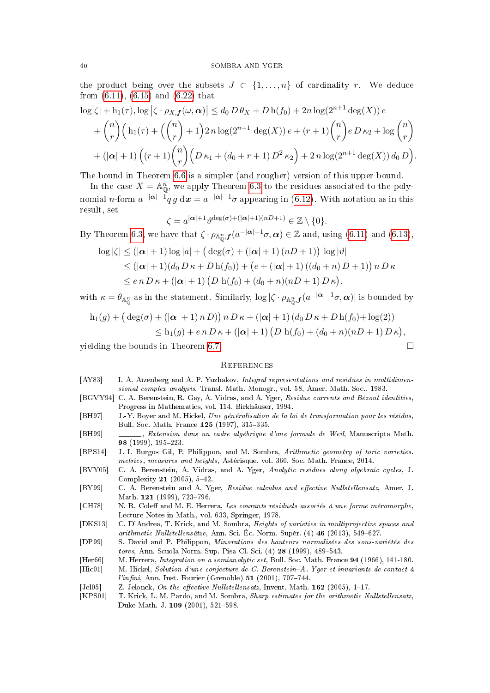the product being over the subsets  $J \subset \{1, \ldots, n\}$  of cardinality r. We deduce from [\(6.11\)](#page-36-2), [\(6.15\)](#page-37-3) and [\(6.22\)](#page-38-2) that

$$
\begin{aligned} \log|\zeta|+ \mathrm{h}_1(\tau), \log|\zeta \cdot \rho_{X,f}(\omega, \alpha)| &\leq d_0 D \theta_X + D \,\mathrm{h}(f_0) + 2n \log(2^{n+1} \deg(X)) \, e \\ &+ \binom{n}{r} \Big(\,\mathrm{h}_1(\tau) + \left(\binom{n}{r} + 1\right) 2n \log(2^{n+1} \deg(X)) \, e + (r+1) \binom{n}{r} e \, D \,\kappa_2 + \log \binom{n}{r} \\ &+ (|\alpha|+1) \left(\left(r+1\right) \binom{n}{r} \left(D \,\kappa_1 + (d_0 + r + 1) \, D^2 \,\kappa_2\right) + 2\, n \log(2^{n+1} \deg(X)) \, d_0 \, D\right). \end{aligned}
$$

The bound in Theorem [6.6](#page-36-0) is a simpler (and rougher) version of this upper bound.

In the case  $X = \mathbb{A}^n_{\mathbb{O}}$ , we apply Theorem [6.3](#page-33-1) to the residues associated to the polynomial *n*-form  $a^{-|\boldsymbol{\alpha}|-1}q\,g\,\mathrm{d}\boldsymbol{x} = a^{-|\boldsymbol{\alpha}|-1}\sigma$  appearing in [\(6.12\)](#page-37-5). With notation as in this result, set

 $\zeta = a^{|\boldsymbol{\alpha}|+1}\vartheta^{\deg(\sigma)+(|\boldsymbol{\alpha}|+1)(nD+1)} \in \mathbb{Z}\setminus\{0\}.$ 

By Theorem [6.3,](#page-33-1) we have that  $\zeta \cdot \rho_{\mathbb{A}_{0}^{n}}, f(a^{-|\boldsymbol{\alpha}|-1}\sigma, \boldsymbol{\alpha}) \in \mathbb{Z}$  and, using [\(6.11\)](#page-36-2) and [\(6.13\)](#page-37-6),

$$
\log |\zeta| \le (|\alpha| + 1) \log |a| + (\deg(\sigma) + (|\alpha| + 1) (nD + 1)) \log |\vartheta|
$$
  
\n
$$
\le (|\alpha| + 1)(d_0 D \kappa + D h(f_0)) + (e + (|\alpha| + 1) ((d_0 + n) D + 1)) n D \kappa
$$
  
\n
$$
\le e n D \kappa + (|\alpha| + 1) (D h(f_0) + (d_0 + n)(nD + 1) D \kappa).
$$

with  $\kappa = \theta_{\mathbb{A}_{\mathbb{O}}^n}$  as in the statement. Similarly,  $\log |\zeta \cdot \rho_{\mathbb{A}_{\mathbb{O}}^n,f}(a^{-|\boldsymbol{\alpha}|-1}\sigma,\boldsymbol{\alpha})|$  is bounded by

$$
h_1(g) + (\deg(\sigma) + (|\alpha| + 1) n D)) n D \kappa + (|\alpha| + 1) (d_0 D \kappa + D h(f_0) + \log(2))
$$
  
\$\leq h\_1(g) + e n D \kappa + (|\alpha| + 1) (D h(f\_0) + (d\_0 + n)(n D + 1) D \kappa),\$

yielding the bounds in Theorem [6.7.](#page-36-1)

## <span id="page-39-0"></span>**REFERENCES**

- <span id="page-39-1"></span>[AY83] I. A. Aĭzenberg and A. P. Yuzhakov, Integral representations and residues in multidimensional complex analysis, Transl. Math. Monogr., vol. 58, Amer. Math. Soc., 1983.
- <span id="page-39-3"></span>[BGVY94] C. A. Berenstein, R. Gay, A. Vidras, and A. Yger, Residue currents and Bézout identities, Progress in Mathematics, vol. 114, Birkhäuser, 1994.
- <span id="page-39-12"></span>[BH97] J.-Y. Boyer and M. Hickel, Une généralisation de la loi de transformation pour les résidus, Bull. Soc. Math. France 125 (1997), 315-335.
- <span id="page-39-2"></span>[BH99] , Extension dans un cadre algébrique d'une formule de Weil, Manuscripta Math. 98 (1999), 195223.
- <span id="page-39-13"></span>[BPS14] J. I. Burgos Gil, P. Philippon, and M. Sombra, Arithmetic geometry of toric varieties. metrics, measures and heights, Astérisque, vol. 360, Soc. Math. France, 2014.
- <span id="page-39-9"></span>[BVY05] C. A. Berenstein, A. Vidras, and A. Yger, Analytic residues along algebraic cycles, J. Complexity 21  $(2005)$ , 5-42.
- <span id="page-39-4"></span>[BY99] C. A. Berenstein and A. Yger, Residue calculus and effective Nullstellensatz, Amer. J. Math. 121 (1999), 723-796.
- <span id="page-39-8"></span>[CH78] N. R. Coleff and M. E. Herrera, Les courants résiduels associés à une forme méromorphe, Lecture Notes in Math., vol. 633, Springer, 1978.
- <span id="page-39-6"></span>[DKS13] C. D'Andrea, T. Krick, and M. Sombra, Heights of varieties in multiprojective spaces and arithmetic Nullstellensätze, Ann. Sci. Éc. Norm. Supér.  $(4)$  46 (2013), 549–627.
- <span id="page-39-14"></span>[DP99] S. David and P. Philippon, Minorations des hauteurs normalisées des sous-variétés des *tores*, Ann. Scuola Norm. Sup. Pisa Cl. Sci.  $(4)$  28  $(1999)$ , 489–543.
- <span id="page-39-10"></span>[Her66] M. Herrera, Integration on a semianalytic set, Bull. Soc. Math. France 94 (1966), 141-180.
- <span id="page-39-11"></span>[Hic01] M. Hickel, Solution d'une conjecture de C. Berenstein-A. Yger et invariants de contact à  $l'infini$ , Ann. Inst. Fourier (Grenoble) 51 (2001), 707-744.
- <span id="page-39-7"></span>[Jel05] Z. Jelonek, On the effective Nullstellensatz, Invent. Math.  $162$  (2005), 1-17.
- <span id="page-39-5"></span>[KPS01] T. Krick, L. M. Pardo, and M. Sombra, Sharp estimates for the arithmetic Nullstellensatz, Duke Math. J. 109 (2001), 521-598.